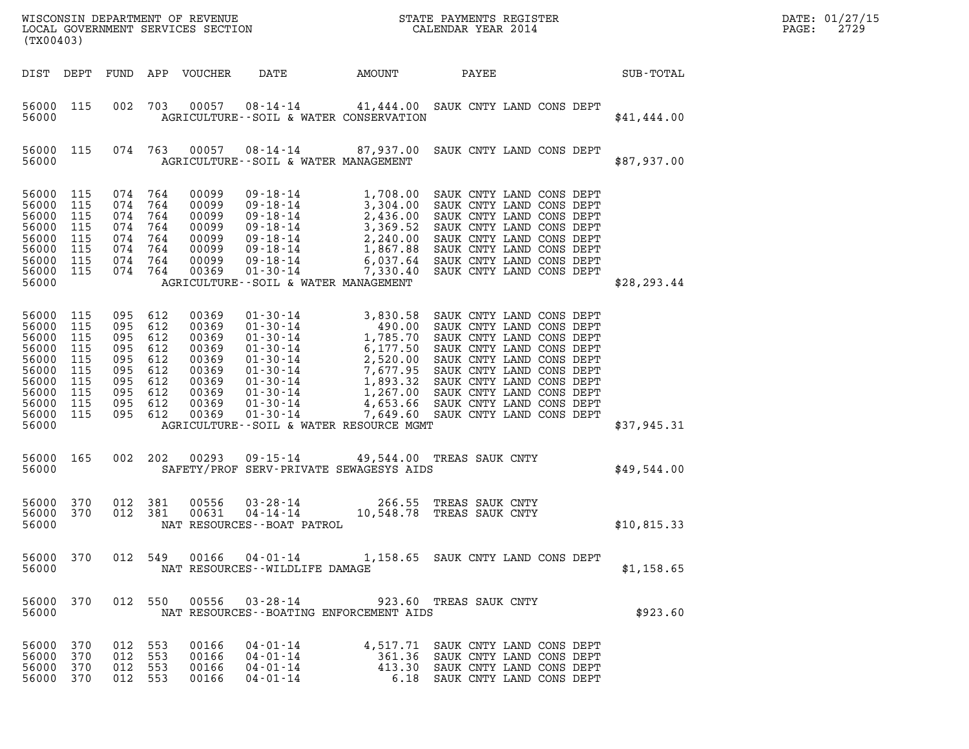| (TX00403)                                                                                                                                                             |                                                                                                                                                                                                                                                                   | ${\tt WISCONSIM\ DEPARTMENT\ OF\ REVENUE}\qquad \qquad {\tt STATE\ PAYMENTS\ REGISTER}\nonumber\\ {\tt LOCAL\ GOVERNMENT\ SERVICES\ SECTION}\qquad \qquad {\tt CALENDAR\ YEAR\ 2014}$                                                                                                                          | DATE: 01/27/15<br>2729<br>$\mathtt{PAGE}$ : |
|-----------------------------------------------------------------------------------------------------------------------------------------------------------------------|-------------------------------------------------------------------------------------------------------------------------------------------------------------------------------------------------------------------------------------------------------------------|----------------------------------------------------------------------------------------------------------------------------------------------------------------------------------------------------------------------------------------------------------------------------------------------------------------|---------------------------------------------|
| DIST DEPT                                                                                                                                                             | DATE<br>FUND APP VOUCHER                                                                                                                                                                                                                                          | <b>AMOUNT</b><br>PAYEE                                                                                                                                                                                                                                                                                         | SUB-TOTAL                                   |
| 56000 115<br>56000                                                                                                                                                    | 002 703<br>00057<br>AGRICULTURE--SOIL & WATER CONSERVATION                                                                                                                                                                                                        | 08-14-14 41,444.00 SAUK CNTY LAND CONS DEPT                                                                                                                                                                                                                                                                    | \$41,444.00                                 |
| 56000 115<br>56000                                                                                                                                                    | 074 763<br>00057<br>AGRICULTURE--SOIL & WATER MANAGEMENT                                                                                                                                                                                                          | 08-14-14 87,937.00 SAUK CNTY LAND CONS DEPT                                                                                                                                                                                                                                                                    | \$87,937.00                                 |
| 56000<br>115<br>56000<br>115<br>56000<br>115<br>56000<br>115<br>56000<br>115<br>56000<br>115<br>56000<br>115<br>56000<br>115<br>56000                                 | $09 - 18 - 14$ 1,708.00<br>074 764<br>00099<br>074 764<br>00099<br>074 764<br>00099<br>074 764<br>00099<br>074 764<br>00099<br>074 764<br>00099<br>074 764<br>00099<br>074 764<br>00369<br>AGRICULTURE--SOIL & WATER MANAGEMENT                                   | SAUK CNTY LAND CONS DEPT<br>09-18-14<br>09-18-14<br>09-18-14<br>09-18-14<br>09-18-14<br>2, 436.00 SAUK CNTY LAND CONS DEPT<br>09-18-14<br>2, 240.00 SAUK CNTY LAND CONS DEPT<br>09-18-14<br>1, 867.88 SAUK CNTY LAND CONS DEPT<br>09-18-14<br>6, 037.64 SAUK CNTY LAND CONS DEPT                               | \$28, 293.44                                |
| 56000<br>115<br>56000<br>115<br>56000<br>115<br>56000<br>115<br>56000<br>115<br>56000<br>115<br>56000<br>115<br>56000<br>115<br>56000<br>115<br>56000<br>115<br>56000 | 095 612<br>00369<br>095 612<br>00369<br>095 612<br>00369<br>095 612<br>00369<br>095 612<br>00369<br>095 612<br>00369<br>095 612<br>00369<br>095 612<br>00369<br>095 612<br>00369<br>095 612<br>00369<br>$01 - 30 - 14$<br>AGRICULTURE--SOIL & WATER RESOURCE MGMT | 01-30-14<br>01-30-14<br>01-30-14<br>01-30-14<br>01-30-14<br>01-30-14<br>01-30-14<br>01-30-14<br>01-30-14<br>01-30-14<br>01-30-14<br>01-30-14<br>01-30-14<br>01-30-14<br>01-30-14<br>01-30-14<br>01-30-14<br>01-30-14<br>01-30-14<br>01-30-14<br>01-30-14<br>01-30-14<br>0<br>7,649.60 SAUK CNTY LAND CONS DEPT | \$37,945.31                                 |
| 56000 165<br>56000                                                                                                                                                    | 002 202<br>00293<br>09-15-14<br>SAFETY/PROF SERV-PRIVATE SEWAGESYS AIDS                                                                                                                                                                                           | 49,544.00 TREAS SAUK CNTY                                                                                                                                                                                                                                                                                      | \$49,544.00                                 |
| 56000 370<br>56000<br>370<br>56000                                                                                                                                    | 012 381<br>00556<br>$04 - 14 - 14$<br>012 381<br>00631<br>NAT RESOURCES--BOAT PATROL                                                                                                                                                                              | 03-28-14 266.55 TREAS SAUK CNTY<br>10,548.78 TREAS SAUK CNTY                                                                                                                                                                                                                                                   | \$10,815.33                                 |
| 56000 370<br>56000                                                                                                                                                    | NAT RESOURCES--WILDLIFE DAMAGE                                                                                                                                                                                                                                    | 012 549 00166 04-01-14 1,158.65 SAUK CNTY LAND CONS DEPT                                                                                                                                                                                                                                                       | \$1,158.65                                  |
| 56000 370<br>56000                                                                                                                                                    | 012 550 00556 03-28-14 923.60 TREAS SAUK CNTY<br>NAT RESOURCES - - BOATING ENFORCEMENT AIDS                                                                                                                                                                       |                                                                                                                                                                                                                                                                                                                | \$923.60                                    |
| 56000 370<br>56000<br>370<br>56000<br>370<br>56000<br>370                                                                                                             | 012 553<br>00166<br>04-01-14<br>012 553<br>00166<br>04-01-14<br>012 553<br>00166<br>$04 - 01 - 14$<br>012 553<br>00166<br>04-01-14                                                                                                                                | 4,517.71 SAUK CNTY LAND CONS DEPT<br>361.36 SAUK CNTY LAND CONS DEPT<br>413.30<br>SAUK CNTY LAND CONS DEPT<br>6.18 SAUK CNTY LAND CONS DEPT                                                                                                                                                                    |                                             |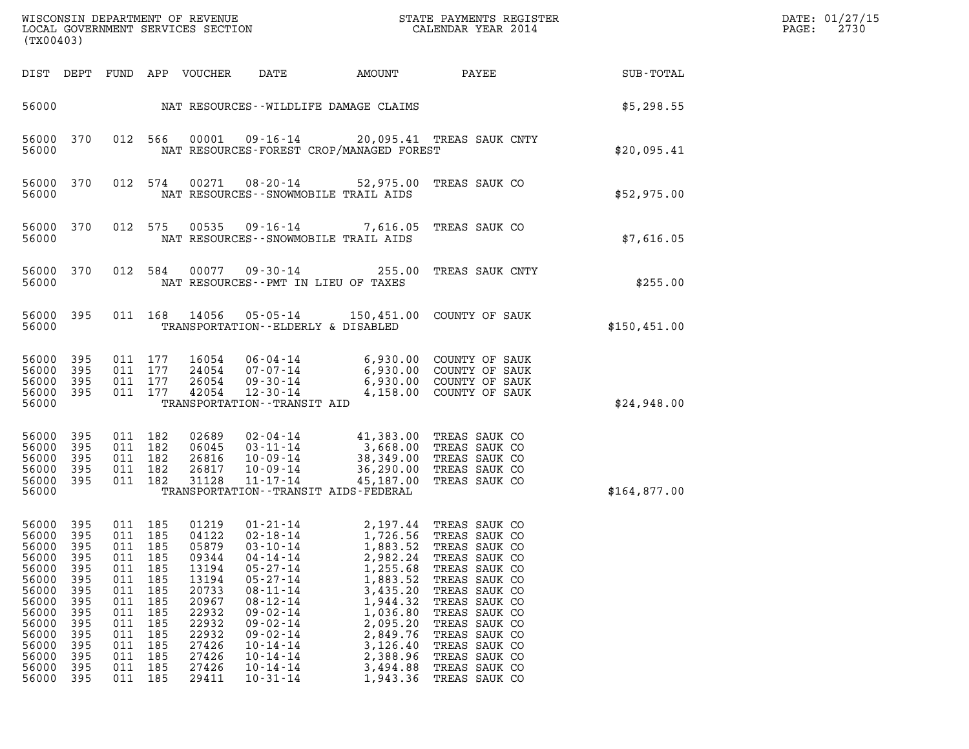| WISCONSIN DEPARTMENT OF REVENUE<br>LOCAL GOVERNMENT SERVICES SECTION<br>(TX00403)                                                                                                                                                            |                                                                                                |                                                                                                           |                                                                                                                                     |                                                                                                                                                                                                                                                                      |                                                                                                                                                                                  | STATE PAYMENTS REGISTER<br>CALENDAR YEAR 2014                                                                                                                                                                                                               |              | DATE: 01/27/15<br>2730<br>PAGE: |
|----------------------------------------------------------------------------------------------------------------------------------------------------------------------------------------------------------------------------------------------|------------------------------------------------------------------------------------------------|-----------------------------------------------------------------------------------------------------------|-------------------------------------------------------------------------------------------------------------------------------------|----------------------------------------------------------------------------------------------------------------------------------------------------------------------------------------------------------------------------------------------------------------------|----------------------------------------------------------------------------------------------------------------------------------------------------------------------------------|-------------------------------------------------------------------------------------------------------------------------------------------------------------------------------------------------------------------------------------------------------------|--------------|---------------------------------|
| DIST DEPT                                                                                                                                                                                                                                    | FUND                                                                                           |                                                                                                           | APP VOUCHER                                                                                                                         | DATE                                                                                                                                                                                                                                                                 | AMOUNT                                                                                                                                                                           | PAYEE                                                                                                                                                                                                                                                       | SUB-TOTAL    |                                 |
| 56000                                                                                                                                                                                                                                        |                                                                                                |                                                                                                           |                                                                                                                                     | NAT RESOURCES--WILDLIFE DAMAGE CLAIMS                                                                                                                                                                                                                                |                                                                                                                                                                                  |                                                                                                                                                                                                                                                             | \$5,298.55   |                                 |
| 56000<br>370<br>56000                                                                                                                                                                                                                        |                                                                                                | 012 566                                                                                                   | 00001                                                                                                                               | 09-16-14<br>NAT RESOURCES-FOREST CROP/MANAGED FOREST                                                                                                                                                                                                                 |                                                                                                                                                                                  | 20,095.41 TREAS SAUK CNTY                                                                                                                                                                                                                                   | \$20,095.41  |                                 |
| 56000<br>370<br>56000                                                                                                                                                                                                                        | 012                                                                                            | 574                                                                                                       | 00271                                                                                                                               | 08-20-14<br>NAT RESOURCES - - SNOWMOBILE TRAIL AIDS                                                                                                                                                                                                                  | 52,975.00                                                                                                                                                                        | TREAS SAUK CO                                                                                                                                                                                                                                               | \$52,975.00  |                                 |
| 370<br>56000<br>56000                                                                                                                                                                                                                        |                                                                                                | 012 575                                                                                                   | 00535                                                                                                                               | 09-16-14<br>NAT RESOURCES - - SNOWMOBILE TRAIL AIDS                                                                                                                                                                                                                  | 7,616.05                                                                                                                                                                         | TREAS SAUK CO                                                                                                                                                                                                                                               | \$7,616.05   |                                 |
| 56000<br>370<br>56000                                                                                                                                                                                                                        | 012                                                                                            | 584                                                                                                       | 00077                                                                                                                               | 09-30-14<br>NAT RESOURCES -- PMT IN LIEU OF TAXES                                                                                                                                                                                                                    | 255.00                                                                                                                                                                           | TREAS SAUK CNTY                                                                                                                                                                                                                                             | \$255.00     |                                 |
| 56000<br>395<br>56000                                                                                                                                                                                                                        |                                                                                                | 011 168                                                                                                   | 14056                                                                                                                               | 05-05-14<br>TRANSPORTATION--ELDERLY & DISABLED                                                                                                                                                                                                                       |                                                                                                                                                                                  | 150,451.00 COUNTY OF SAUK                                                                                                                                                                                                                                   | \$150,451.00 |                                 |
| 56000<br>395<br>56000<br>395<br>56000<br>395<br>56000<br>395<br>56000                                                                                                                                                                        | 011                                                                                            | 011 177<br>011 177<br>177<br>011 177                                                                      | 16054<br>24054<br>26054<br>42054                                                                                                    | 06-04-14<br>07-07-14<br>$09 - 30 - 14$<br>12-30-14<br>TRANSPORTATION - - TRANSIT AID                                                                                                                                                                                 | 6,930.00<br>6,930.00<br>4,158.00                                                                                                                                                 | COUNTY OF SAUK<br>6,930.00 COUNTY OF SAUK<br>COUNTY OF SAUK<br>COUNTY OF SAUK                                                                                                                                                                               | \$24,948.00  |                                 |
| 56000<br>395<br>56000<br>395<br>56000<br>395<br>56000<br>395<br>56000<br>395<br>56000                                                                                                                                                        | 011<br>011<br>011<br>011<br>011                                                                | 182<br>182<br>182<br>182<br>182                                                                           | 02689<br>06045<br>26816<br>26817<br>31128                                                                                           | $02 - 04 - 14$<br>$03 - 11 - 14$<br>10-09-14<br>$10 - 09 - 14$<br>11-17-14<br>TRANSPORTATION - - TRANSIT AIDS - FEDERAL                                                                                                                                              | 41,383.00<br>3,668.00<br>38,349.00<br>36,290.00<br>45,187.00                                                                                                                     | TREAS SAUK CO<br>TREAS SAUK CO<br>TREAS SAUK CO<br>TREAS SAUK CO<br>TREAS SAUK CO                                                                                                                                                                           | \$164,877.00 |                                 |
| 56000<br>395<br>56000<br>395<br>56000<br>395<br>56000<br>395<br>56000<br>395<br>56000<br>395<br>56000<br>395<br>56000<br>395<br>56000<br>395<br>56000<br>395<br>56000<br>395<br>56000<br>395<br>56000<br>395<br>56000<br>395<br>56000<br>395 | 011<br>011<br>011<br>011<br>011<br>011<br>011<br>011<br>011<br>011<br>011<br>011<br>011<br>011 | 011 185<br>185<br>185<br>185<br>185<br>185<br>185<br>185<br>185<br>185<br>185<br>185<br>185<br>185<br>185 | 01219<br>04122<br>05879<br>09344<br>13194<br>13194<br>20733<br>20967<br>22932<br>22932<br>22932<br>27426<br>27426<br>27426<br>29411 | 01-21-14<br>$02 - 18 - 14$<br>$03 - 10 - 14$<br>$04 - 14 - 14$<br>$05 - 27 - 14$<br>$05 - 27 - 14$<br>$08 - 11 - 14$<br>$08 - 12 - 14$<br>$09 - 02 - 14$<br>$09 - 02 - 14$<br>$09 - 02 - 14$<br>$10 - 14 - 14$<br>$10 - 14 - 14$<br>$10 - 14 - 14$<br>$10 - 31 - 14$ | 2,197.44<br>1,726.56<br>1,883.52<br>2,982.24<br>1,255.68<br>1,883.52<br>3,435.20<br>1,944.32<br>1,036.80<br>2,095.20<br>2,849.76<br>3,126.40<br>2,388.96<br>3,494.88<br>1,943.36 | TREAS SAUK CO<br>TREAS SAUK CO<br>TREAS SAUK CO<br>TREAS SAUK CO<br>TREAS SAUK CO<br>TREAS SAUK CO<br>TREAS SAUK CO<br>TREAS SAUK CO<br>TREAS SAUK CO<br>TREAS SAUK CO<br>TREAS SAUK CO<br>TREAS SAUK CO<br>TREAS SAUK CO<br>TREAS SAUK CO<br>TREAS SAUK CO |              |                                 |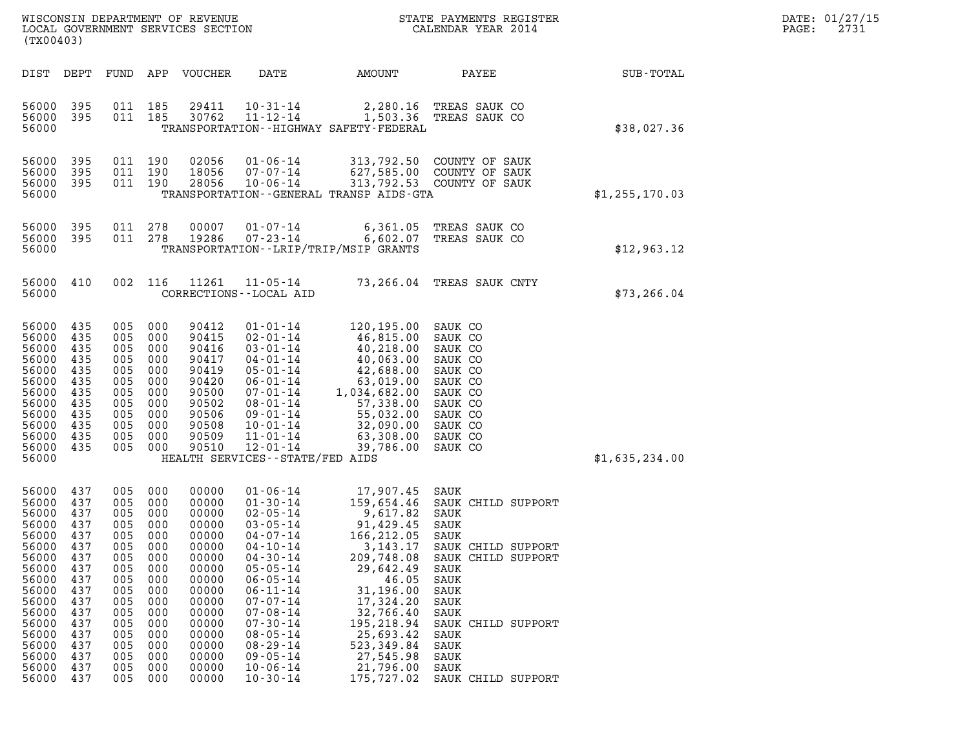| DATE: | 01/27/15 |
|-------|----------|
| PAGE: | 2731     |

| (TX00403)                                                                                                                                                      |                                                                                                                            |                                                                                                                            |                                                                                                                            | WISCONSIN DEPARTMENT OF REVENUE<br>LOCAL GOVERNMENT SERVICES SECTION                                                                                           |                                                                                                                                                                                                                                                                                                                                  |                                                                                                                                                                                                                                           | STATE PAYMENTS REGISTER<br>CALENDAR YEAR 2014                                                                                                                                                                      |                | DATE: 01/27/15<br>PAGE:<br>2731 |
|----------------------------------------------------------------------------------------------------------------------------------------------------------------|----------------------------------------------------------------------------------------------------------------------------|----------------------------------------------------------------------------------------------------------------------------|----------------------------------------------------------------------------------------------------------------------------|----------------------------------------------------------------------------------------------------------------------------------------------------------------|----------------------------------------------------------------------------------------------------------------------------------------------------------------------------------------------------------------------------------------------------------------------------------------------------------------------------------|-------------------------------------------------------------------------------------------------------------------------------------------------------------------------------------------------------------------------------------------|--------------------------------------------------------------------------------------------------------------------------------------------------------------------------------------------------------------------|----------------|---------------------------------|
| DIST DEPT                                                                                                                                                      |                                                                                                                            | FUND                                                                                                                       |                                                                                                                            | APP VOUCHER                                                                                                                                                    | DATE                                                                                                                                                                                                                                                                                                                             | AMOUNT                                                                                                                                                                                                                                    | PAYEE                                                                                                                                                                                                              | SUB-TOTAL      |                                 |
| 56000<br>56000<br>56000                                                                                                                                        | 395<br>395                                                                                                                 | 011 185<br>011 185                                                                                                         |                                                                                                                            | 29411<br>30762                                                                                                                                                 | $10 - 31 - 14$<br>$11 - 12 - 14$                                                                                                                                                                                                                                                                                                 | TRANSPORTATION - - HIGHWAY SAFETY - FEDERAL                                                                                                                                                                                               | 2,280.16 TREAS SAUK CO<br>1,503.36 TREAS SAUK CO                                                                                                                                                                   | \$38,027.36    |                                 |
| 56000<br>56000<br>56000<br>56000                                                                                                                               | 395<br>395<br>395                                                                                                          | 011 190<br>011<br>011 190                                                                                                  | 190                                                                                                                        | 02056<br>18056<br>28056                                                                                                                                        | $01 - 06 - 14$<br>$07 - 07 - 14$<br>$10 - 06 - 14$                                                                                                                                                                                                                                                                               | 313,792.50<br>627,585.00<br>TRANSPORTATION--GENERAL TRANSP AIDS-GTA                                                                                                                                                                       | COUNTY OF SAUK<br>COUNTY OF SAUK<br>313,792.53 COUNTY OF SAUK                                                                                                                                                      | \$1,255,170.03 |                                 |
| 56000<br>56000 395<br>56000                                                                                                                                    | 395                                                                                                                        | 011<br>011 278                                                                                                             | 278                                                                                                                        | 00007<br>19286                                                                                                                                                 | $01 - 07 - 14$<br>$07 - 23 - 14$                                                                                                                                                                                                                                                                                                 | 6,361.05<br>6,602.07<br>TRANSPORTATION - - LRIP/TRIP/MSIP GRANTS                                                                                                                                                                          | TREAS SAUK CO<br>TREAS SAUK CO                                                                                                                                                                                     | \$12,963.12    |                                 |
| 56000 410<br>56000                                                                                                                                             |                                                                                                                            | 002                                                                                                                        | 116                                                                                                                        | 11261                                                                                                                                                          | $11 - 05 - 14$<br>CORRECTIONS - - LOCAL AID                                                                                                                                                                                                                                                                                      |                                                                                                                                                                                                                                           | 73,266.04 TREAS SAUK CNTY                                                                                                                                                                                          | \$73, 266.04   |                                 |
| 56000<br>56000<br>56000<br>56000<br>56000<br>56000<br>56000<br>56000<br>56000<br>56000<br>56000<br>56000<br>56000                                              | 435<br>435<br>435<br>435<br>435<br>435<br>435<br>435<br>435<br>435<br>435<br>435                                           | 005<br>005<br>005<br>005<br>005<br>005<br>005<br>005<br>005<br>005<br>005<br>005                                           | 000<br>000<br>000<br>000<br>000<br>000<br>000<br>000<br>000<br>000<br>000<br>000                                           | 90412<br>90415<br>90416<br>90417<br>90419<br>90420<br>90500<br>90502<br>90506<br>90508<br>90509<br>90510                                                       | $01 - 01 - 14$<br>$02 - 01 - 14$<br>$03 - 01 - 14$<br>$04 - 01 - 14$<br>$05 - 01 - 14$<br>$06 - 01 - 14$<br>$07 - 01 - 14$<br>$08 - 01 - 14$<br>09-01-14<br>$10 - 01 - 14$<br>$11 - 01 - 14$<br>$12 - 01 - 14$<br>HEALTH SERVICES - - STATE/FED AIDS                                                                             | 120,195.00 SAUK CO<br>46,815.00<br>40,218.00<br>40,063.00<br>42,688.00<br>63,019.00<br>1,034,682.00<br>57,338.00<br>55,032.00<br>32,090.00<br>63,308.00<br>39,786.00                                                                      | SAUK CO<br>SAUK CO<br>SAUK CO<br>SAUK CO<br>SAUK CO<br>SAUK CO<br>SAUK CO<br>SAUK CO<br>SAUK CO<br>SAUK CO<br>SAUK CO                                                                                              | \$1,635,234.00 |                                 |
| 56000<br>56000<br>56000<br>56000<br>56000<br>56000<br>56000<br>56000<br>56000<br>56000<br>56000<br>56000<br>56000<br>56000<br>56000<br>56000<br>56000<br>56000 | 437<br>437<br>437<br>437<br>437<br>437<br>437<br>437<br>437<br>437<br>437<br>437<br>437<br>437<br>437<br>437<br>437<br>437 | 005<br>005<br>005<br>005<br>005<br>005<br>005<br>005<br>005<br>005<br>005<br>005<br>005<br>005<br>005<br>005<br>005<br>005 | 000<br>000<br>000<br>000<br>000<br>000<br>000<br>000<br>000<br>000<br>000<br>000<br>000<br>000<br>000<br>000<br>000<br>000 | 00000<br>00000<br>00000<br>00000<br>00000<br>00000<br>00000<br>00000<br>00000<br>00000<br>00000<br>00000<br>00000<br>00000<br>00000<br>00000<br>00000<br>00000 | $01 - 06 - 14$<br>$01 - 30 - 14$<br>$02 - 05 - 14$<br>$03 - 05 - 14$<br>$04 - 07 - 14$<br>$04 - 10 - 14$<br>$04 - 30 - 14$<br>$05 - 05 - 14$<br>$06 - 05 - 14$<br>$06 - 11 - 14$<br>$07 - 07 - 14$<br>$07 - 08 - 14$<br>$07 - 30 - 14$<br>$08 - 05 - 14$<br>$08 - 29 - 14$<br>$09 - 05 - 14$<br>$10 - 06 - 14$<br>$10 - 30 - 14$ | 17,907.45<br>159,654.46<br>9,617.82<br>91,429.45<br>166,212.05<br>3, 143. 17<br>209,748.08<br>29,642.49<br>46.05<br>31,196.00<br>17,324.20<br>32,766.40<br>195,218.94<br>25,693.42<br>523, 349.84<br>27,545.98<br>21,796.00<br>175,727.02 | SAUK<br>SAUK CHILD SUPPORT<br>SAUK<br>SAUK<br>SAUK<br>SAUK CHILD SUPPORT<br>SAUK CHILD SUPPORT<br>SAUK<br>SAUK<br>SAUK<br>SAUK<br>SAUK<br>SAUK CHILD SUPPORT<br>SAUK<br>SAUK<br>SAUK<br>SAUK<br>SAUK CHILD SUPPORT |                |                                 |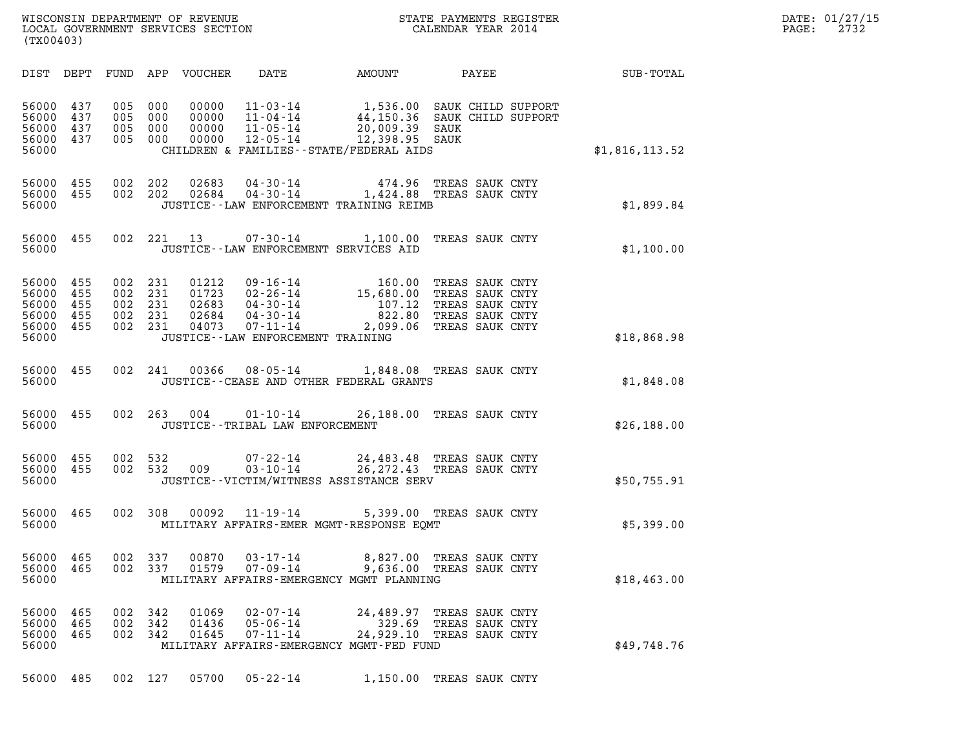| WISCONSIN DEPARTMENT OF REVENUE<br>LOCAL GOVERNMENT SERVICES SECTION<br>(TX00403) | STATE PAYMENTS REGISTER<br>CALENDAR YEAR 2014 | DATE: 01/27/15<br>2732<br>PAGE: |
|-----------------------------------------------------------------------------------|-----------------------------------------------|---------------------------------|

| (TX00403)                                          |                                 |                                 |                                 |                                           |                                                                                                                                |                                                                                |                                                                                             |                |  |
|----------------------------------------------------|---------------------------------|---------------------------------|---------------------------------|-------------------------------------------|--------------------------------------------------------------------------------------------------------------------------------|--------------------------------------------------------------------------------|---------------------------------------------------------------------------------------------|----------------|--|
| DIST DEPT                                          |                                 | FUND                            | APP                             | VOUCHER                                   | DATE                                                                                                                           | <b>AMOUNT</b>                                                                  | <b>PAYEE</b>                                                                                | SUB-TOTAL      |  |
| 56000<br>56000<br>56000<br>56000<br>56000          | 437<br>437<br>437<br>437        | 005<br>005<br>005<br>005        | 000<br>000<br>000<br>000        | 00000<br>00000<br>00000<br>00000          | $11 - 03 - 14$<br>$11 - 04 - 14$<br>$11 - 05 - 14$<br>$12 - 05 - 14$                                                           | 20,009.39 SAUK<br>12,398.95 SAUK<br>CHILDREN & FAMILIES - - STATE/FEDERAL AIDS | 1,536.00 SAUK CHILD SUPPORT<br>44,150.36 SAUK CHILD SUPPORT                                 | \$1,816,113.52 |  |
| 56000<br>56000<br>56000                            | 455<br>455                      | 002<br>002                      | 202<br>202                      | 02683<br>02684                            | $04 - 30 - 14$<br>$04 - 30 - 14$                                                                                               | 474.96<br>JUSTICE - - LAW ENFORCEMENT TRAINING REIMB                           | TREAS SAUK CNTY<br>1,424.88 TREAS SAUK CNTY                                                 | \$1,899.84     |  |
| 56000<br>56000                                     | 455                             | 002                             | 221                             | 13                                        | $07 - 30 - 14$                                                                                                                 | 1,100.00<br>JUSTICE -- LAW ENFORCEMENT SERVICES AID                            | TREAS SAUK CNTY                                                                             | \$1,100.00     |  |
| 56000<br>56000<br>56000<br>56000<br>56000<br>56000 | 455<br>455<br>455<br>455<br>455 | 002<br>002<br>002<br>002<br>002 | 231<br>231<br>231<br>231<br>231 | 01212<br>01723<br>02683<br>02684<br>04073 | $09 - 16 - 14$<br>$02 - 26 - 14$<br>$04 - 30 - 14$<br>$04 - 30 - 14$<br>$07 - 11 - 14$<br>JUSTICE - - LAW ENFORCEMENT TRAINING | 160.00<br>15,680.00<br>107.12<br>822.80<br>2,099.06                            | TREAS SAUK CNTY<br>TREAS SAUK CNTY<br>TREAS SAUK CNTY<br>TREAS SAUK CNTY<br>TREAS SAUK CNTY | \$18,868.98    |  |
| 56000<br>56000                                     | 455                             | 002                             | 241                             | 00366                                     | $08 - 05 - 14$                                                                                                                 | JUSTICE--CEASE AND OTHER FEDERAL GRANTS                                        | 1,848.08 TREAS SAUK CNTY                                                                    | \$1,848.08     |  |
| 56000<br>56000                                     | 455                             | 002                             | 263                             | 004                                       | $01 - 10 - 14$<br>JUSTICE - - TRIBAL LAW ENFORCEMENT                                                                           |                                                                                | 26,188.00 TREAS SAUK CNTY                                                                   | \$26,188.00    |  |
| 56000<br>56000<br>56000                            | 455<br>455                      | 002<br>002                      | 532<br>532                      | 009                                       | $07 - 22 - 14$<br>$03 - 10 - 14$                                                                                               | JUSTICE - - VICTIM/WITNESS ASSISTANCE SERV                                     | 24,483.48 TREAS SAUK CNTY<br>26, 272.43 TREAS SAUK CNTY                                     | \$50,755.91    |  |
| 56000<br>56000                                     | 465                             | 002                             | 308                             | 00092                                     | $11 - 19 - 14$                                                                                                                 | MILITARY AFFAIRS-EMER MGMT-RESPONSE EOMT                                       | 5,399.00 TREAS SAUK CNTY                                                                    | \$5,399.00     |  |
| 56000<br>56000<br>56000                            | 465<br>465                      | 002<br>002                      | 337<br>337                      | 00870<br>01579                            | $03 - 17 - 14$<br>$07 - 09 - 14$                                                                                               | 8,827.00<br>MILITARY AFFAIRS-EMERGENCY MGMT PLANNING                           | TREAS SAUK CNTY<br>9,636.00 TREAS SAUK CNTY                                                 | \$18,463.00    |  |
| 56000<br>56000<br>56000<br>56000                   | 465<br>465<br>465               | 002<br>002<br>002               | 342<br>342<br>342               | 01069<br>01436<br>01645                   | $02 - 07 - 14$<br>$05 - 06 - 14$<br>$07 - 11 - 14$                                                                             | 24,489.97<br>329.69<br>24,929.10<br>MILITARY AFFAIRS-EMERGENCY MGMT-FED FUND   | TREAS SAUK CNTY<br>TREAS SAUK CNTY<br>TREAS SAUK CNTY                                       | \$49,748.76    |  |
| 56000                                              | 485                             |                                 | 002 127                         | 05700                                     | $05 - 22 - 14$                                                                                                                 | 1,150.00                                                                       | TREAS SAUK CNTY                                                                             |                |  |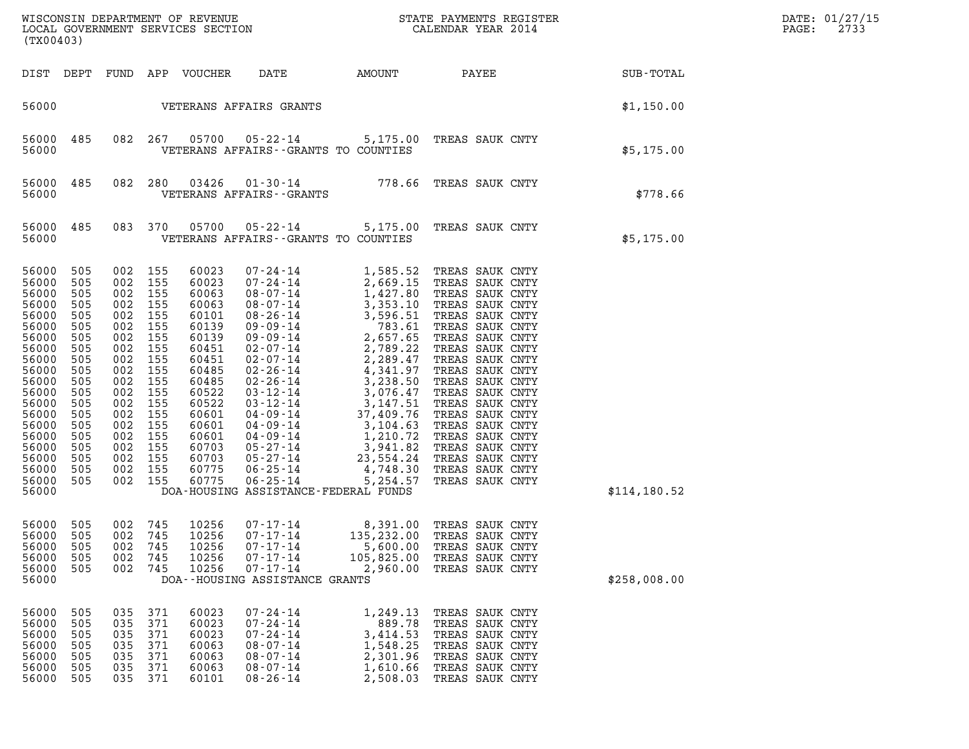| (TX00403)                                                                                                                                                                                 |                                                                                                                                          |                                                                                                                                          |                                                                                                                                          |                                                                                                                                                                                  |                                                                                                                            |                                                                                |                                                                                                                                                                                                                                                                                                                                                                                          |                  | DATE: 01/27/15<br>PAGE:<br>2733 |
|-------------------------------------------------------------------------------------------------------------------------------------------------------------------------------------------|------------------------------------------------------------------------------------------------------------------------------------------|------------------------------------------------------------------------------------------------------------------------------------------|------------------------------------------------------------------------------------------------------------------------------------------|----------------------------------------------------------------------------------------------------------------------------------------------------------------------------------|----------------------------------------------------------------------------------------------------------------------------|--------------------------------------------------------------------------------|------------------------------------------------------------------------------------------------------------------------------------------------------------------------------------------------------------------------------------------------------------------------------------------------------------------------------------------------------------------------------------------|------------------|---------------------------------|
| DIST DEPT                                                                                                                                                                                 |                                                                                                                                          |                                                                                                                                          |                                                                                                                                          | FUND APP VOUCHER                                                                                                                                                                 | DATE                                                                                                                       |                                                                                | AMOUNT PAYEE                                                                                                                                                                                                                                                                                                                                                                             | <b>SUB-TOTAL</b> |                                 |
| 56000                                                                                                                                                                                     |                                                                                                                                          |                                                                                                                                          |                                                                                                                                          |                                                                                                                                                                                  | VETERANS AFFAIRS GRANTS                                                                                                    |                                                                                |                                                                                                                                                                                                                                                                                                                                                                                          | \$1,150.00       |                                 |
| 56000<br>56000                                                                                                                                                                            | 485                                                                                                                                      |                                                                                                                                          | 082 267                                                                                                                                  | 05700                                                                                                                                                                            |                                                                                                                            | VETERANS AFFAIRS -- GRANTS TO COUNTIES                                         | 05-22-14 5,175.00 TREAS SAUK CNTY                                                                                                                                                                                                                                                                                                                                                        | \$5,175.00       |                                 |
| 56000<br>56000                                                                                                                                                                            | 485                                                                                                                                      |                                                                                                                                          | 082 280                                                                                                                                  | 03426                                                                                                                                                                            | VETERANS AFFAIRS - - GRANTS                                                                                                |                                                                                | 01-30-14 778.66 TREAS SAUK CNTY                                                                                                                                                                                                                                                                                                                                                          | \$778.66         |                                 |
| 56000<br>56000                                                                                                                                                                            | 485                                                                                                                                      |                                                                                                                                          | 083 370                                                                                                                                  | 05700                                                                                                                                                                            |                                                                                                                            | VETERANS AFFAIRS -- GRANTS TO COUNTIES                                         | 05-22-14 5,175.00 TREAS SAUK CNTY                                                                                                                                                                                                                                                                                                                                                        | \$5,175.00       |                                 |
| 56000<br>56000<br>56000<br>56000<br>56000<br>56000<br>56000<br>56000<br>56000<br>56000<br>56000<br>56000<br>56000<br>56000<br>56000<br>56000<br>56000<br>56000<br>56000<br>56000<br>56000 | 505<br>505<br>505<br>505<br>505<br>505<br>505<br>505<br>505<br>505<br>505<br>505<br>505<br>505<br>505<br>505<br>505<br>505<br>505<br>505 | 002<br>002<br>002<br>002<br>002<br>002<br>002<br>002<br>002<br>002<br>002<br>002<br>002<br>002<br>002<br>002<br>002<br>002<br>002<br>002 | 155<br>155<br>155<br>155<br>155<br>155<br>155<br>155<br>155<br>155<br>155<br>155<br>155<br>155<br>155<br>155<br>155<br>155<br>155<br>155 | 60023<br>60023<br>60063<br>60063<br>60101<br>60139<br>60139<br>60451<br>60451<br>60485<br>60485<br>60522<br>60522<br>60601<br>60601<br>60601<br>60703<br>60703<br>60775<br>60775 | $06 - 25 - 14$                                                                                                             | 5,254.57<br>DOA-HOUSING ASSISTANCE-FEDERAL FUNDS                               | TREAS SAUK CNTY<br>TREAS SAUK CNTY<br>TREAS SAUK CNTY<br>TREAS SAUK CNTY<br>TREAS SAUK CNTY<br>TREAS SAUK CNTY<br>TREAS SAUK CNTY<br>TREAS SAUK CNTY<br>TREAS SAUK CNTY<br>TREAS SAUK CNTY<br>TREAS SAUK CNTY<br>TREAS SAUK CNTY<br>TREAS SAUK CNTY<br>TREAS SAUK CNTY<br>TREAS SAUK CNTY<br>TREAS SAUK CNTY<br>TREAS SAUK CNTY<br>TREAS SAUK CNTY<br>TREAS SAUK CNTY<br>TREAS SAUK CNTY | \$114, 180.52    |                                 |
| 56000 505<br>56000<br>56000<br>56000<br>56000<br>56000                                                                                                                                    | 505<br>505<br>505<br>505                                                                                                                 | 002<br>002<br>002<br>002                                                                                                                 | 002 745<br>745<br>745<br>745<br>745                                                                                                      | 10256<br>10256<br>10256<br>10256<br>10256                                                                                                                                        | $07 - 17 - 14$<br>$07 - 17 - 14$<br>$07 - 17 - 14$<br>$07 - 17 - 14$<br>$07 - 17 - 14$<br>DOA--HOUSING ASSISTANCE GRANTS   | 135,232.00<br>5,600.00<br>105,825.00<br>2,960.00                               | 8,391.00 TREAS SAUK CNTY<br>TREAS SAUK CNTY<br>TREAS SAUK CNTY<br>TREAS SAUK CNTY<br>TREAS SAUK CNTY                                                                                                                                                                                                                                                                                     | \$258,008.00     |                                 |
| 56000<br>56000<br>56000<br>56000<br>56000<br>56000<br>56000                                                                                                                               | 505<br>505<br>505<br>505<br>505<br>505<br>505                                                                                            | 035<br>035<br>035<br>035<br>035<br>035<br>035                                                                                            | 371<br>371<br>371<br>371<br>371<br>371<br>371                                                                                            | 60023<br>60023<br>60023<br>60063<br>60063<br>60063<br>60101                                                                                                                      | $07 - 24 - 14$<br>$07 - 24 - 14$<br>$07 - 24 - 14$<br>$08 - 07 - 14$<br>$08 - 07 - 14$<br>$08 - 07 - 14$<br>$08 - 26 - 14$ | 1,249.13<br>889.78<br>3,414.53<br>1,548.25<br>2,301.96<br>1,610.66<br>2,508.03 | TREAS SAUK CNTY<br>TREAS SAUK CNTY<br>TREAS SAUK CNTY<br>TREAS SAUK CNTY<br>TREAS SAUK CNTY<br>TREAS SAUK CNTY<br>TREAS SAUK CNTY                                                                                                                                                                                                                                                        |                  |                                 |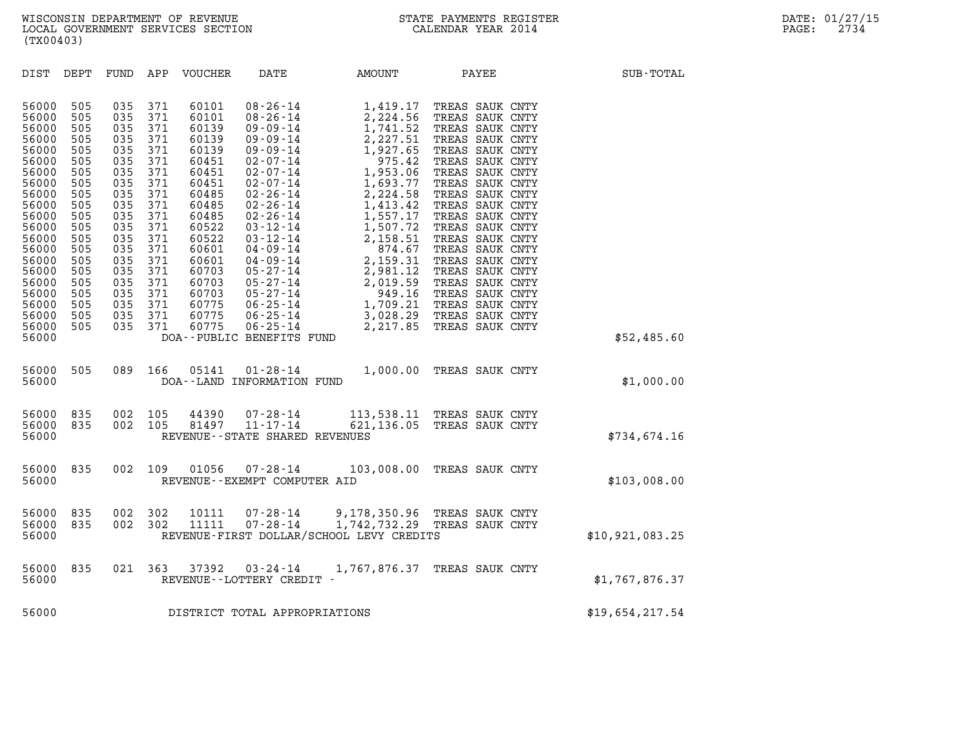| (TX00403)                                                                                                                                                                                          |                                                                                                                                                 |                                                                                                                                                 |                                                                                                                                                 |                                                                                                                                                                                           |                                                                                                                                                                                                                                                                                                                                                                                                                     |                                                                                                                                                                                                                                                    |                                                                                                                                                                                                                                                                                                                                                                                                             |                 |
|----------------------------------------------------------------------------------------------------------------------------------------------------------------------------------------------------|-------------------------------------------------------------------------------------------------------------------------------------------------|-------------------------------------------------------------------------------------------------------------------------------------------------|-------------------------------------------------------------------------------------------------------------------------------------------------|-------------------------------------------------------------------------------------------------------------------------------------------------------------------------------------------|---------------------------------------------------------------------------------------------------------------------------------------------------------------------------------------------------------------------------------------------------------------------------------------------------------------------------------------------------------------------------------------------------------------------|----------------------------------------------------------------------------------------------------------------------------------------------------------------------------------------------------------------------------------------------------|-------------------------------------------------------------------------------------------------------------------------------------------------------------------------------------------------------------------------------------------------------------------------------------------------------------------------------------------------------------------------------------------------------------|-----------------|
| DIST                                                                                                                                                                                               | DEPT                                                                                                                                            | FUND                                                                                                                                            | APP                                                                                                                                             | VOUCHER                                                                                                                                                                                   | DATE                                                                                                                                                                                                                                                                                                                                                                                                                | AMOUNT                                                                                                                                                                                                                                             | PAYEE                                                                                                                                                                                                                                                                                                                                                                                                       | SUB-TOTAL       |
| 56000<br>56000<br>56000<br>56000<br>56000<br>56000<br>56000<br>56000<br>56000<br>56000<br>56000<br>56000<br>56000<br>56000<br>56000<br>56000<br>56000<br>56000<br>56000<br>56000<br>56000<br>56000 | 505<br>505<br>505<br>505<br>505<br>505<br>505<br>505<br>505<br>505<br>505<br>505<br>505<br>505<br>505<br>505<br>505<br>505<br>505<br>505<br>505 | 035<br>035<br>035<br>035<br>035<br>035<br>035<br>035<br>035<br>035<br>035<br>035<br>035<br>035<br>035<br>035<br>035<br>035<br>035<br>035<br>035 | 371<br>371<br>371<br>371<br>371<br>371<br>371<br>371<br>371<br>371<br>371<br>371<br>371<br>371<br>371<br>371<br>371<br>371<br>371<br>371<br>371 | 60101<br>60101<br>60139<br>60139<br>60139<br>60451<br>60451<br>60451<br>60485<br>60485<br>60485<br>60522<br>60522<br>60601<br>60601<br>60703<br>60703<br>60703<br>60775<br>60775<br>60775 | $08 - 26 - 14$<br>$08 - 26 - 14$<br>$09 - 09 - 14$<br>$09 - 09 - 14$<br>$09 - 09 - 14$<br>$02 - 07 - 14$<br>$02 - 07 - 14$<br>$02 - 07 - 14$<br>$02 - 26 - 14$<br>$02 - 26 - 14$<br>$02 - 26 - 14$<br>$03 - 12 - 14$<br>$03 - 12 - 14$<br>$04 - 09 - 14$<br>$04 - 09 - 14$<br>$05 - 27 - 14$<br>$05 - 27 - 14$<br>$05 - 27 - 14$<br>$06 - 25 - 14$<br>$06 - 25 - 14$<br>$06 - 25 - 14$<br>DOA--PUBLIC BENEFITS FUND | 1,419.17<br>2,224.56<br>1,741.52<br>2,227.51<br>1,927.65<br>975.42<br>1,953.06<br>1,693.77<br>2,224.58<br>1,413.42<br>1,557.17<br>1,507.72<br>2,158.51<br>874.67<br>2,159.31<br>2,981.12<br>2,019.59<br>949.16<br>1,709.21<br>3,028.29<br>2,217.85 | TREAS SAUK CNTY<br>TREAS SAUK CNTY<br>TREAS SAUK CNTY<br>TREAS SAUK CNTY<br>TREAS SAUK CNTY<br>TREAS SAUK CNTY<br>TREAS SAUK CNTY<br>TREAS SAUK CNTY<br>TREAS SAUK CNTY<br>TREAS SAUK CNTY<br>TREAS SAUK CNTY<br>TREAS SAUK CNTY<br>TREAS SAUK CNTY<br>TREAS SAUK CNTY<br>TREAS SAUK CNTY<br>TREAS SAUK CNTY<br>TREAS SAUK CNTY<br>TREAS SAUK CNTY<br>TREAS SAUK CNTY<br>TREAS SAUK CNTY<br>TREAS SAUK CNTY | \$52,485.60     |
| 56000<br>56000                                                                                                                                                                                     | 505                                                                                                                                             | 089                                                                                                                                             | 166                                                                                                                                             | 05141                                                                                                                                                                                     | $01 - 28 - 14$<br>DOA--LAND INFORMATION FUND                                                                                                                                                                                                                                                                                                                                                                        | 1,000.00                                                                                                                                                                                                                                           | TREAS SAUK CNTY                                                                                                                                                                                                                                                                                                                                                                                             | \$1,000.00      |
| 56000<br>56000<br>56000                                                                                                                                                                            | 835<br>835                                                                                                                                      | 002<br>002                                                                                                                                      | 105<br>105                                                                                                                                      | 44390<br>81497                                                                                                                                                                            | $07 - 28 - 14$<br>$11 - 17 - 14$<br>REVENUE - - STATE SHARED REVENUES                                                                                                                                                                                                                                                                                                                                               | 113,538.11 TREAS SAUK CNTY<br>621,136.05                                                                                                                                                                                                           | TREAS SAUK CNTY                                                                                                                                                                                                                                                                                                                                                                                             | \$734,674.16    |
| 56000<br>56000                                                                                                                                                                                     | 835                                                                                                                                             | 002                                                                                                                                             | 109                                                                                                                                             | 01056                                                                                                                                                                                     | $07 - 28 - 14$<br>REVENUE--EXEMPT COMPUTER AID                                                                                                                                                                                                                                                                                                                                                                      | 103,008.00                                                                                                                                                                                                                                         | TREAS SAUK CNTY                                                                                                                                                                                                                                                                                                                                                                                             | \$103,008.00    |
| 56000<br>56000<br>56000                                                                                                                                                                            | 835<br>835                                                                                                                                      | 002<br>002                                                                                                                                      | 302<br>302                                                                                                                                      | 10111<br>11111                                                                                                                                                                            | $07 - 28 - 14$<br>$07 - 28 - 14$                                                                                                                                                                                                                                                                                                                                                                                    | 9,178,350.96<br>1,742,732.29 TREAS SAUK CNTY<br>REVENUE-FIRST DOLLAR/SCHOOL LEVY CREDITS                                                                                                                                                           | TREAS SAUK CNTY                                                                                                                                                                                                                                                                                                                                                                                             | \$10,921,083.25 |
| 56000<br>56000                                                                                                                                                                                     | 835                                                                                                                                             | 021                                                                                                                                             | 363                                                                                                                                             | 37392                                                                                                                                                                                     | $03 - 24 - 14$<br>REVENUE--LOTTERY CREDIT -                                                                                                                                                                                                                                                                                                                                                                         | 1,767,876.37                                                                                                                                                                                                                                       | TREAS SAUK CNTY                                                                                                                                                                                                                                                                                                                                                                                             | \$1,767,876.37  |
| 56000                                                                                                                                                                                              |                                                                                                                                                 |                                                                                                                                                 |                                                                                                                                                 |                                                                                                                                                                                           | DISTRICT TOTAL APPROPRIATIONS                                                                                                                                                                                                                                                                                                                                                                                       |                                                                                                                                                                                                                                                    |                                                                                                                                                                                                                                                                                                                                                                                                             | \$19,654,217.54 |
|                                                                                                                                                                                                    |                                                                                                                                                 |                                                                                                                                                 |                                                                                                                                                 |                                                                                                                                                                                           |                                                                                                                                                                                                                                                                                                                                                                                                                     |                                                                                                                                                                                                                                                    |                                                                                                                                                                                                                                                                                                                                                                                                             |                 |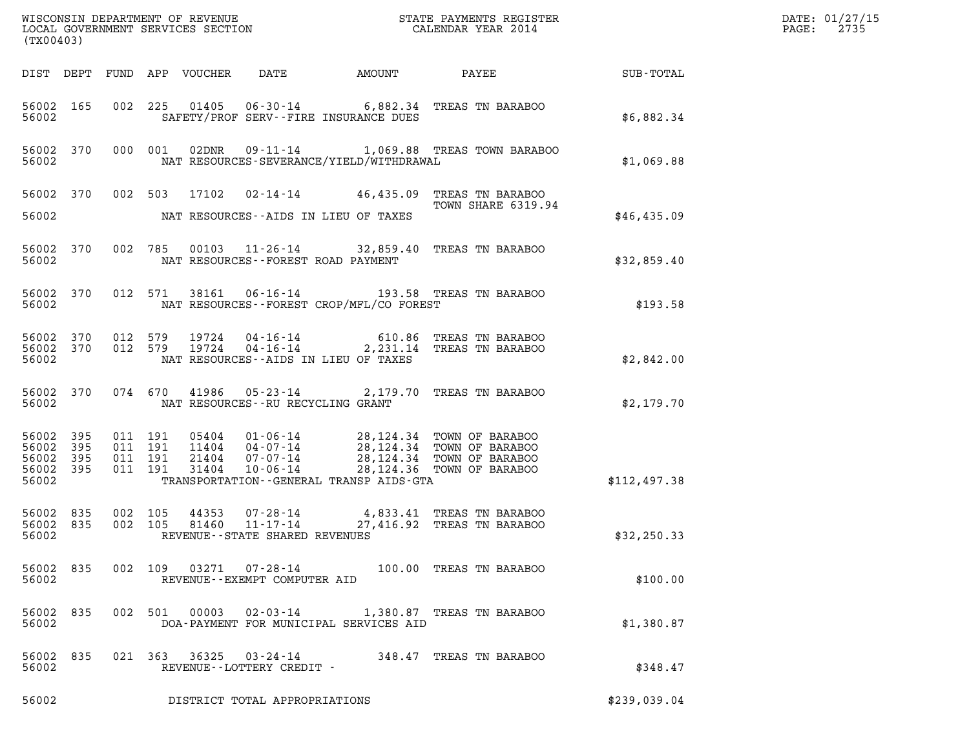| (TX00403)                                |                  |                    |                                          |                                                     |                                              | DATE: 01/27/15<br>2735<br>$\mathtt{PAGE:}$                                                                                                                                                                                                                  |              |  |
|------------------------------------------|------------------|--------------------|------------------------------------------|-----------------------------------------------------|----------------------------------------------|-------------------------------------------------------------------------------------------------------------------------------------------------------------------------------------------------------------------------------------------------------------|--------------|--|
|                                          |                  |                    |                                          |                                                     |                                              | DIST DEPT FUND APP VOUCHER DATE AMOUNT PAYEE SUB-TOTAL                                                                                                                                                                                                      |              |  |
| 56002                                    | 56002 165        |                    |                                          |                                                     | SAFETY/PROF SERV--FIRE INSURANCE DUES        | 002 225 01405 06-30-14 6,882.34 TREAS TN BARABOO                                                                                                                                                                                                            | \$6,882.34   |  |
| 56002                                    |                  |                    |                                          |                                                     | NAT RESOURCES-SEVERANCE/YIELD/WITHDRAWAL     | 56002 370 000 001 02DNR 09-11-14 1,069.88 TREAS TOWN BARABOO                                                                                                                                                                                                | \$1,069.88   |  |
|                                          |                  |                    |                                          |                                                     |                                              | 56002 370 002 503 17102 02-14-14 46,435.09 TREAS TN BARABOO<br>TOWN SHARE 6319.94                                                                                                                                                                           |              |  |
|                                          |                  |                    |                                          |                                                     | 56002 NAT RESOURCES--AIDS IN LIEU OF TAXES   |                                                                                                                                                                                                                                                             | \$46,435.09  |  |
| 56002                                    |                  |                    |                                          | NAT RESOURCES--FOREST ROAD PAYMENT                  |                                              | 56002 370 002 785 00103 11-26-14 32,859.40 TREAS TN BARABOO                                                                                                                                                                                                 | \$32,859.40  |  |
| 56002                                    |                  |                    |                                          |                                                     | NAT RESOURCES - - FOREST CROP/MFL/CO FOREST  | 56002 370 012 571 38161 06-16-14 193.58 TREAS TN BARABOO                                                                                                                                                                                                    | \$193.58     |  |
| 56002                                    |                  |                    |                                          |                                                     | NAT RESOURCES -- AIDS IN LIEU OF TAXES       | 56002 370 012 579 19724 04-16-14 610.86 TREAS TN BARABOO 56002 370 012 579 19724 04-16-14 2,231.14 TREAS TN BARABOO                                                                                                                                         | \$2,842.00   |  |
|                                          |                  |                    |                                          | 56002 NAT RESOURCES--RU RECYCLING GRANT             |                                              | 56002 370 074 670 41986 05-23-14 2,179.70 TREAS TN BARABOO                                                                                                                                                                                                  | \$2,179.70   |  |
| 56002 395<br>56002<br>56002 395<br>56002 | 395<br>56002 395 |                    | 011 191<br>011 191<br>011 191<br>011 191 |                                                     | TRANSPORTATION - - GENERAL TRANSP AIDS - GTA | $\begin{tabular}{c c c c c c c c c} 0.5404 & 01-06-14 & 28,124.34 & TOWN OF BARABOO \\ 11404 & 04-07-14 & 28,124.34 & TOWN OF BARABOO \\ 21404 & 07-07-14 & 28,124.34 & TOWN OF BARABOO \\ 31404 & 10-06-14 & 28,124.36 & TOWN OF BARABOO \\ \end{tabular}$ | \$112,497.38 |  |
| 56002 835<br>56002 835<br>56002          |                  | 002 105<br>002 105 |                                          | 81460 11-17-14<br>REVENUE - - STATE SHARED REVENUES |                                              | 44353 07-28-14 4,833.41 TREAS TN BARABOO<br>27,416.92 TREAS TN BARABOO                                                                                                                                                                                      | \$32,250.33  |  |
| 56002                                    | 56002 835        |                    |                                          | REVENUE--EXEMPT COMPUTER AID                        |                                              | 002 109 03271 07-28-14 100.00 TREAS TN BARABOO                                                                                                                                                                                                              | \$100.00     |  |
| 56002                                    | 56002 835        |                    | 002 501 00003                            |                                                     | DOA-PAYMENT FOR MUNICIPAL SERVICES AID       | 02-03-14 1,380.87 TREAS TN BARABOO                                                                                                                                                                                                                          | \$1,380.87   |  |
| 56002 835<br>56002                       |                  |                    |                                          | REVENUE--LOTTERY CREDIT -                           |                                              | 021 363 36325 03-24-14 348.47 TREAS TN BARABOO                                                                                                                                                                                                              | \$348.47     |  |
| 56002                                    |                  |                    |                                          | DISTRICT TOTAL APPROPRIATIONS                       |                                              |                                                                                                                                                                                                                                                             | \$239,039.04 |  |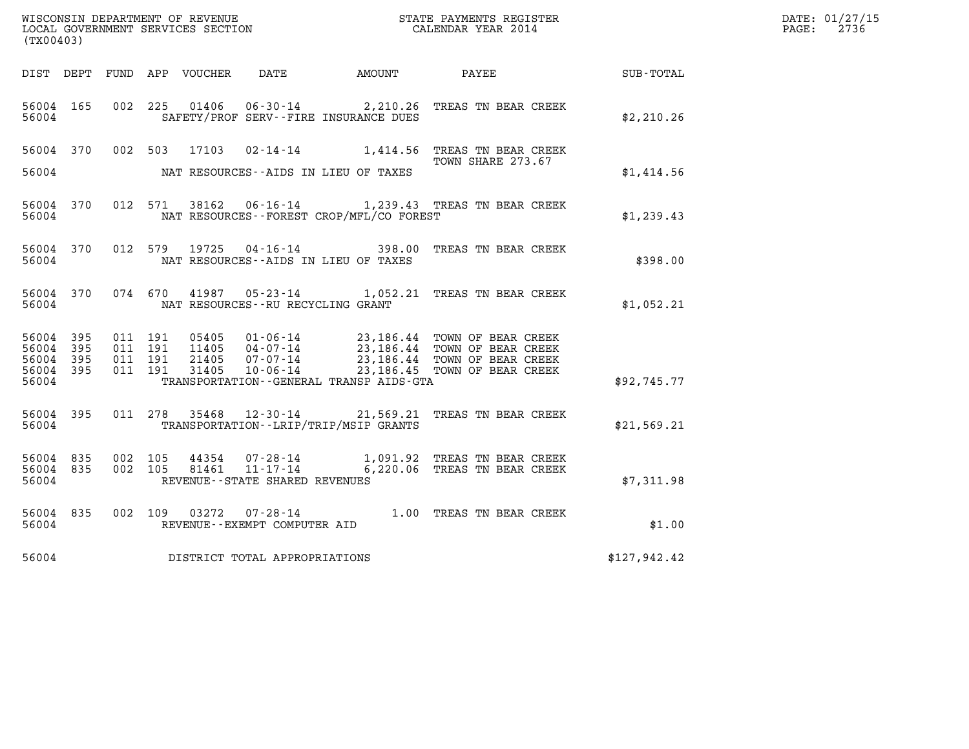| (TX00403)                       |              |                               |         |                         |                                      |                                              |                                                                                                                                                                  |              | DATE: 01/27/15<br>$\mathtt{PAGE:}$<br>2736 |
|---------------------------------|--------------|-------------------------------|---------|-------------------------|--------------------------------------|----------------------------------------------|------------------------------------------------------------------------------------------------------------------------------------------------------------------|--------------|--------------------------------------------|
|                                 |              |                               |         |                         |                                      | DIST DEPT FUND APP VOUCHER DATE AMOUNT PAYEE |                                                                                                                                                                  | SUB-TOTAL    |                                            |
| 56004 165<br>56004              |              |                               | 002 225 | 01406                   |                                      | SAFETY/PROF SERV--FIRE INSURANCE DUES        | 06-30-14 2,210.26 TREAS TN BEAR CREEK                                                                                                                            | \$2,210.26   |                                            |
| 56004 370                       |              |                               |         |                         |                                      |                                              | 002 503 17103 02-14-14 1,414.56 TREAS TN BEAR CREEK<br>TOWN SHARE 273.67                                                                                         |              |                                            |
| 56004                           |              |                               |         |                         |                                      | NAT RESOURCES--AIDS IN LIEU OF TAXES         |                                                                                                                                                                  | \$1,414.56   |                                            |
| 56004 370<br>56004              |              |                               |         |                         |                                      | NAT RESOURCES--FOREST CROP/MFL/CO FOREST     | 012 571 38162 06-16-14 1,239.43 TREAS TN BEAR CREEK                                                                                                              | \$1,239.43   |                                            |
| 56004 370<br>56004              |              |                               |         |                         |                                      | NAT RESOURCES--AIDS IN LIEU OF TAXES         | 012 579 19725 04-16-14 398.00 TREAS TN BEAR CREEK                                                                                                                | \$398.00     |                                            |
| 56004 370<br>56004              |              |                               | 074 670 | 41987                   | NAT RESOURCES - - RU RECYCLING GRANT |                                              | 05-23-14 1,052.21 TREAS TN BEAR CREEK                                                                                                                            | \$1,052.21   |                                            |
| 56004 395<br>56004<br>56004     | - 395<br>395 | 011 191<br>011 191<br>011 191 |         | 05405<br>11405<br>21405 |                                      |                                              | 01-06-14 23,186.44 TOWN OF BEAR CREEK<br>04-07-14 23,186.44 TOWN OF BEAR CREEK<br>07-07-14 23,186.44 TOWN OF BEAR CREEK<br>10-06-14 23,186.45 TOWN OF BEAR CREEK |              |                                            |
| 56004<br>56004                  | - 395        | 011 191                       |         | 31405                   |                                      | TRANSPORTATION--GENERAL TRANSP AIDS-GTA      |                                                                                                                                                                  | \$92,745.77  |                                            |
| 56004 395<br>56004              |              |                               |         |                         |                                      | TRANSPORTATION - - LRIP/TRIP/MSIP GRANTS     | 011 278 35468 12-30-14 21,569.21 TREAS TN BEAR CREEK                                                                                                             | \$21,569.21  |                                            |
| 56004 835<br>56004 835<br>56004 |              | 002 105                       | 002 105 | 44354<br>81461          | REVENUE - - STATE SHARED REVENUES    |                                              | 07-28-14 1,091.92 TREAS TN BEAR CREEK<br>11-17-14 6,220.06 TREAS TN BEAR CREEK                                                                                   | \$7,311.98   |                                            |
| 56004 835<br>56004              |              | 002 109                       |         | 03272                   | REVENUE--EXEMPT COMPUTER AID         |                                              | 07-28-14 1.00 TREAS TN BEAR CREEK                                                                                                                                | \$1.00       |                                            |
| 56004                           |              |                               |         |                         | DISTRICT TOTAL APPROPRIATIONS        |                                              |                                                                                                                                                                  | \$127,942.42 |                                            |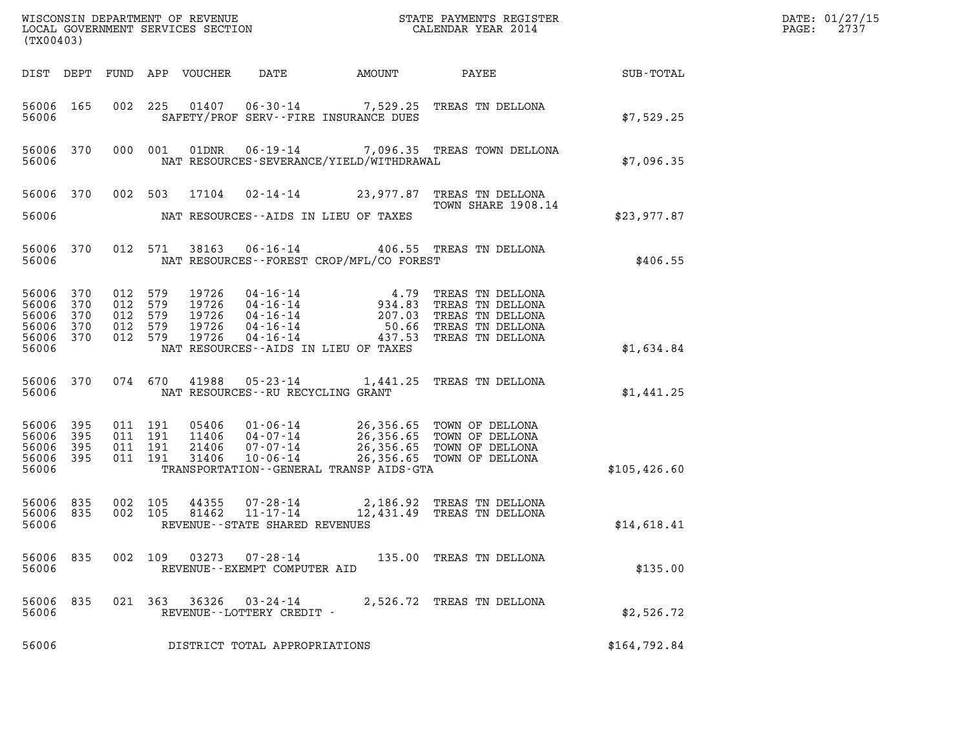| (TX00403)                                                  |                   |                                                     |                    |                            |                                                |                                             |                                                                                                                                                               |                  | DATE: 01/27/15<br>$\mathtt{PAGE:}$<br>2737 |
|------------------------------------------------------------|-------------------|-----------------------------------------------------|--------------------|----------------------------|------------------------------------------------|---------------------------------------------|---------------------------------------------------------------------------------------------------------------------------------------------------------------|------------------|--------------------------------------------|
|                                                            |                   |                                                     |                    | DIST DEPT FUND APP VOUCHER | DATE                                           | AMOUNT                                      | PAYEE                                                                                                                                                         | <b>SUB-TOTAL</b> |                                            |
| 56006 165<br>56006                                         |                   |                                                     |                    |                            |                                                | SAFETY/PROF SERV--FIRE INSURANCE DUES       | 002 225 01407 06-30-14 7,529.25 TREAS TN DELLONA                                                                                                              | \$7,529.25       |                                            |
| 56006 370<br>56006                                         |                   |                                                     | 000 001            |                            |                                                | NAT RESOURCES-SEVERANCE/YIELD/WITHDRAWAL    | 01DNR  06-19-14  7,096.35  TREAS TOWN DELLONA                                                                                                                 | \$7,096.35       |                                            |
|                                                            |                   |                                                     |                    |                            |                                                |                                             | 56006 370 002 503 17104 02-14-14 23,977.87 TREAS TN DELLONA<br>TOWN SHARE 1908.14                                                                             |                  |                                            |
| 56006                                                      |                   |                                                     |                    |                            |                                                | NAT RESOURCES--AIDS IN LIEU OF TAXES        |                                                                                                                                                               | \$23,977.87      |                                            |
| 56006 370<br>56006                                         |                   |                                                     |                    |                            |                                                | NAT RESOURCES - - FOREST CROP/MFL/CO FOREST | 012 571 38163 06-16-14 406.55 TREAS TN DELLONA                                                                                                                | \$406.55         |                                            |
| 56006 370<br>56006<br>56006<br>56006<br>56006 370<br>56006 | 370<br>370<br>370 | 012 579<br>012 579<br>012 579<br>012 579<br>012 579 |                    |                            |                                                | NAT RESOURCES--AIDS IN LIEU OF TAXES        |                                                                                                                                                               | \$1,634.84       |                                            |
| 56006                                                      |                   |                                                     |                    |                            |                                                | NAT RESOURCES--RU RECYCLING GRANT           | 56006 370 074 670 41988 05-23-14 1,441.25 TREAS TN DELLONA                                                                                                    | \$1,441.25       |                                            |
| 56006 395<br>56006 395<br>56006<br>56006 395<br>56006      | 395               | 011 191<br>011 191                                  | 011 191<br>011 191 | 31406                      | $10 - 06 - 14$                                 | TRANSPORTATION--GENERAL TRANSP AIDS-GTA     | 05406 01-06-14 26,356.65 TOWN OF DELLONA<br>11406 04-07-14 26,356.65 TOWN OF DELLONA<br>21406 07-07-14 26,356.65 TOWN OF DELLONA<br>26,356.65 TOWN OF DELLONA | \$105,426.60     |                                            |
| 56006 835<br>56006 835<br>56006                            |                   | 002 105<br>002 105                                  |                    |                            | REVENUE--STATE SHARED REVENUES                 |                                             |                                                                                                                                                               | \$14,618.41      |                                            |
| 56006 835<br>56006                                         |                   | 002 109                                             |                    |                            | 03273 07-28-14<br>REVENUE--EXEMPT COMPUTER AID |                                             | 135.00 TREAS TN DELLONA                                                                                                                                       | \$135.00         |                                            |
| 56006 835<br>56006                                         |                   |                                                     | 021 363            | 36326                      | 03-24-14<br>REVENUE--LOTTERY CREDIT -          |                                             | 2,526.72 TREAS TN DELLONA                                                                                                                                     | \$2,526.72       |                                            |
| 56006                                                      |                   |                                                     |                    |                            | DISTRICT TOTAL APPROPRIATIONS                  |                                             |                                                                                                                                                               | \$164,792.84     |                                            |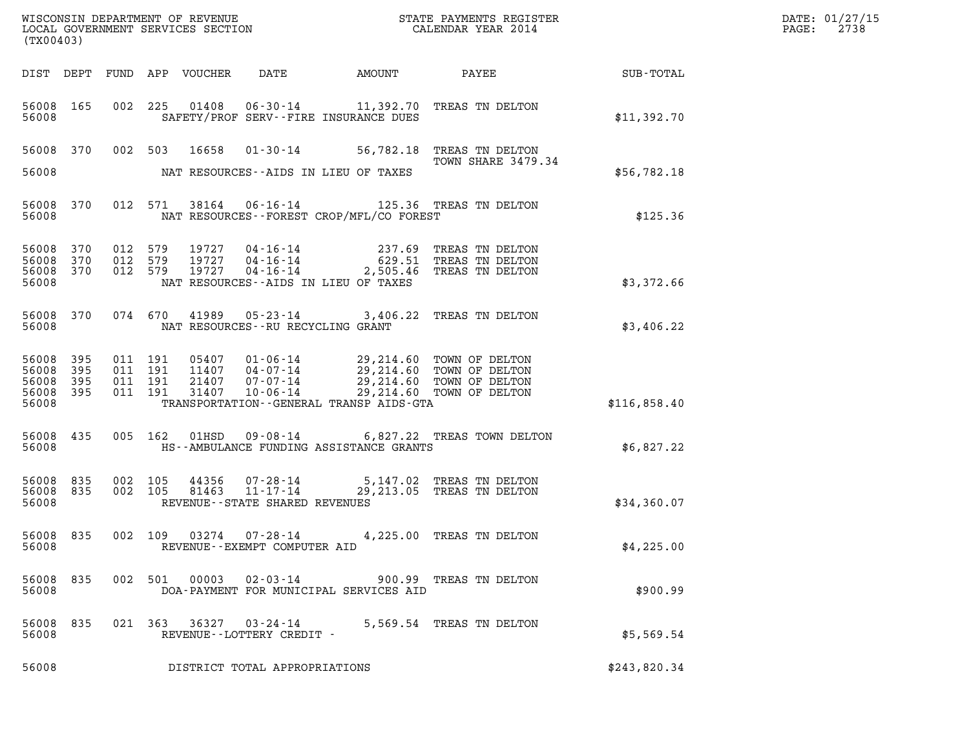| (TX00403)                                         |              |         |                                          |                            |                                                                                                |        | WISCONSIN DEPARTMENT OF REVENUE<br>LOCAL GOVERNMENT SERVICES SECTION CALENDAR YEAR 2014                                        |                  | DATE: 01/27/15<br>$\mathtt{PAGE:}$<br>2738 |
|---------------------------------------------------|--------------|---------|------------------------------------------|----------------------------|------------------------------------------------------------------------------------------------|--------|--------------------------------------------------------------------------------------------------------------------------------|------------------|--------------------------------------------|
|                                                   |              |         |                                          | DIST DEPT FUND APP VOUCHER | DATE                                                                                           | AMOUNT | PAYEE                                                                                                                          | <b>SUB-TOTAL</b> |                                            |
| 56008 165<br>56008                                |              |         |                                          |                            | SAFETY/PROF SERV--FIRE INSURANCE DUES                                                          |        | 002 225 01408 06-30-14 11,392.70 TREAS TN DELTON                                                                               | \$11,392.70      |                                            |
| 56008                                             |              |         |                                          | 56008 370 002 503 16658    | NAT RESOURCES--AIDS IN LIEU OF TAXES                                                           |        | 01-30-14 56,782.18 TREAS TN DELTON<br>TOWN SHARE 3479.34                                                                       | \$56,782.18      |                                            |
| 56008 370<br>56008                                |              |         | 012 571                                  |                            | NAT RESOURCES--FOREST CROP/MFL/CO FOREST                                                       |        | 38164  06-16-14  125.36  TREAS TN DELTON                                                                                       | \$125.36         |                                            |
| 56008<br>56008 370<br>56008 370<br>56008          | 370          | 012 579 | 012 579<br>012 579                       | 19727                      | 19727 04-16-14<br>19727   04-16-14<br>$04 - 16 - 14$<br>NAT RESOURCES -- AIDS IN LIEU OF TAXES |        | 237.69 TREAS TN DELTON<br>629.51 TREAS TN DELTON<br>2,505.46 TREAS TN DELTON                                                   | \$3,372.66       |                                            |
| 56008 370<br>56008                                |              |         | 074 670                                  | 41989                      | NAT RESOURCES -- RU RECYCLING GRANT                                                            |        | 05-23-14 3,406.22 TREAS TN DELTON                                                                                              | \$3,406.22       |                                            |
| 56008 395<br>56008<br>56008<br>56008 395<br>56008 | 395<br>- 395 |         | 011 191<br>011 191<br>011 191<br>011 191 | 05407<br>21407<br>31407    | 11407   04-07-14<br>07-07-14<br>$10 - 06 - 14$<br>TRANSPORTATION--GENERAL TRANSP AIDS-GTA      |        | 01-06-14 29,214.60 TOWN OF DELTON<br>04-07-14 29,214.60 TOWN OF DELTON<br>29,214.60 TOWN OF DELTON<br>29,214.60 TOWN OF DELTON | \$116,858.40     |                                            |
| 56008 435<br>56008                                |              |         | 005 162                                  |                            | HS--AMBULANCE FUNDING ASSISTANCE GRANTS                                                        |        | 01HSD  09-08-14  6,827.22  TREAS TOWN DELTON                                                                                   | \$6,827.22       |                                            |
| 56008 835<br>56008 835<br>56008                   |              |         | 002 105<br>002 105                       | 81463                      | 44356 07-28-14<br>$11 - 17 - 14$<br>REVENUE - - STATE SHARED REVENUES                          |        | 5,147.02 TREAS TN DELTON<br>29,213.05 TREAS TN DELTON                                                                          | \$34,360.07      |                                            |
| 56008                                             | 56008 835    |         | 002 109                                  |                            | $03274$ $07 - 28 - 14$<br>REVENUE--EXEMPT COMPUTER AID                                         |        | 4,225.00 TREAS TN DELTON                                                                                                       | \$4,225.00       |                                            |
| 56008 835<br>56008                                |              |         |                                          |                            | DOA-PAYMENT FOR MUNICIPAL SERVICES AID                                                         |        | 002 501 00003 02-03-14 900.99 TREAS TN DELTON                                                                                  | \$900.99         |                                            |
| 56008 835<br>56008                                |              |         |                                          |                            | 021 363 36327 03-24-14<br>REVENUE--LOTTERY CREDIT -                                            |        | 5,569.54 TREAS TN DELTON                                                                                                       | \$5,569.54       |                                            |
| 56008                                             |              |         |                                          |                            | DISTRICT TOTAL APPROPRIATIONS                                                                  |        |                                                                                                                                | \$243,820.34     |                                            |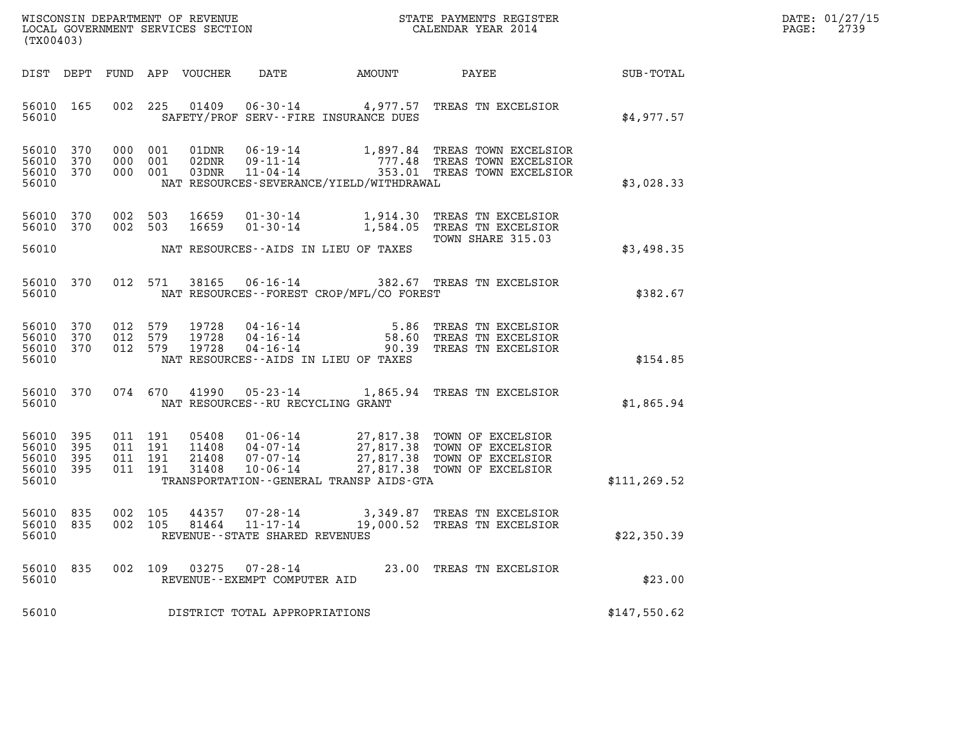| WISCONSIN DEPARTMENT OF REVENUE   | STATE PAYMENTS REGISTER | DATE: 01/27/15 |
|-----------------------------------|-------------------------|----------------|
| LOCAL GOVERNMENT SERVICES SECTION | CALENDAR YEAR 2014      | 2739<br>PAGE:  |

| WISCONSIN DEPARTMENT OF REVENUE<br>LOCAL GOVERNMENT SERVICES SECTION CALENDAR YEAR 2014<br>(TX00403) |              |                                          |  |                         |                                |                                              |                                                                                                                                                                                                  |               | DATE: 01/27/15<br>$\mathtt{PAGE}$ :<br>2739 |
|------------------------------------------------------------------------------------------------------|--------------|------------------------------------------|--|-------------------------|--------------------------------|----------------------------------------------|--------------------------------------------------------------------------------------------------------------------------------------------------------------------------------------------------|---------------|---------------------------------------------|
|                                                                                                      |              |                                          |  |                         |                                | DIST DEPT FUND APP VOUCHER DATE AMOUNT PAYEE |                                                                                                                                                                                                  | SUB-TOTAL     |                                             |
| 56010 165<br>56010                                                                                   |              | 002 225                                  |  |                         |                                | SAFETY/PROF SERV--FIRE INSURANCE DUES        | 01409  06-30-14  4,977.57  TREAS TN EXCELSIOR                                                                                                                                                    | \$4,977.57    |                                             |
| 56010 370<br>56010 370<br>56010 370<br>56010                                                         |              | 000 001<br>000 001<br>000 001            |  |                         |                                | NAT RESOURCES-SEVERANCE/YIELD/WITHDRAWAL     |                                                                                                                                                                                                  | \$3,028.33    |                                             |
| 56010 370<br>56010 370                                                                               |              | 002 503<br>002 503                       |  |                         |                                |                                              | 16659  01-30-14   1,914.30   TREAS TN EXCELSIOR<br>16659  01-30-14   1,584.05   TREAS TN EXCELSIOR<br>TOWN SHARE 315.03                                                                          |               |                                             |
| 56010                                                                                                |              |                                          |  |                         |                                | NAT RESOURCES--AIDS IN LIEU OF TAXES         |                                                                                                                                                                                                  | \$3,498.35    |                                             |
| 56010                                                                                                |              |                                          |  |                         |                                | NAT RESOURCES--FOREST CROP/MFL/CO FOREST     | 56010 370 012 571 38165 06-16-14 382.67 TREAS TN EXCELSIOR                                                                                                                                       | \$382.67      |                                             |
| 56010 370<br>56010<br>56010 370<br>56010                                                             | 370          | 012 579<br>012 579<br>012 579            |  | 19728<br>19728<br>19728 |                                | NAT RESOURCES--AIDS IN LIEU OF TAXES         | 04-16-14 5.86 TREAS TN EXCELSIOR<br>04-16-14 58.60 TREAS TN EXCELSIOR<br>04-16-14 90.39 TREAS TN EXCELSIOR                                                                                       | \$154.85      |                                             |
| 56010 370<br>56010                                                                                   |              |                                          |  |                         |                                | NAT RESOURCES--RU RECYCLING GRANT            | 074 670 41990 05-23-14 1,865.94 TREAS TN EXCELSIOR                                                                                                                                               | \$1,865.94    |                                             |
| 56010 395<br>56010<br>56010<br>56010 395<br>56010                                                    | 395<br>- 395 | 011 191<br>011 191<br>011 191<br>011 191 |  |                         |                                | TRANSPORTATION--GENERAL TRANSP AIDS-GTA      | 05408  01-06-14  27,817.38  TOWN OF EXCELSIOR<br>11408  04-07-14  27,817.38  TOWN OF EXCELSIOR<br>21408  07-07-14  27,817.38  TOWN OF EXCELSIOR<br>31408  10-06-14  27,817.38  TOWN OF EXCELSIOR | \$111, 269.52 |                                             |
| 56010 835<br>56010 835<br>56010                                                                      |              | 002 105<br>002 105                       |  |                         | REVENUE--STATE SHARED REVENUES |                                              | 44357  07-28-14  3,349.87  TREAS TN EXCELSIOR<br>81464  11-17-14  19,000.52  TREAS TN EXCELSIOR                                                                                                  | \$22,350.39   |                                             |
| 56010 835<br>56010                                                                                   |              |                                          |  |                         | REVENUE--EXEMPT COMPUTER AID   |                                              | 002 109 03275 07-28-14 23.00 TREAS TN EXCELSIOR                                                                                                                                                  | \$23.00       |                                             |
| 56010                                                                                                |              |                                          |  |                         | DISTRICT TOTAL APPROPRIATIONS  |                                              |                                                                                                                                                                                                  | \$147,550.62  |                                             |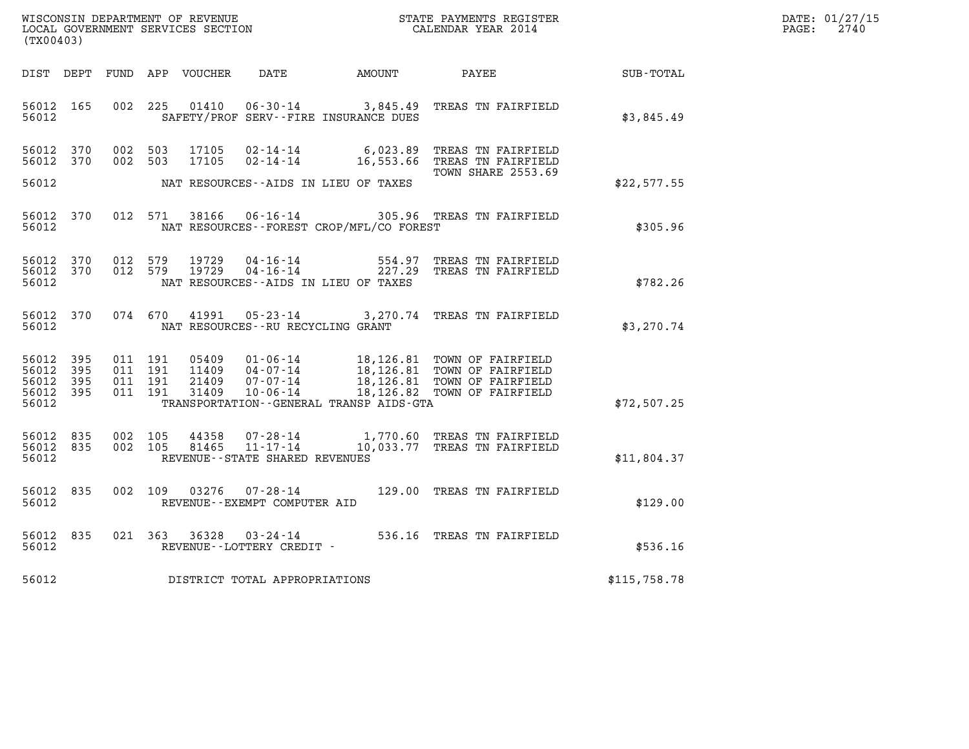| WISCONSIN DEPARTMENT OF REVENUE   | STATE PAYMENTS REGISTER | DATE: 01/27/15 |
|-----------------------------------|-------------------------|----------------|
| LOCAL GOVERNMENT SERVICES SECTION | CALENDAR YEAR 2014      | 2740<br>PAGE:  |

| (TX00403)                                 |                          |                          |                          |                                  |                                                                       |                                                                                              |                                                                                  |                  |
|-------------------------------------------|--------------------------|--------------------------|--------------------------|----------------------------------|-----------------------------------------------------------------------|----------------------------------------------------------------------------------------------|----------------------------------------------------------------------------------|------------------|
| DIST                                      | DEPT                     | FUND                     |                          | APP VOUCHER                      | DATE                                                                  | <b>EXAMPLE THE PROPERTY OF AMOUNT</b>                                                        | PAYEE                                                                            | <b>SUB-TOTAL</b> |
| 56012<br>56012                            | 165                      | 002                      | 225                      | 01410                            | $06 - 30 - 14$                                                        | 3,845.49<br>SAFETY/PROF SERV--FIRE INSURANCE DUES                                            | TREAS TN FAIRFIELD                                                               | \$3,845.49       |
| 56012<br>56012                            | 370<br>370               | 002<br>002               | 503<br>503               | 17105<br>17105                   | $02 - 14 - 14$<br>$02 - 14 - 14$                                      | 6,023.89<br>16,553.66                                                                        | TREAS TN FAIRFIELD<br>TREAS TN FAIRFIELD<br><b>TOWN SHARE 2553.69</b>            |                  |
| 56012                                     |                          |                          |                          |                                  |                                                                       | NAT RESOURCES--AIDS IN LIEU OF TAXES                                                         |                                                                                  | \$22,577.55      |
| 56012<br>56012                            | 370                      | 012                      | 571                      | 38166                            | 06-16-14                                                              | NAT RESOURCES - - FOREST CROP/MFL/CO FOREST                                                  | 305.96 TREAS TN FAIRFIELD                                                        | \$305.96         |
| 56012<br>56012<br>56012                   | 370<br>370               | 012<br>012               | 579<br>579               | 19729<br>19729                   | $04 - 16 - 14$<br>$04 - 16 - 14$                                      | 554.97<br>227.29<br>NAT RESOURCES -- AIDS IN LIEU OF TAXES                                   | TREAS TN FAIRFIELD<br>TREAS TN FAIRFIELD                                         | \$782.26         |
| 56012<br>56012                            | 370                      | 074                      | 670                      | 41991                            | $05 - 23 - 14$<br>NAT RESOURCES--RU RECYCLING GRANT                   | 3,270.74                                                                                     | TREAS TN FAIRFIELD                                                               | \$3,270.74       |
| 56012<br>56012<br>56012<br>56012<br>56012 | 395<br>395<br>395<br>395 | 011<br>011<br>011<br>011 | 191<br>191<br>191<br>191 | 05409<br>11409<br>21409<br>31409 | $01 - 06 - 14$<br>$04 - 07 - 14$<br>$07 - 07 - 14$<br>$10 - 06 - 14$  | 18,126.81<br>18, 126.81<br>18,126.81<br>18,126.82<br>TRANSPORTATION--GENERAL TRANSP AIDS-GTA | TOWN OF FAIRFIELD<br>TOWN OF FAIRFIELD<br>TOWN OF FAIRFIELD<br>TOWN OF FAIRFIELD | \$72,507.25      |
| 56012<br>56012<br>56012                   | 835<br>835               | 002<br>002               | 105<br>105               | 44358<br>81465                   | $07 - 28 - 14$<br>$11 - 17 - 14$<br>REVENUE - - STATE SHARED REVENUES | 1,770.60<br>10,033.77                                                                        | TREAS TN FAIRFIELD<br>TREAS TN FAIRFIELD                                         | \$11,804.37      |
| 56012<br>56012                            | 835                      | 002                      | 109                      | 03276                            | $07 - 28 - 14$<br>REVENUE--EXEMPT COMPUTER AID                        |                                                                                              | 129.00 TREAS TN FAIRFIELD                                                        | \$129.00         |
| 56012<br>56012                            | 835                      | 021                      | 363                      | 36328                            | $03 - 24 - 14$<br>REVENUE--LOTTERY CREDIT -                           |                                                                                              | 536.16 TREAS TN FAIRFIELD                                                        | \$536.16         |
| 56012                                     |                          |                          |                          |                                  | DISTRICT TOTAL APPROPRIATIONS                                         |                                                                                              |                                                                                  | \$115,758.78     |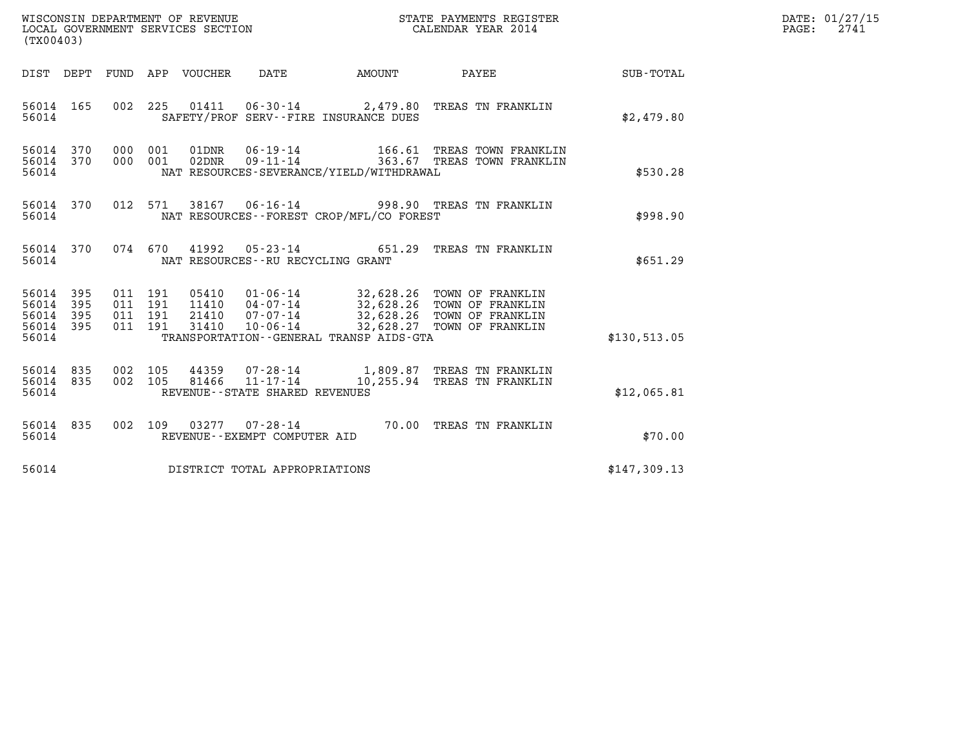|                                                   | WISCONSIN DEPARTMENT OF REVENUE<br>LOCAL GOVERNMENT SERVICES SECTION<br>LOCAL GOVERNMENT SERVICES SECTION<br>CALENDAR YEAR 2014<br>(TX00403) |                    |                    |                                 |                                     |                                             |                                                                                                                                                                               |              | DATE: 01/27/15<br>$\mathtt{PAGE:}$<br>2741 |
|---------------------------------------------------|----------------------------------------------------------------------------------------------------------------------------------------------|--------------------|--------------------|---------------------------------|-------------------------------------|---------------------------------------------|-------------------------------------------------------------------------------------------------------------------------------------------------------------------------------|--------------|--------------------------------------------|
|                                                   |                                                                                                                                              |                    |                    | DIST DEPT FUND APP VOUCHER DATE |                                     |                                             | AMOUNT PAYEE                                                                                                                                                                  | SUB-TOTAL    |                                            |
| 56014 165<br>56014                                |                                                                                                                                              |                    |                    |                                 |                                     | SAFETY/PROF SERV--FIRE INSURANCE DUES       | 002 225 01411 06-30-14 2,479.80 TREAS TN FRANKLIN                                                                                                                             | \$2,479.80   |                                            |
| 56014 370<br>56014                                | 56014 370                                                                                                                                    | 000 001            |                    |                                 |                                     | NAT RESOURCES-SEVERANCE/YIELD/WITHDRAWAL    | 000 001 01DNR 06-19-14 166.61 TREAS TOWN FRANKLIN<br>000 001 02DNR 09-11-14 363.67 TREAS TOWN FRANKLIN                                                                        | \$530.28     |                                            |
| 56014                                             |                                                                                                                                              |                    |                    |                                 |                                     | NAT RESOURCES - - FOREST CROP/MFL/CO FOREST | 56014 370 012 571 38167 06-16-14 998.90 TREAS TN FRANKLIN                                                                                                                     | \$998.90     |                                            |
| 56014                                             | 56014 370                                                                                                                                    |                    |                    |                                 | NAT RESOURCES -- RU RECYCLING GRANT |                                             | 074 670 41992 05-23-14 651.29 TREAS TN FRANKLIN                                                                                                                               | \$651.29     |                                            |
| 56014<br>56014<br>56014 395<br>56014 395<br>56014 | 395<br>395                                                                                                                                   | 011 191<br>011 191 | 011 191<br>011 191 | 31410                           | $10 - 06 - 14$                      | TRANSPORTATION--GENERAL TRANSP AIDS-GTA     | 05410   01-06-14   32,628.26 TOWN OF FRANKLIN<br>11410   04-07-14   32,628.26 TOWN OF FRANKLIN<br>21410   07-07-14   32,628.26 TOWN OF FRANKLIN<br>32,628.27 TOWN OF FRANKLIN | \$130.513.05 |                                            |
| 56014 835<br>56014                                | 56014 835                                                                                                                                    | 002 105<br>002 105 |                    |                                 | REVENUE - - STATE SHARED REVENUES   |                                             | 44359 07-28-14 1,809.87 TREAS TN FRANKLIN<br>81466  11-17-14   10,255.94  TREAS TN FRANKLIN                                                                                   | \$12,065.81  |                                            |
| 56014 835<br>56014                                |                                                                                                                                              |                    |                    |                                 | REVENUE--EXEMPT COMPUTER AID        |                                             | 002 109 03277 07-28-14 70.00 TREAS TN FRANKLIN                                                                                                                                | \$70.00      |                                            |
| 56014                                             |                                                                                                                                              |                    |                    |                                 | DISTRICT TOTAL APPROPRIATIONS       |                                             |                                                                                                                                                                               | \$147,309.13 |                                            |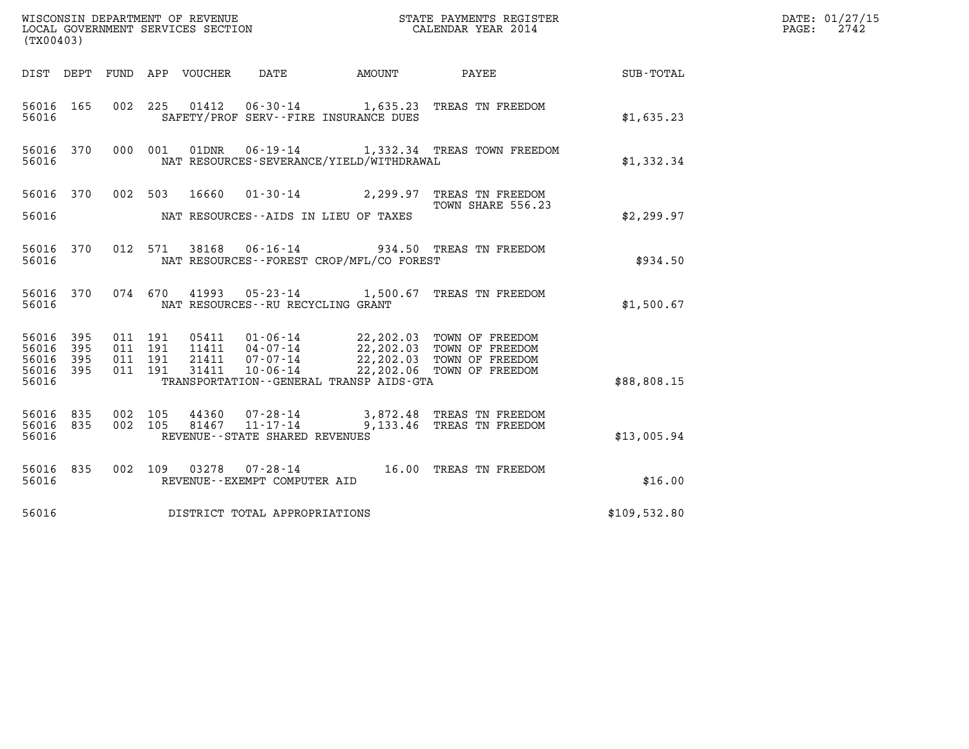| (TX00403)                                 |                            |                                          |                            |                                                                |              | DATE: 01/27/15<br>2742<br>$\mathtt{PAGE:}$                                                                                                                                      |              |  |
|-------------------------------------------|----------------------------|------------------------------------------|----------------------------|----------------------------------------------------------------|--------------|---------------------------------------------------------------------------------------------------------------------------------------------------------------------------------|--------------|--|
|                                           |                            |                                          | DIST DEPT FUND APP VOUCHER | DATE                                                           | AMOUNT PAYEE |                                                                                                                                                                                 | SUB-TOTAL    |  |
| 56016 165<br>56016                        |                            |                                          |                            | SAFETY/PROF SERV--FIRE INSURANCE DUES                          |              | 002 225 01412 06-30-14 1,635.23 TREAS TN FREEDOM                                                                                                                                | \$1,635.23   |  |
| 56016 370<br>56016                        |                            |                                          | 000 001<br>01DNR           | NAT RESOURCES-SEVERANCE/YIELD/WITHDRAWAL                       |              | 06-19-14 1,332.34 TREAS TOWN FREEDOM                                                                                                                                            | \$1,332.34   |  |
|                                           |                            |                                          |                            |                                                                |              | 56016 370 002 503 16660 01-30-14 2,299.97 TREAS TN FREEDOM<br>TOWN SHARE 556.23                                                                                                 |              |  |
| 56016                                     |                            |                                          |                            | NAT RESOURCES--AIDS IN LIEU OF TAXES                           |              |                                                                                                                                                                                 | \$2,299.97   |  |
| 56016 370<br>56016                        |                            |                                          | 012 571                    | NAT RESOURCES--FOREST CROP/MFL/CO FOREST                       |              | 38168  06-16-14  934.50  TREAS TN FREEDOM                                                                                                                                       | \$934.50     |  |
| 56016 370<br>56016                        |                            |                                          | 074 670                    | NAT RESOURCES -- RU RECYCLING GRANT                            |              | 41993  05-23-14   1,500.67   TREAS TN FREEDOM                                                                                                                                   | \$1,500.67   |  |
| 56016<br>56016<br>56016<br>56016<br>56016 | 395<br>395<br>- 395<br>395 | 011 191<br>011 191<br>011 191<br>011 191 | 31411                      | $10 - 06 - 14$<br>TRANSPORTATION - - GENERAL TRANSP AIDS - GTA |              | 05411   01-06-14   22,202.03   TOWN OF FREEDOM<br>11411   04-07-14   22,202.03   TOWN OF FREEDOM<br>21411   07-07-14   22,202.03   TOWN OF FREEDOM<br>22,202.06 TOWN OF FREEDOM | \$88,808.15  |  |
| 56016 835<br>56016 835<br>56016           |                            | 002 105                                  | 44360<br>002 105           | 81467 11-17-14<br>REVENUE--STATE SHARED REVENUES               |              | 07-28-14 3,872.48 TREAS TN FREEDOM<br>9,133.46 TREAS TN FREEDOM                                                                                                                 | \$13,005.94  |  |
| 56016 835<br>56016                        |                            |                                          |                            | REVENUE--EXEMPT COMPUTER AID                                   |              | 002 109 03278 07-28-14 16.00 TREAS TN FREEDOM                                                                                                                                   | \$16.00      |  |
| 56016                                     |                            |                                          |                            | DISTRICT TOTAL APPROPRIATIONS                                  |              |                                                                                                                                                                                 | \$109,532.80 |  |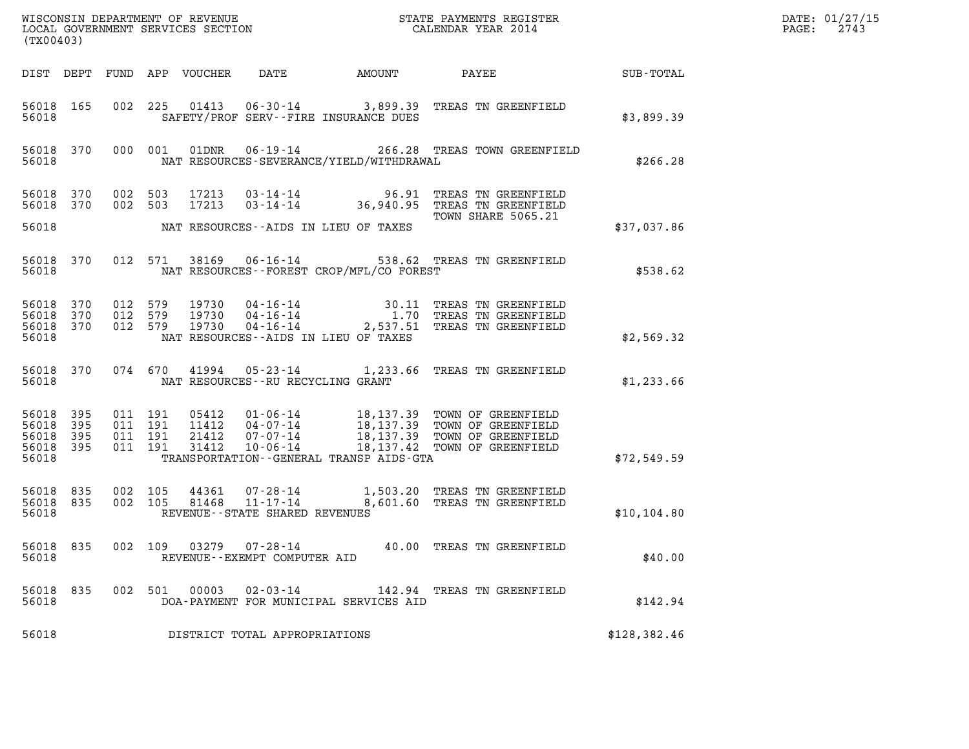|                                                       | (TX00403) |                                         |         |               |                                                        |                                                |                                                                                                                                                                                                  |               | DATE: 01/27/15<br>$\mathtt{PAGE:}$<br>2743 |
|-------------------------------------------------------|-----------|-----------------------------------------|---------|---------------|--------------------------------------------------------|------------------------------------------------|--------------------------------------------------------------------------------------------------------------------------------------------------------------------------------------------------|---------------|--------------------------------------------|
|                                                       |           |                                         |         |               |                                                        |                                                |                                                                                                                                                                                                  |               |                                            |
| 56018                                                 |           |                                         |         |               |                                                        | SAFETY/PROF SERV--FIRE INSURANCE DUES          | 56018 165 002 225 01413 06-30-14 3,899.39 TREAS TN GREENFIELD                                                                                                                                    | \$3,899.39    |                                            |
| 56018                                                 |           |                                         |         |               |                                                        | NAT RESOURCES-SEVERANCE/YIELD/WITHDRAWAL       | 56018 370 000 001 01DNR 06-19-14 266.28 TREAS TOWN GREENFIELD                                                                                                                                    | \$266.28      |                                            |
| 56018 370                                             |           | 56018 370 002 503<br>002 503            |         |               |                                                        |                                                | 17213  03-14-14  96.91  TREAS TN GREENFIELD<br>17213  03-14-14  36,940.95  TREAS TN GREENFIELD<br>TOWN SHARE 5065.21                                                                             |               |                                            |
|                                                       |           |                                         |         |               |                                                        | 56018 MAT RESOURCES--AIDS IN LIEU OF TAXES     |                                                                                                                                                                                                  | \$37,037.86   |                                            |
|                                                       |           |                                         |         |               |                                                        | 56018 MAT RESOURCES--FOREST CROP/MFL/CO FOREST | 56018 370 012 571 38169 06-16-14 538.62 TREAS TN GREENFIELD                                                                                                                                      | \$538.62      |                                            |
| 56018 370<br>56018 370<br>56018                       |           | 56018 370 012 579<br>012 579<br>012 579 |         |               |                                                        | NAT RESOURCES--AIDS IN LIEU OF TAXES           | 19730  04-16-14  30.11 TREAS TN GREENFIELD<br>19730  04-16-14   1.70 TREAS TN GREENFIELD<br>19730  04-16-14   2,537.51 TREAS TN GREENFIELD                                                       | \$2,569.32    |                                            |
|                                                       |           | 56018 300                               |         |               | NAT RESOURCES--RU RECYCLING GRANT                      |                                                | 56018 370 074 670 41994 05-23-14 1,233.66 TREAS TN GREENFIELD                                                                                                                                    | \$1,233.66    |                                            |
| 56018 395<br>56018<br>56018 395<br>56018 395<br>56018 | 395       | 011 191<br>011 191<br>011 191           | 011 191 |               |                                                        | TRANSPORTATION--GENERAL TRANSP AIDS-GTA        | 05412  01-06-14  18,137.39 TOWN OF GREENFIELD<br>11412  04-07-14  18,137.39 TOWN OF GREENFIELD<br>21412  07-07-14  18,137.39 TOWN OF GREENFIELD<br>31412  10-06-14  18,137.42 TOWN OF GREENFIELD | \$72,549.59   |                                            |
| 56018 835<br>56018 835<br>56018                       |           | 002 105                                 | 002 105 | 81468         | REVENUE--STATE SHARED REVENUES                         |                                                | 44361  07-28-14   1,503.20 TREAS TN GREENFIELD<br>81468   11-17-14   8,601.60 TREAS TN GREENFIELD                                                                                                | \$10,104.80   |                                            |
| 56018 835<br>56018                                    |           |                                         |         |               | 002 109 03279 07-28-14<br>REVENUE--EXEMPT COMPUTER AID |                                                | 40.00 TREAS TN GREENFIELD                                                                                                                                                                        | \$40.00       |                                            |
| 56018 835<br>56018                                    |           |                                         |         | 002 501 00003 | 02-03-14                                               | DOA-PAYMENT FOR MUNICIPAL SERVICES AID         | 142.94 TREAS TN GREENFIELD                                                                                                                                                                       | \$142.94      |                                            |
| 56018                                                 |           |                                         |         |               | DISTRICT TOTAL APPROPRIATIONS                          |                                                |                                                                                                                                                                                                  | \$128, 382.46 |                                            |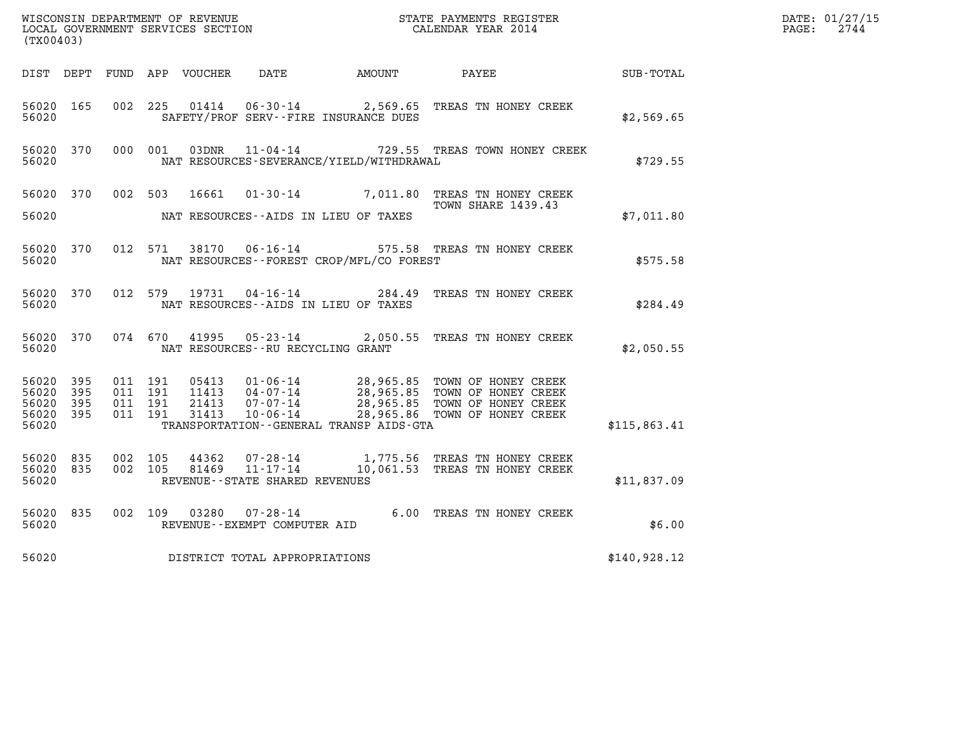|                                              |           |                                          |                |                                                  |                                             |                                                                                                                                                                                        |                                                     | DATE: 01/27/15<br>$\mathtt{PAGE:}$<br>2744 |
|----------------------------------------------|-----------|------------------------------------------|----------------|--------------------------------------------------|---------------------------------------------|----------------------------------------------------------------------------------------------------------------------------------------------------------------------------------------|-----------------------------------------------------|--------------------------------------------|
| (TX00403)                                    |           |                                          |                |                                                  |                                             |                                                                                                                                                                                        |                                                     |                                            |
|                                              |           |                                          |                |                                                  | DIST DEPT FUND APP VOUCHER DATE AMOUNT      | PAYEE                                                                                                                                                                                  | $\begin{array}{lcl} \text{SUB - TOTAL} \end{array}$ |                                            |
| 56020 165<br>56020                           |           |                                          | 002 225 01414  |                                                  | SAFETY/PROF SERV--FIRE INSURANCE DUES       | 06-30-14 2,569.65 TREAS TN HONEY CREEK                                                                                                                                                 | \$2,569.65                                          |                                            |
| 56020 370<br>56020                           |           | 000 001                                  | 03DNR          |                                                  | NAT RESOURCES-SEVERANCE/YIELD/WITHDRAWAL    | 11-04-14 729.55 TREAS TOWN HONEY CREEK                                                                                                                                                 | \$729.55                                            |                                            |
| 56020 370                                    |           |                                          | 002 503 16661  |                                                  |                                             | 01-30-14 7,011.80 TREAS TN HONEY CREEK                                                                                                                                                 |                                                     |                                            |
| 56020                                        |           |                                          |                |                                                  | NAT RESOURCES--AIDS IN LIEU OF TAXES        | <b>TOWN SHARE 1439.43</b>                                                                                                                                                              | \$7,011.80                                          |                                            |
| 56020 370<br>56020                           |           |                                          | 012 571 38170  |                                                  | NAT RESOURCES - - FOREST CROP/MFL/CO FOREST | 06-16-14 575.58 TREAS TN HONEY CREEK                                                                                                                                                   | \$575.58                                            |                                            |
| 56020 370<br>56020                           |           | 012 579                                  | 19731          | $04 - 16 - 14$                                   | NAT RESOURCES -- AIDS IN LIEU OF TAXES      | 284.49 TREAS TN HONEY CREEK                                                                                                                                                            | \$284.49                                            |                                            |
| 56020                                        | 56020 370 |                                          |                | NAT RESOURCES - - RU RECYCLING GRANT             |                                             | 074 670 41995 05-23-14 2,050.55 TREAS TN HONEY CREEK                                                                                                                                   | \$2,050.55                                          |                                            |
| 56020<br>56020 395<br>56020 395<br>56020 395 | 395       | 011 191<br>011 191<br>011 191<br>011 191 | 31413          | $10 - 06 - 14$                                   |                                             | 05413  01-06-14  28,965.85  TOWN OF HONEY CREEK<br>11413  04-07-14  28,965.85  TOWN OF HONEY CREEK<br>21413  07-07-14  28,965.85  TOWN OF HONEY CREEK<br>28,965.86 TOWN OF HONEY CREEK |                                                     |                                            |
| 56020                                        |           |                                          |                |                                                  | TRANSPORTATION--GENERAL TRANSP AIDS-GTA     |                                                                                                                                                                                        | \$115,863.41                                        |                                            |
| 56020 835<br>56020 835<br>56020              |           | 002 105<br>002 105                       | 44362<br>81469 | $11 - 17 - 14$<br>REVENUE--STATE SHARED REVENUES |                                             | 07-28-14 1,775.56 TREAS TN HONEY CREEK<br>10,061.53 TREAS TN HONEY CREEK                                                                                                               | \$11,837.09                                         |                                            |
| 56020 835<br>56020                           |           | 002 109                                  | 03280          | REVENUE--EXEMPT COMPUTER AID                     |                                             | 07-28-14 6.00 TREAS TN HONEY CREEK                                                                                                                                                     | \$6.00                                              |                                            |
| 56020                                        |           |                                          |                | DISTRICT TOTAL APPROPRIATIONS                    |                                             |                                                                                                                                                                                        | \$140,928.12                                        |                                            |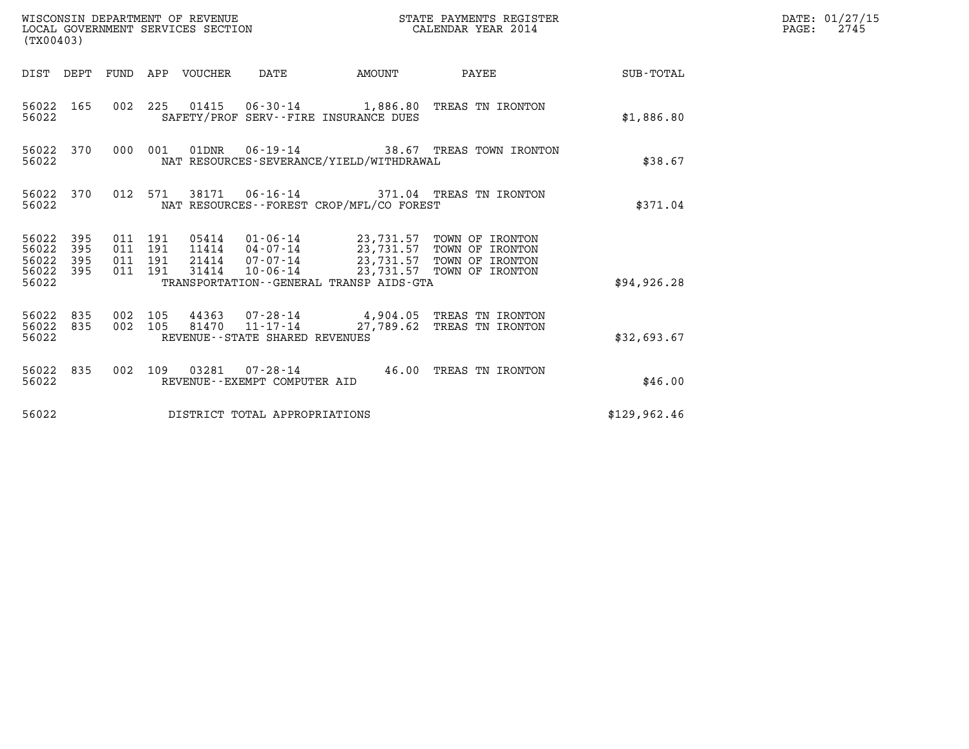| (TX00403)                                         |                        |                                          |         | WISCONSIN DEPARTMENT OF REVENUE<br>LOCAL GOVERNMENT SERVICES SECTION |                                                          |                                              | STATE PAYMENTS REGISTER<br>CALENDAR YEAR 2014                                                                                                                                      |              | DATE: 01/27/15<br>2745<br>$\mathtt{PAGE:}$ |
|---------------------------------------------------|------------------------|------------------------------------------|---------|----------------------------------------------------------------------|----------------------------------------------------------|----------------------------------------------|------------------------------------------------------------------------------------------------------------------------------------------------------------------------------------|--------------|--------------------------------------------|
|                                                   |                        |                                          |         | DIST DEPT FUND APP VOUCHER DATE                                      |                                                          |                                              | AMOUNT PAYEE SUB-TOTAL                                                                                                                                                             |              |                                            |
| 56022                                             | 56022 165              |                                          |         |                                                                      |                                                          | SAFETY/PROF SERV--FIRE INSURANCE DUES        | 002 225 01415 06-30-14 1,886.80 TREAS TN IRONTON                                                                                                                                   | \$1,886.80   |                                            |
| 56022                                             | 56022 370              |                                          |         |                                                                      |                                                          | NAT RESOURCES-SEVERANCE/YIELD/WITHDRAWAL     | 000 001 01DNR 06-19-14 38.67 TREAS TOWN IRONTON                                                                                                                                    | \$38.67      |                                            |
| 56022                                             | 56022 370              |                                          |         |                                                                      |                                                          | NAT RESOURCES--FOREST CROP/MFL/CO FOREST     | 012 571 38171 06-16-14 371.04 TREAS TN IRONTON                                                                                                                                     | \$371.04     |                                            |
| 56022 395<br>56022<br>56022<br>56022 395<br>56022 | 395<br>395             | 011 191<br>011 191<br>011 191<br>011 191 |         | 31414                                                                |                                                          | TRANSPORTATION - - GENERAL TRANSP AIDS - GTA | 05414   01-06-14   23,731.57 TOWN OF IRONTON<br>11414   04-07-14   23,731.57 TOWN OF IRONTON<br>21414   07-07-14   23,731.57 TOWN OF IRONTON<br>10-06-14 23,731.57 TOWN OF IRONTON | \$94, 926.28 |                                            |
| 56022                                             | 56022 835<br>56022 835 | 002 105                                  | 002 105 |                                                                      | $81470$ $11 - 17 - 14$<br>REVENUE--STATE SHARED REVENUES |                                              | 44363 07-28-14 4,904.05 TREAS TN IRONTON<br>27,789.62 TREAS TN IRONTON                                                                                                             | \$32,693.67  |                                            |
| 56022                                             | 56022 835              |                                          |         |                                                                      | REVENUE--EXEMPT COMPUTER AID                             |                                              | 002 109 03281 07-28-14 46.00 TREAS TN IRONTON                                                                                                                                      | \$46.00      |                                            |
| 56022                                             |                        |                                          |         |                                                                      | DISTRICT TOTAL APPROPRIATIONS                            |                                              |                                                                                                                                                                                    | \$129,962.46 |                                            |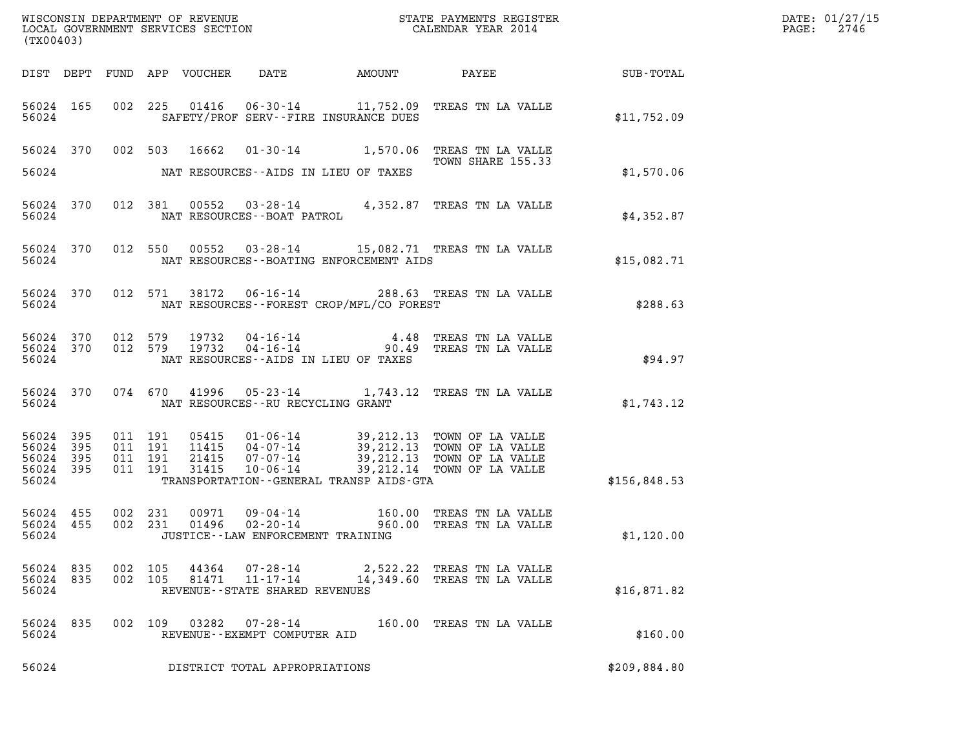| (TX00403)                                |                   |                    |                               |                                                |                                                                                                                                                                                              | $\mathcal{L}(\mathcal{L}^{\text{max}}_{\mathcal{L}^{\text{max}}_{\mathcal{L}^{\text{max}}_{\mathcal{L}^{\text{max}}_{\mathcal{L}^{\text{max}}_{\mathcal{L}^{\text{max}}_{\mathcal{L}^{\text{max}}_{\mathcal{L}^{\text{max}}_{\mathcal{L}^{\text{max}}_{\mathcal{L}^{\text{max}}_{\mathcal{L}^{\text{max}}_{\mathcal{L}^{\text{max}}_{\mathcal{L}^{\text{max}}_{\mathcal{L}^{\text{max}}_{\mathcal{L}^{\text{max}}_{\mathcal{L}^{\text{max}}_{\mathcal{L}$ | DATE: 01/27/15<br>$\mathtt{PAGE:}$<br>2746 |
|------------------------------------------|-------------------|--------------------|-------------------------------|------------------------------------------------|----------------------------------------------------------------------------------------------------------------------------------------------------------------------------------------------|-----------------------------------------------------------------------------------------------------------------------------------------------------------------------------------------------------------------------------------------------------------------------------------------------------------------------------------------------------------------------------------------------------------------------------------------------------------|--------------------------------------------|
|                                          |                   |                    |                               |                                                |                                                                                                                                                                                              |                                                                                                                                                                                                                                                                                                                                                                                                                                                           |                                            |
| 56024                                    |                   |                    |                               | SAFETY/PROF SERV--FIRE INSURANCE DUES          | 56024 165 002 225 01416 06-30-14 11,752.09 TREAS TN LA VALLE                                                                                                                                 | \$11,752.09                                                                                                                                                                                                                                                                                                                                                                                                                                               |                                            |
|                                          |                   |                    |                               | 56024 NAT RESOURCES--AIDS IN LIEU OF TAXES     | 56024 370 002 503 16662 01-30-14 1,570.06 TREAS TN LA VALLE<br>TOWN SHARE 155.33                                                                                                             | \$1,570.06                                                                                                                                                                                                                                                                                                                                                                                                                                                |                                            |
|                                          |                   |                    |                               | 56024 NAT RESOURCES--BOAT PATROL               | 56024 370 012 381 00552 03-28-14 4,352.87 TREAS TN LA VALLE                                                                                                                                  | \$4,352.87                                                                                                                                                                                                                                                                                                                                                                                                                                                |                                            |
|                                          |                   |                    |                               | 56024 NAT RESOURCES--BOATING ENFORCEMENT AIDS  | 56024 370 012 550 00552 03-28-14 15,082.71 TREAS TN LA VALLE                                                                                                                                 | \$15,082.71                                                                                                                                                                                                                                                                                                                                                                                                                                               |                                            |
|                                          |                   |                    |                               | 56024 NAT RESOURCES--FOREST CROP/MFL/CO FOREST | 56024 370 012 571 38172 06-16-14 288.63 TREAS TN LA VALLE                                                                                                                                    | \$288.63                                                                                                                                                                                                                                                                                                                                                                                                                                                  |                                            |
| 56024                                    |                   |                    |                               | NAT RESOURCES -- AIDS IN LIEU OF TAXES         | 56024 370 012 579 19732 04-16-14 4.48 TREAS TN LA VALLE 56024 370 012 579 19732 04-16-14 90.49 TREAS TN LA VALLE                                                                             | \$94.97                                                                                                                                                                                                                                                                                                                                                                                                                                                   |                                            |
|                                          |                   |                    |                               | 56024 NAT RESOURCES--RU RECYCLING GRANT        | 56024 370 074 670 41996 05-23-14 1,743.12 TREAS TN LA VALLE                                                                                                                                  | \$1,743.12                                                                                                                                                                                                                                                                                                                                                                                                                                                |                                            |
| 56024 395<br>56024<br>56024 395<br>56024 | 395<br>56024 395  | 011 191            | 011 191<br>011 191<br>011 191 | TRANSPORTATION--GENERAL TRANSP AIDS-GTA        | 05415  01-06-14  39,212.13  TOWN OF LA VALLE<br>11415  04-07-14  39,212.13  TOWN OF LA VALLE<br>21415  07-07-14  39,212.13  TOWN OF LA VALLE<br>31415  10-06-14  39,212.14  TOWN OF LA VALLE | \$156,848.53                                                                                                                                                                                                                                                                                                                                                                                                                                              |                                            |
| 56024 455<br>56024 455<br>56024          |                   | 002 231<br>002 231 |                               | JUSTICE - - LAW ENFORCEMENT TRAINING           |                                                                                                                                                                                              | \$1,120.00                                                                                                                                                                                                                                                                                                                                                                                                                                                |                                            |
| 56024 835<br>56024                       | 56024 835 002 105 | 002 105            |                               | REVENUE--STATE SHARED REVENUES                 | 44364 07-28-14 2,522.22 TREAS TN LA VALLE<br>81471   11-17-14   14,349.60   TREAS TN LA VALLE                                                                                                | \$16,871.82                                                                                                                                                                                                                                                                                                                                                                                                                                               |                                            |
| 56024 835<br>56024                       |                   | 002 109            |                               | REVENUE--EXEMPT COMPUTER AID                   | 160.00 TREAS TN LA VALLE                                                                                                                                                                     | \$160.00                                                                                                                                                                                                                                                                                                                                                                                                                                                  |                                            |
| 56024                                    |                   |                    |                               | DISTRICT TOTAL APPROPRIATIONS                  |                                                                                                                                                                                              | \$209,884.80                                                                                                                                                                                                                                                                                                                                                                                                                                              |                                            |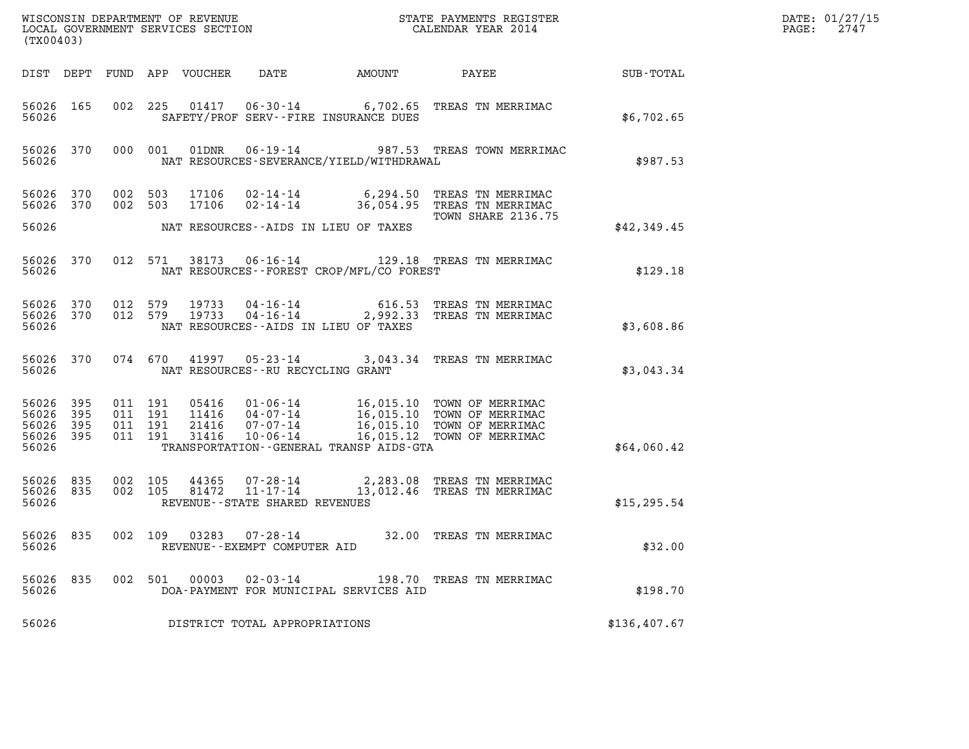|                                                   | (TX00403)    |                    |                    |                                  |                                                                       |                                            |                                                                                                                                                 |                  | DATE: 01/27/15<br>$\mathtt{PAGE:}$<br>2747 |
|---------------------------------------------------|--------------|--------------------|--------------------|----------------------------------|-----------------------------------------------------------------------|--------------------------------------------|-------------------------------------------------------------------------------------------------------------------------------------------------|------------------|--------------------------------------------|
|                                                   |              |                    |                    | DIST DEPT FUND APP VOUCHER       | DATE                                                                  | AMOUNT                                     | PAYEE                                                                                                                                           | <b>SUB-TOTAL</b> |                                            |
| 56026 165<br>56026                                |              |                    |                    |                                  |                                                                       | SAFETY/PROF SERV--FIRE INSURANCE DUES      | 002 225 01417 06-30-14 6,702.65 TREAS TN MERRIMAC                                                                                               | \$6,702.65       |                                            |
| 56026 370<br>56026                                |              |                    | 000 001            | 01DNR                            |                                                                       | NAT RESOURCES-SEVERANCE/YIELD/WITHDRAWAL   | 06-19-14 987.53 TREAS TOWN MERRIMAC                                                                                                             | \$987.53         |                                            |
| 56026 370<br>56026 370                            |              | 002 503<br>002 503 |                    | 17106                            |                                                                       |                                            | 17106  02-14-14  6,294.50  TREAS TN MERRIMAC<br>02-14-14 36,054.95 TREAS TN MERRIMAC<br><b>TOWN SHARE 2136.75</b>                               |                  |                                            |
| 56026                                             |              |                    |                    |                                  |                                                                       | NAT RESOURCES--AIDS IN LIEU OF TAXES       |                                                                                                                                                 | \$42,349.45      |                                            |
| 56026 370<br>56026                                |              |                    |                    |                                  |                                                                       | NAT RESOURCES--FOREST CROP/MFL/CO FOREST   | 012 571 38173 06-16-14 129.18 TREAS TN MERRIMAC                                                                                                 | \$129.18         |                                            |
| 56026 370<br>56026 370<br>56026                   |              | 012 579<br>012 579 |                    |                                  | 19733        04 - 16 - 14<br>19733         04 - 16 - 14               | NAT RESOURCES--AIDS IN LIEU OF TAXES       | 616.53 TREAS TN MERRIMAC<br>2,992.33 TREAS TN MERRIMAC                                                                                          | \$3,608.86       |                                            |
| 56026 370<br>56026                                |              |                    | 074 670            |                                  | NAT RESOURCES - - RU RECYCLING GRANT                                  |                                            | 41997  05-23-14  3,043.34  TREAS TN MERRIMAC                                                                                                    | \$3,043.34       |                                            |
| 56026 395<br>56026<br>56026<br>56026 395<br>56026 | 395<br>- 395 | 011 191<br>011 191 | 011 191<br>011 191 | 05416<br>11416<br>21416<br>31416 | 07-07-14                                                              | TRANSPORTATION - - GENERAL TRANSP AIDS-GTA | 01-06-14 16,015.10 TOWN OF MERRIMAC<br>04-07-14 16,015.10 TOWN OF MERRIMAC<br>16,015.10 TOWN OF MERRIMAC<br>10-06-14 16,015.12 TOWN OF MERRIMAC | \$64,060.42      |                                            |
| 56026 835<br>56026 835<br>56026                   |              | 002 105<br>002 105 |                    | 81472                            | 44365 07-28-14<br>$11 - 17 - 14$<br>REVENUE - - STATE SHARED REVENUES |                                            | 2,283.08 TREAS TN MERRIMAC<br>13,012.46 TREAS TN MERRIMAC                                                                                       | \$15, 295.54     |                                            |
| 56026 835<br>56026                                |              | 002 109            |                    |                                  | $03283$ $07 - 28 - 14$<br>REVENUE--EXEMPT COMPUTER AID                |                                            | 32.00 TREAS TN MERRIMAC                                                                                                                         | \$32.00          |                                            |
| 56026 835<br>56026                                |              |                    | 002 501            |                                  | 00003  02-03-14                                                       | DOA-PAYMENT FOR MUNICIPAL SERVICES AID     | 198.70 TREAS TN MERRIMAC                                                                                                                        | \$198.70         |                                            |
| 56026                                             |              |                    |                    |                                  | DISTRICT TOTAL APPROPRIATIONS                                         |                                            |                                                                                                                                                 | \$136,407.67     |                                            |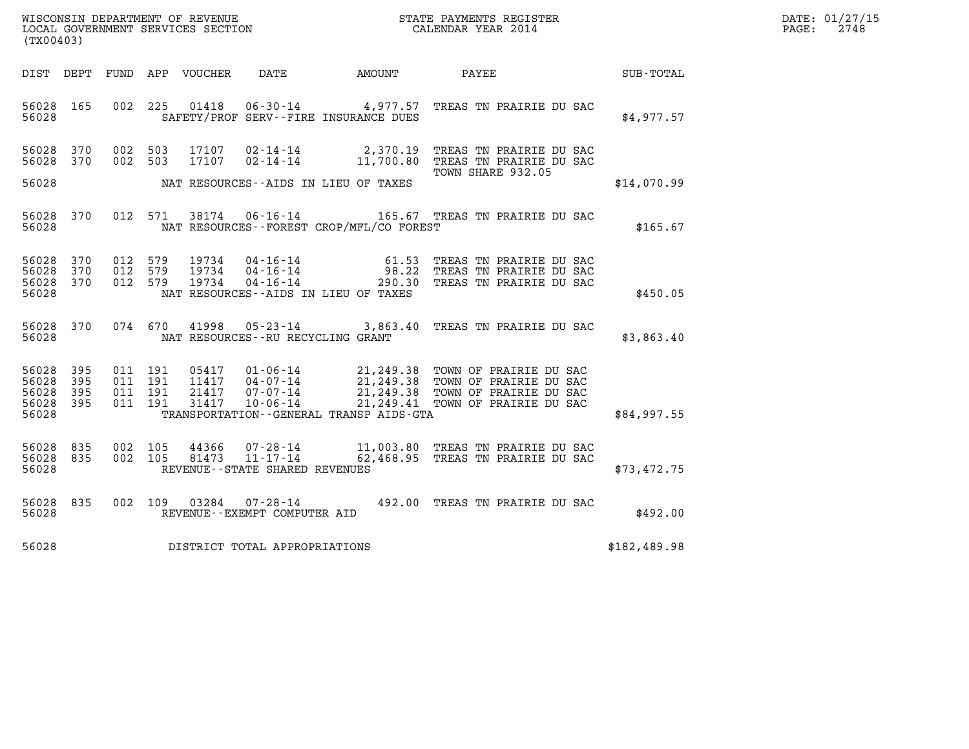| WISCONSIN DEPARTMENT OF REVENUE   | STATE PAYMENTS REGISTER | DATE: 01/27/15 |
|-----------------------------------|-------------------------|----------------|
| LOCAL GOVERNMENT SERVICES SECTION | CALENDAR YEAR 2014      | 2748<br>PAGE:  |

| WISCONSIN DEPARTMENT OF REVENUE<br>(TX00403)                                                      | LOCAL GOVERNMENT SERVICES SECTION                                                                                                                                               |                          | STATE PAYMENTS REGISTER<br>CALENDAR YEAR 2014                                                                                                |              |
|---------------------------------------------------------------------------------------------------|---------------------------------------------------------------------------------------------------------------------------------------------------------------------------------|--------------------------|----------------------------------------------------------------------------------------------------------------------------------------------|--------------|
| DIST<br>DEPT<br>FUND                                                                              | APP<br>VOUCHER<br>DATE                                                                                                                                                          | <b>AMOUNT</b>            | PAYEE                                                                                                                                        | SUB-TOTAL    |
| 002<br>56028<br>165<br>56028                                                                      | 225<br>01418<br>SAFETY/PROF SERV--FIRE INSURANCE DUES                                                                                                                           |                          | 06-30-14 4,977.57 TREAS TN PRAIRIE DU SAC                                                                                                    | \$4,977.57   |
| 370<br>002<br>56028<br>370<br>002<br>56028                                                        | 503<br>17107<br>$02 - 14 - 14$<br>503<br>17107<br>$02 - 14 - 14$                                                                                                                | 2,370.19<br>11,700.80    | TREAS TN PRAIRIE DU SAC<br>TREAS TN PRAIRIE DU SAC<br>TOWN SHARE 932.05                                                                      |              |
| 56028                                                                                             | NAT RESOURCES--AIDS IN LIEU OF TAXES                                                                                                                                            |                          |                                                                                                                                              | \$14,070.99  |
| 370<br>012<br>56028<br>56028                                                                      | 38174<br>$06 - 16 - 14$<br>571<br>NAT RESOURCES - - FOREST CROP/MFL/CO FOREST                                                                                                   |                          | 165.67 TREAS TN PRAIRIE DU SAC                                                                                                               | \$165.67     |
| 56028<br>370<br>012<br>012<br>56028<br>370<br>370<br>012<br>56028<br>56028                        | 579<br>19734<br>$04 - 16 - 14$<br>04 - 16 - 14<br>579<br>19734<br>579<br>19734<br>$04 - 16 - 14$<br>NAT RESOURCES -- AIDS IN LIEU OF TAXES                                      | 61.53<br>98.22<br>290.30 | TREAS TN PRAIRIE DU SAC<br>TREAS TN PRAIRIE DU SAC<br>TREAS TN PRAIRIE DU SAC                                                                | \$450.05     |
| 370<br>074<br>56028<br>56028                                                                      | 670<br>41998<br>$05 - 23 - 14$<br>NAT RESOURCES--RU RECYCLING GRANT                                                                                                             | 3,863.40                 | TREAS TN PRAIRIE DU SAC                                                                                                                      | \$3,863.40   |
| 395<br>56028<br>011<br>56028<br>395<br>011<br>395<br>011<br>56028<br>395<br>011<br>56028<br>56028 | 191<br>05417<br>$01 - 06 - 14$<br>$04 - 07 - 14$<br>191<br>11417<br>191<br>21417<br>$07 - 07 - 14$<br>$10 - 06 - 14$<br>191<br>31417<br>TRANSPORTATION--GENERAL TRANSP AIDS-GTA |                          | 21,249.38 TOWN OF PRAIRIE DU SAC<br>21,249.38 TOWN OF PRAIRIE DU SAC<br>21,249.38 TOWN OF PRAIRIE DU SAC<br>21,249.41 TOWN OF PRAIRIE DU SAC | \$84,997.55  |
| 835<br>002<br>56028<br>835<br>002<br>56028<br>56028                                               | 105<br>44366<br>$07 - 28 - 14$<br>$11 - 17 - 14$<br>105<br>81473<br>REVENUE - - STATE SHARED REVENUES                                                                           | 62,468.95                | 11,003.80 TREAS TN PRAIRIE DU SAC<br>TREAS TN PRAIRIE DU SAC                                                                                 | \$73,472.75  |
| 56028<br>835<br>002<br>56028                                                                      | 109<br>03284<br>$07 - 28 - 14$<br>REVENUE--EXEMPT COMPUTER AID                                                                                                                  |                          | 492.00 TREAS TN PRAIRIE DU SAC                                                                                                               | \$492.00     |
| 56028                                                                                             | DISTRICT TOTAL APPROPRIATIONS                                                                                                                                                   |                          |                                                                                                                                              | \$182,489.98 |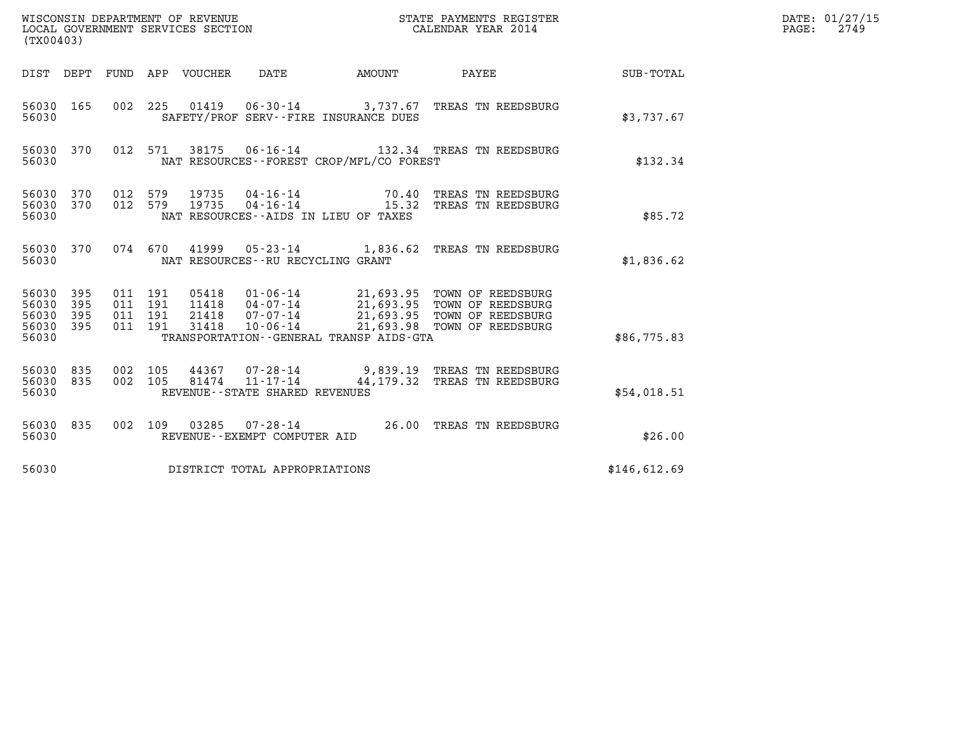| (TX00403)                                 |                          |                                          |         | WISCONSIN DEPARTMENT OF REVENUE<br>LOCAL GOVERNMENT SERVICES SECTION |                                                                 |                                                          | STATE PAYMENTS REGISTER<br>CALENDAR YEAR 2014                                                                                       |              | DATE: 01/27/15<br>$\mathtt{PAGE:}$<br>2749 |
|-------------------------------------------|--------------------------|------------------------------------------|---------|----------------------------------------------------------------------|-----------------------------------------------------------------|----------------------------------------------------------|-------------------------------------------------------------------------------------------------------------------------------------|--------------|--------------------------------------------|
| DIST DEPT                                 |                          |                                          |         | FUND APP VOUCHER DATE                                                |                                                                 | AMOUNT                                                   | <b>PAYEE</b>                                                                                                                        | SUB-TOTAL    |                                            |
| 56030 165<br>56030                        |                          | 002 225                                  |         |                                                                      |                                                                 | SAFETY/PROF SERV--FIRE INSURANCE DUES                    | 01419  06-30-14  3,737.67  TREAS TN REEDSBURG                                                                                       | \$3,737.67   |                                            |
| 56030 370<br>56030                        |                          |                                          | 012 571 | 38175                                                                |                                                                 | NAT RESOURCES - - FOREST CROP/MFL/CO FOREST              |                                                                                                                                     | \$132.34     |                                            |
| 56030 370<br>56030<br>56030               | 370                      | 012 579<br>012 579                       |         | 19735<br>19735                                                       | 04-16-14<br>$04 - 16 - 14$                                      | 70.40<br>15.32<br>NAT RESOURCES -- AIDS IN LIEU OF TAXES | TREAS TN REEDSBURG<br>TREAS TN REEDSBURG                                                                                            | \$85.72      |                                            |
| 56030 370<br>56030                        |                          |                                          |         |                                                                      | NAT RESOURCES - - RU RECYCLING GRANT                            |                                                          | 074 670 41999 05-23-14 1,836.62 TREAS TN REEDSBURG                                                                                  | \$1,836.62   |                                            |
| 56030<br>56030<br>56030<br>56030<br>56030 | 395<br>395<br>395<br>395 | 011 191<br>011 191<br>011 191<br>011 191 |         | 05418<br>11418<br>21418<br>31418                                     | $04 - 07 - 14$<br>07-07-14<br>$10 - 06 - 14$                    | TRANSPORTATION--GENERAL TRANSP AIDS-GTA                  | 01-06-14 21,693.95 TOWN OF REEDSBURG<br>$21,693.95$ TOWN OF REEDSBURG<br>21,693.95 TOWN OF REEDSBURG<br>21,693.98 TOWN OF REEDSBURG | \$86,775.83  |                                            |
| 56030<br>56030<br>56030                   | 835<br>835               | 002 105<br>002 105                       |         | 81474                                                                | 44367 07-28-14<br>11-17-14<br>REVENUE - - STATE SHARED REVENUES |                                                          | 9,839.19 TREAS TN REEDSBURG<br>44, 179.32 TREAS TN REEDSBURG                                                                        | \$54,018.51  |                                            |
| 56030 835<br>56030                        |                          |                                          | 002 109 |                                                                      | REVENUE--EXEMPT COMPUTER AID                                    |                                                          | 03285  07-28-14  26.00 TREAS TN REEDSBURG                                                                                           | \$26.00      |                                            |
| 56030                                     |                          |                                          |         |                                                                      | DISTRICT TOTAL APPROPRIATIONS                                   |                                                          |                                                                                                                                     | \$146,612.69 |                                            |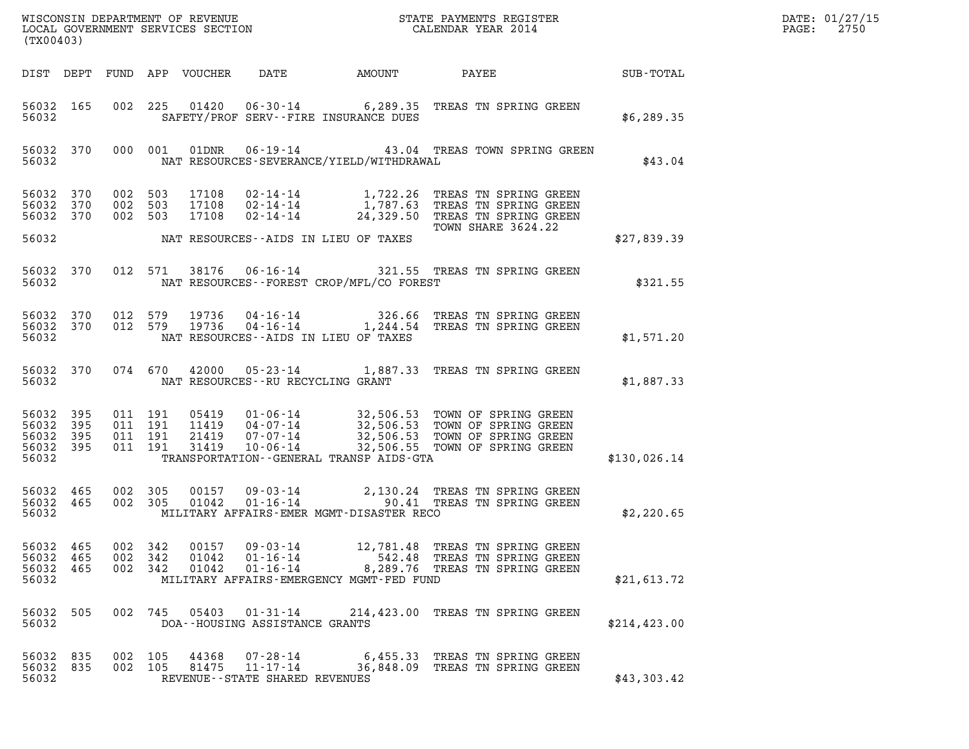| (TX00403)                                                 |                        |                                 |                                          |                         |                                            |                                          | $\mathcal{L}(\mathcal{L}^{\mathcal{L}}_{\mathcal{L}})$ and $\mathcal{L}^{\mathcal{L}}_{\mathcal{L}}$ and $\mathcal{L}^{\mathcal{L}}_{\mathcal{L}}$                                                           | DATE: 01/27/15<br>$\mathtt{PAGE:}$<br>2750 |  |
|-----------------------------------------------------------|------------------------|---------------------------------|------------------------------------------|-------------------------|--------------------------------------------|------------------------------------------|--------------------------------------------------------------------------------------------------------------------------------------------------------------------------------------------------------------|--------------------------------------------|--|
|                                                           |                        |                                 |                                          |                         |                                            |                                          |                                                                                                                                                                                                              |                                            |  |
| 56032                                                     | 56032 165              |                                 |                                          |                         |                                            | SAFETY/PROF SERV--FIRE INSURANCE DUES    | 002 225 01420 06-30-14 6,289.35 TREAS TN SPRING GREEN                                                                                                                                                        | \$6,289.35                                 |  |
|                                                           |                        | 56032 370 000 001<br>56032 2003 |                                          |                         |                                            | NAT RESOURCES-SEVERANCE/YIELD/WITHDRAWAL | 01DNR  06-19-14  43.04 TREAS TOWN SPRING GREEN                                                                                                                                                               | \$43.04                                    |  |
| 56032 370<br>56032 370                                    |                        | 56032 370 002 503               | 002 503<br>002 503                       |                         |                                            |                                          | 17108  02-14-14   1,722.26 TREAS TN SPRING GREEN<br>17108  02-14-14   1,787.63 TREAS TN SPRING GREEN<br>17108  02-14-14   24,329.50 TREAS TN SPRING GREEN<br>TOWN SHARE 3624.22                              |                                            |  |
| 56032                                                     |                        |                                 |                                          |                         |                                            | NAT RESOURCES--AIDS IN LIEU OF TAXES     |                                                                                                                                                                                                              | \$27,839.39                                |  |
| 56032                                                     | 56032 370              |                                 |                                          |                         |                                            | NAT RESOURCES--FOREST CROP/MFL/CO FOREST | 012 571 38176 06-16-14 321.55 TREAS TN SPRING GREEN                                                                                                                                                          | \$321.55                                   |  |
| 56032                                                     | 56032 370<br>56032 370 |                                 |                                          |                         |                                            | NAT RESOURCES--AIDS IN LIEU OF TAXES     | 012 579 19736 04-16-14 326.66 TREAS TN SPRING GREEN<br>012 579 19736 04-16-14 1,244.54 TREAS TN SPRING GREEN                                                                                                 | \$1,571.20                                 |  |
|                                                           | 56032                  |                                 |                                          |                         | NAT RESOURCES--RU RECYCLING GRANT          |                                          | 56032 370 074 670 42000 05-23-14 1,887.33 TREAS TN SPRING GREEN                                                                                                                                              | \$1,887.33                                 |  |
| 56032 395<br>56032 395<br>56032 395<br>56032 395<br>56032 |                        |                                 | 011 191<br>011 191<br>011 191<br>011 191 |                         |                                            | TRANSPORTATION--GENERAL TRANSP AIDS-GTA  | 05419  01-06-14  32,506.53  TOWN OF SPRING GREEN<br>11419  04-07-14  32,506.53  TOWN OF SPRING GREEN<br>21419  07-07-14  32,506.53  TOWN OF SPRING GREEN<br>31419  10-06-14  32,506.55  TOWN OF SPRING GREEN | \$130,026.14                               |  |
|                                                           |                        |                                 |                                          |                         |                                            |                                          |                                                                                                                                                                                                              |                                            |  |
| 56032 465<br>56032                                        | 56032 465              |                                 | 002 305<br>002 305                       |                         |                                            | MILITARY AFFAIRS-EMER MGMT-DISASTER RECO | 00157  09-03-14  2,130.24  TREAS TN SPRING GREEN<br>01042  01-16-14  90.41  TREAS TN SPRING GREEN                                                                                                            | \$2,220.65                                 |  |
| 56032 465<br>56032<br>56032 465<br>56032                  | 465                    | 002 342                         | 002 342<br>002 342                       | 00157<br>01042<br>01042 | 09-03-14<br>$01 - 16 - 14$<br>01-16-14     | MILITARY AFFAIRS-EMERGENCY MGMT-FED FUND | 12,781.48 TREAS TN SPRING GREEN<br>542.48 TREAS TN SPRING GREEN<br>8,289.76 TREAS TN SPRING GREEN                                                                                                            | \$21,613.72                                |  |
| 56032 505<br>56032                                        |                        |                                 |                                          |                         | DOA--HOUSING ASSISTANCE GRANTS             |                                          | 002 745 05403 01-31-14 214, 423.00 TREAS TN SPRING GREEN                                                                                                                                                     | \$214, 423.00                              |  |
| 56032 835<br>56032 835<br>56032                           |                        | 002 105<br>002 105              |                                          | 44368<br>81475          | 07–28–14<br>REVENUE--STATE SHARED REVENUES |                                          | 6,455.33 TREAS TN SPRING GREEN<br>11-17-14 36,848.09 TREAS TN SPRING GREEN                                                                                                                                   | \$43,303.42                                |  |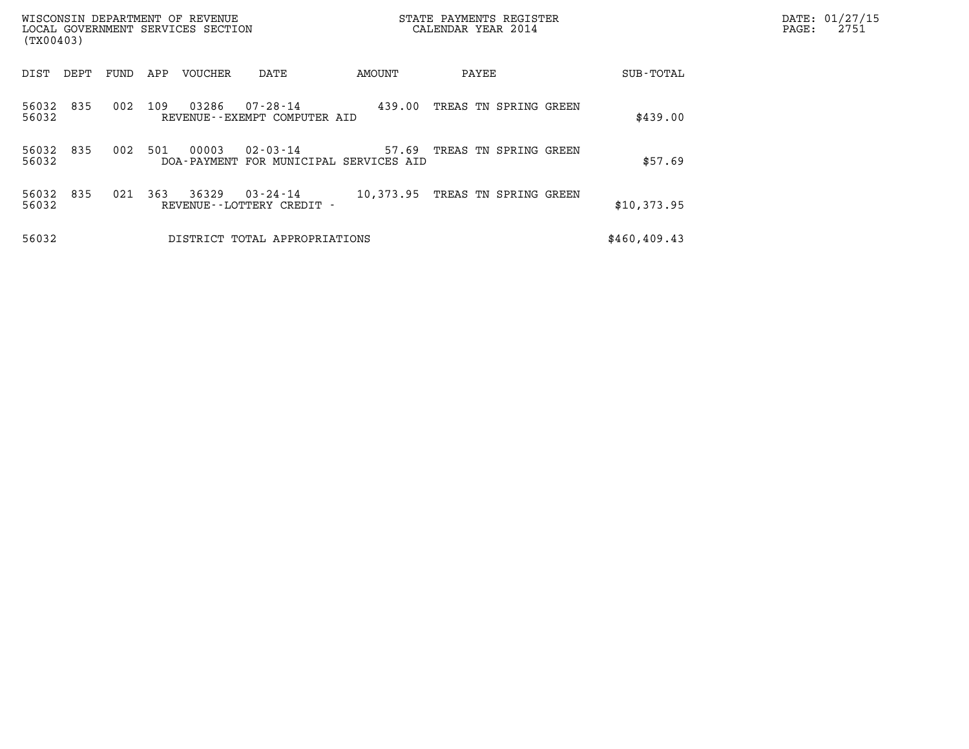| (TX00403)      |      |      |     | WISCONSIN DEPARTMENT OF REVENUE<br>LOCAL GOVERNMENT SERVICES SECTION |                                                          | STATE PAYMENTS REGISTER<br>CALENDAR YEAR 2014 |                       |               | DATE: 01/27/15<br>2751<br>PAGE: |
|----------------|------|------|-----|----------------------------------------------------------------------|----------------------------------------------------------|-----------------------------------------------|-----------------------|---------------|---------------------------------|
| DIST           | DEPT | FUND | APP | VOUCHER                                                              | DATE                                                     | AMOUNT                                        | PAYEE                 | SUB-TOTAL     |                                 |
| 56032<br>56032 | 835  | 002  | 109 | 03286                                                                | 07-28-14<br>REVENUE--EXEMPT COMPUTER AID                 | 439.00                                        | TREAS TN SPRING GREEN | \$439.00      |                                 |
| 56032<br>56032 | 835  | 002  | 501 | 00003                                                                | $02 - 03 - 14$<br>DOA-PAYMENT FOR MUNICIPAL SERVICES AID | 57.69                                         | TREAS TN SPRING GREEN | \$57.69       |                                 |
| 56032<br>56032 | 835  | 021  | 363 | 36329                                                                | 03-24-14<br>REVENUE - - LOTTERY CREDIT -                 | 10,373.95                                     | TREAS TN SPRING GREEN | \$10,373.95   |                                 |
| 56032          |      |      |     |                                                                      | DISTRICT TOTAL APPROPRIATIONS                            |                                               |                       | \$460, 409.43 |                                 |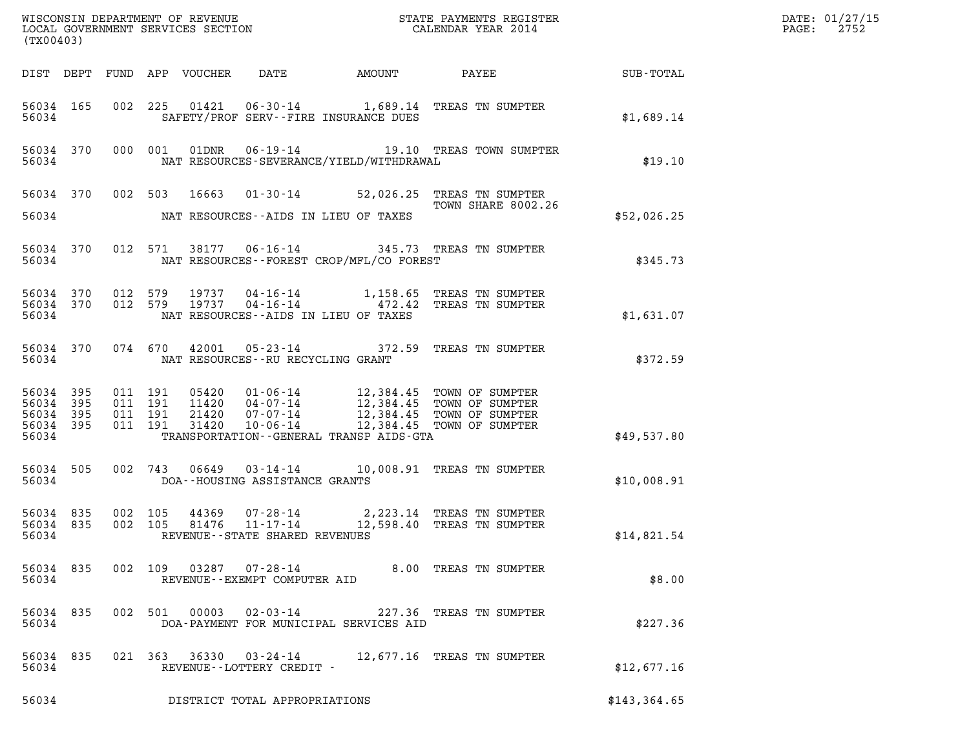| (TX00403)                       |                                            |         |                                         |                                   |                                                | DATE: 01/27/15<br>$\mathtt{PAGE:}$<br>2752                                                                             |              |  |
|---------------------------------|--------------------------------------------|---------|-----------------------------------------|-----------------------------------|------------------------------------------------|------------------------------------------------------------------------------------------------------------------------|--------------|--|
|                                 |                                            |         |                                         |                                   |                                                | DIST DEPT FUND APP VOUCHER DATE AMOUNT PAYEE SUB-TOTAL                                                                 |              |  |
|                                 | 56034 165<br>56034                         |         |                                         |                                   | SAFETY/PROF SERV--FIRE INSURANCE DUES          | 002 225 01421 06-30-14 1,689.14 TREAS TN SUMPTER                                                                       | \$1,689.14   |  |
|                                 | 56034                                      |         |                                         |                                   | NAT RESOURCES-SEVERANCE/YIELD/WITHDRAWAL       | 56034 370 000 001 01DNR 06-19-14 19.10 TREAS TOWN SUMPTER                                                              | \$19.10      |  |
|                                 |                                            |         |                                         |                                   |                                                | 56034 370 002 503 16663 01-30-14 52,026.25 TREAS TN SUMPTER<br>TOWN SHARE 8002.26                                      |              |  |
|                                 |                                            |         |                                         |                                   | 56034 NAT RESOURCES--AIDS IN LIEU OF TAXES     |                                                                                                                        | \$52,026.25  |  |
|                                 |                                            |         |                                         |                                   | 56034 NAT RESOURCES--FOREST CROP/MFL/CO FOREST | 56034 370 012 571 38177 06-16-14 345.73 TREAS TN SUMPTER                                                               | \$345.73     |  |
|                                 |                                            |         |                                         |                                   | 56034 NAT RESOURCES--AIDS IN LIEU OF TAXES     | 56034 370 012 579 19737 04-16-14 1,158.65 TREAS TN SUMPTER<br>56034 370 012 579 19737 04-16-14 472.42 TREAS TN SUMPTER | \$1,631.07   |  |
|                                 |                                            |         | 56034 NAT RESOURCES--RU RECYCLING GRANT |                                   |                                                | 56034 370 074 670 42001 05-23-14 372.59 TREAS TN SUMPTER                                                               | \$372.59     |  |
| 56034<br>56034                  | 56034 395<br>395<br>56034 395<br>56034 395 |         |                                         |                                   |                                                | TRANSPORTATION - - GENERAL TRANSP AIDS-GTA                                                                             | \$49,537.80  |  |
|                                 |                                            |         | 56034 DOA--HOUSING ASSISTANCE GRANTS    |                                   |                                                | 56034 505 002 743 06649 03-14-14 10,008.91 TREAS TN SUMPTER                                                            | \$10,008.91  |  |
| 56034 835<br>56034 835<br>56034 |                                            | 002 105 | 002 105                                 | REVENUE - - STATE SHARED REVENUES |                                                | 44369  07-28-14  2,223.14 TREAS TN SUMPTER<br>81476  11-17-14  12,598.40 TREAS TN SUMPTER                              | \$14,821.54  |  |
| 56034                           | 56034 835                                  |         |                                         | REVENUE--EXEMPT COMPUTER AID      |                                                | 002 109 03287 07-28-14 8.00 TREAS TN SUMPTER                                                                           | \$8.00       |  |
| 56034                           | 56034 835                                  |         | 002 501<br>00003                        | $02 - 03 - 14$                    | DOA-PAYMENT FOR MUNICIPAL SERVICES AID         | 227.36 TREAS TN SUMPTER                                                                                                | \$227.36     |  |
| 56034                           | 56034 835                                  |         |                                         | REVENUE--LOTTERY CREDIT -         |                                                | 021 363 36330 03-24-14 12,677.16 TREAS TN SUMPTER                                                                      | \$12,677.16  |  |
| 56034                           |                                            |         |                                         | DISTRICT TOTAL APPROPRIATIONS     |                                                |                                                                                                                        | \$143,364.65 |  |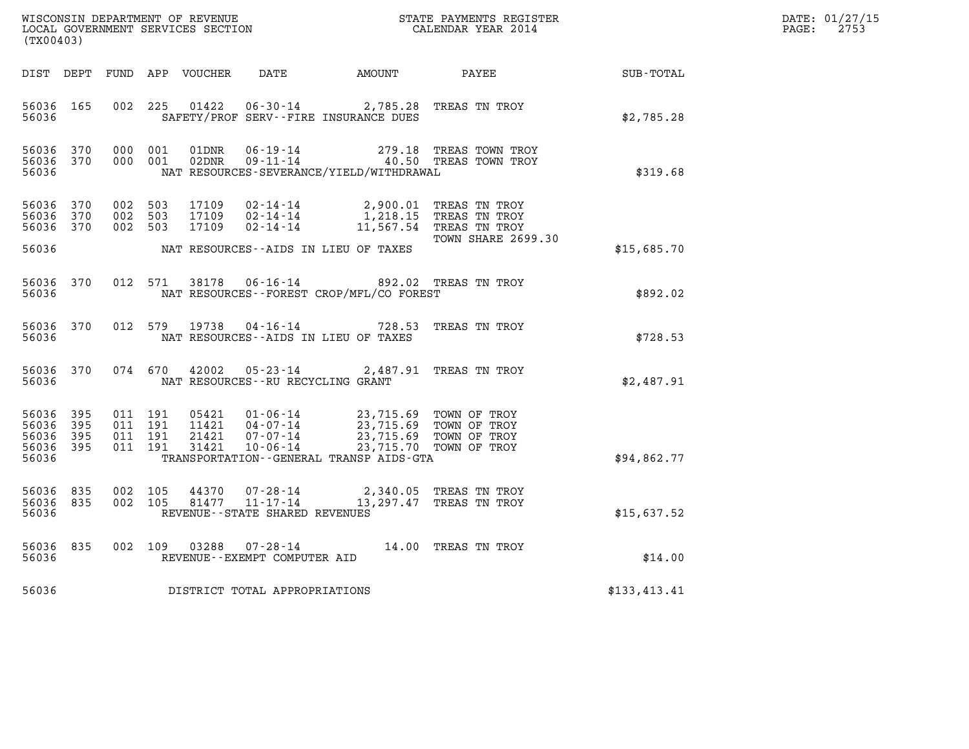| DATE: | 01/27/15 |
|-------|----------|
| PAGE: | 2753     |

| $\tt WISCONSIM DEPARTMENT OF REVENUE$ $\tt WISCONSIMENT$ SERVICES SECTION $\tt WISCONBINENT$ SERVICES SECTION $\tt CALENDAR$ YEAR 2014<br>(TX00403) |            |                               |                    |                |                                   |                                                                                                                                                                                |                                                                  |              | DATE: 01/27/15<br>$\mathtt{PAGE:}$<br>2753 |
|-----------------------------------------------------------------------------------------------------------------------------------------------------|------------|-------------------------------|--------------------|----------------|-----------------------------------|--------------------------------------------------------------------------------------------------------------------------------------------------------------------------------|------------------------------------------------------------------|--------------|--------------------------------------------|
|                                                                                                                                                     |            |                               |                    |                |                                   |                                                                                                                                                                                | DIST DEPT FUND APP VOUCHER DATE AMOUNT PAYEE TOTAL               |              |                                            |
| 56036 165<br>56036                                                                                                                                  |            | 002 225                       |                    |                |                                   | 01422   06-30-14   2,785.28   TREAS TN TROY<br>SAFETY/PROF SERV--FIRE INSURANCE DUES                                                                                           |                                                                  | \$2,785.28   |                                            |
| 56036 370<br>56036 370<br>56036                                                                                                                     |            | 000 001                       | 000 001            | 01DNR<br>02DNR | $06 - 19 - 14$                    | NAT RESOURCES-SEVERANCE/YIELD/WITHDRAWAL                                                                                                                                       | 279.18 TREAS TOWN TROY<br>$09 - 11 - 14$ $40.50$ TREAS TOWN TROY | \$319.68     |                                            |
| 56036 370<br>56036 370<br>56036 370                                                                                                                 |            | 002 503<br>002 503<br>002 503 |                    |                |                                   | 17109  02-14-14  2,900.01  TREAS TN TROY<br>17109  02-14-14  1,218.15  TREAS TN TROY<br>17109  02-14-14  11,567.54  TREAS TN TROY                                              | <b>TOWN SHARE 2699.30</b>                                        |              |                                            |
| 56036                                                                                                                                               |            |                               |                    |                |                                   | NAT RESOURCES--AIDS IN LIEU OF TAXES                                                                                                                                           |                                                                  | \$15,685.70  |                                            |
| 56036                                                                                                                                               | 56036 370  |                               |                    |                |                                   | 012 571 38178 06-16-14 892.02 TREAS TN TROY<br>NAT RESOURCES--FOREST CROP/MFL/CO FOREST                                                                                        |                                                                  | \$892.02     |                                            |
| 56036 370<br>56036                                                                                                                                  |            |                               | 012 579            | 19738          |                                   | 04-16-14 728.53 TREAS TN TROY<br>NAT RESOURCES -- AIDS IN LIEU OF TAXES                                                                                                        |                                                                  | \$728.53     |                                            |
| 56036                                                                                                                                               | 56036 370  |                               | 074 670            | 42002          | NAT RESOURCES--RU RECYCLING GRANT | 05-23-14 2,487.91 TREAS TN TROY                                                                                                                                                |                                                                  | \$2,487.91   |                                            |
| 56036 395<br>56036<br>56036<br>56036 395<br>56036                                                                                                   | 395<br>395 | 011 191<br>011 191            | 011 191<br>011 191 | 31421          | $10 - 06 - 14$                    | 05421   01-06-14   23,715.69 TOWN OF TROY<br>11421   04-07-14   23,715.69 TOWN OF TROY<br>21421   07-07-14   23,715.69 TOWN OF TROY<br>TRANSPORTATION--GENERAL TRANSP AIDS-GTA | 23,715.70 TOWN OF TROY                                           | \$94,862.77  |                                            |
| 56036 835<br>56036 835<br>56036                                                                                                                     |            | 002 105                       | 002 105            |                | REVENUE--STATE SHARED REVENUES    | $\begin{array}{cccc} 44370 & 07\cdot 28\cdot 14 & 2,340.05 & \text{TREAS TN TROY} \\ 81477 & 11\cdot 17\cdot 14 & 13,297.47 & \text{TREAS TN TROY} \end{array}$                |                                                                  | \$15,637.52  |                                            |
| 56036 835<br>56036                                                                                                                                  |            |                               |                    |                | REVENUE--EXEMPT COMPUTER AID      | 002 109 03288 07-28-14 14.00 TREAS TN TROY                                                                                                                                     |                                                                  | \$14.00      |                                            |
| 56036                                                                                                                                               |            |                               |                    |                | DISTRICT TOTAL APPROPRIATIONS     |                                                                                                                                                                                |                                                                  | \$133,413.41 |                                            |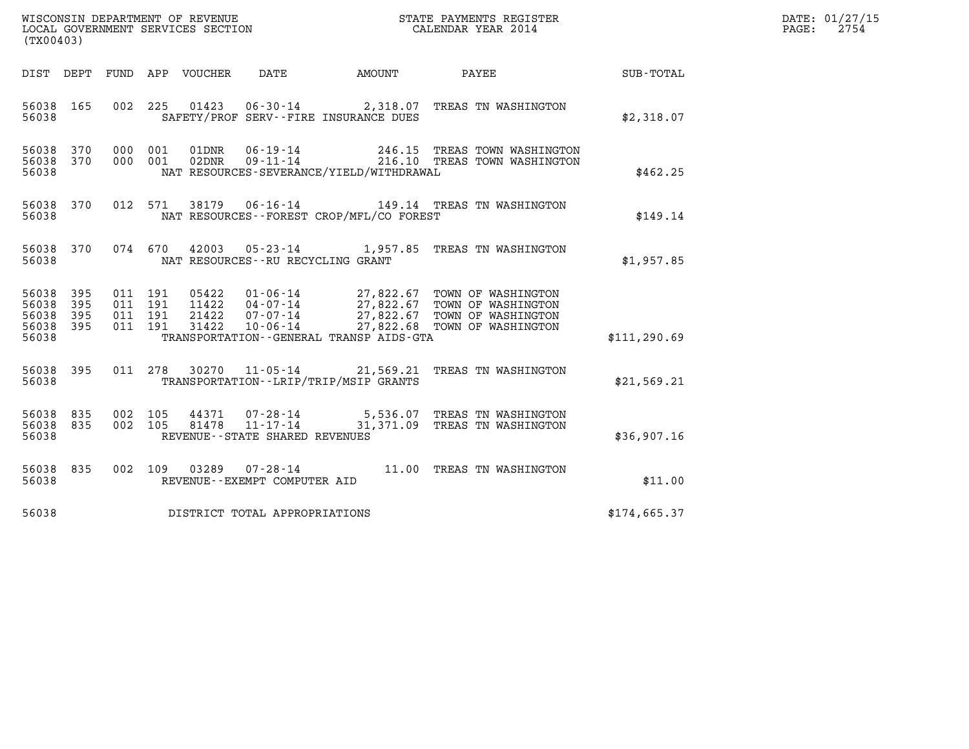| WISCONSIN DEPARTMENT OF REVENUE<br>LOCAL GOVERNMENT SERVICES SECTION<br>(TX00403) | STATE PAYMENTS REGISTER<br>CALENDAR YEAR 2014 | DATE: 01/27/15<br>2754<br>PAGE: |
|-----------------------------------------------------------------------------------|-----------------------------------------------|---------------------------------|

| (TX00403)                                                             |                          |                                                              |                                                          |                                                                        |                                                                                                          |               |
|-----------------------------------------------------------------------|--------------------------|--------------------------------------------------------------|----------------------------------------------------------|------------------------------------------------------------------------|----------------------------------------------------------------------------------------------------------|---------------|
| DIST DEPT                                                             | FUND APP                 | VOUCHER DATE                                                 |                                                          | <b>EXAMPLE THE AMOUNT</b>                                              | PAYEE                                                                                                    | SUB-TOTAL     |
| 165<br>56038<br>56038                                                 | 002                      | 225                                                          |                                                          | SAFETY/PROF SERV--FIRE INSURANCE DUES                                  | 01423  06-30-14  2,318.07  TREAS TN WASHINGTON                                                           | \$2,318.07    |
| 56038<br>370<br>370<br>56038<br>56038                                 | 000<br>000               | 001<br>01DNR<br>02DNR<br>001                                 | $06 - 19 - 14$<br>$09 - 11 - 14$                         | NAT RESOURCES-SEVERANCE/YIELD/WITHDRAWAL                               | 246.15 TREAS TOWN WASHINGTON<br>216.10 TREAS TOWN WASHINGTON                                             | \$462.25      |
| 370<br>56038<br>56038                                                 | 012                      | 571<br>38179                                                 | $06 - 16 - 14$                                           | NAT RESOURCES - - FOREST CROP/MFL/CO FOREST                            | 149.14 TREAS TN WASHINGTON                                                                               | \$149.14      |
| 370<br>56038<br>56038                                                 | 074                      | 670<br>42003                                                 | NAT RESOURCES - - RU RECYCLING GRANT                     | 05-23-14 1,957.85                                                      | TREAS TN WASHINGTON                                                                                      | \$1,957.85    |
| 56038<br>395<br>56038<br>395<br>56038<br>395<br>395<br>56038<br>56038 | 011<br>011<br>011<br>011 | 191<br>05422<br>191<br>11422<br>191<br>21422<br>191<br>31422 | $01 - 06 - 14$<br>$04 - 07 - 14$<br>07-07-14<br>10-06-14 | 27,822.67<br>27,822.68<br>TRANSPORTATION - - GENERAL TRANSP AIDS - GTA | 27,822.67 TOWN OF WASHINGTON<br>27,822.67 TOWN OF WASHINGTON<br>TOWN OF WASHINGTON<br>TOWN OF WASHINGTON | \$111, 290.69 |
| 395<br>56038<br>56038                                                 | 011                      | 278<br>30270                                                 | 11-05-14                                                 | 21,569.21<br>TRANSPORTATION - - LRIP/TRIP/MSIP GRANTS                  | TREAS TN WASHINGTON                                                                                      | \$21,569.21   |
| 835<br>56038<br>835<br>56038<br>56038                                 | 002<br>002               | 105<br>44371<br>105<br>81478                                 | $11 - 17 - 14$<br>REVENUE - - STATE SHARED REVENUES      | 31,371.09                                                              | 07-28-14 5,536.07 TREAS TN WASHINGTON<br>TREAS TN WASHINGTON                                             | \$36,907.16   |
| 56038<br>835<br>56038                                                 | 002                      | 109<br>03289                                                 | $07 - 28 - 14$<br>REVENUE--EXEMPT COMPUTER AID           | 11.00                                                                  | TREAS TN WASHINGTON                                                                                      | \$11.00       |
| 56038                                                                 |                          |                                                              | DISTRICT TOTAL APPROPRIATIONS                            |                                                                        |                                                                                                          | \$174,665.37  |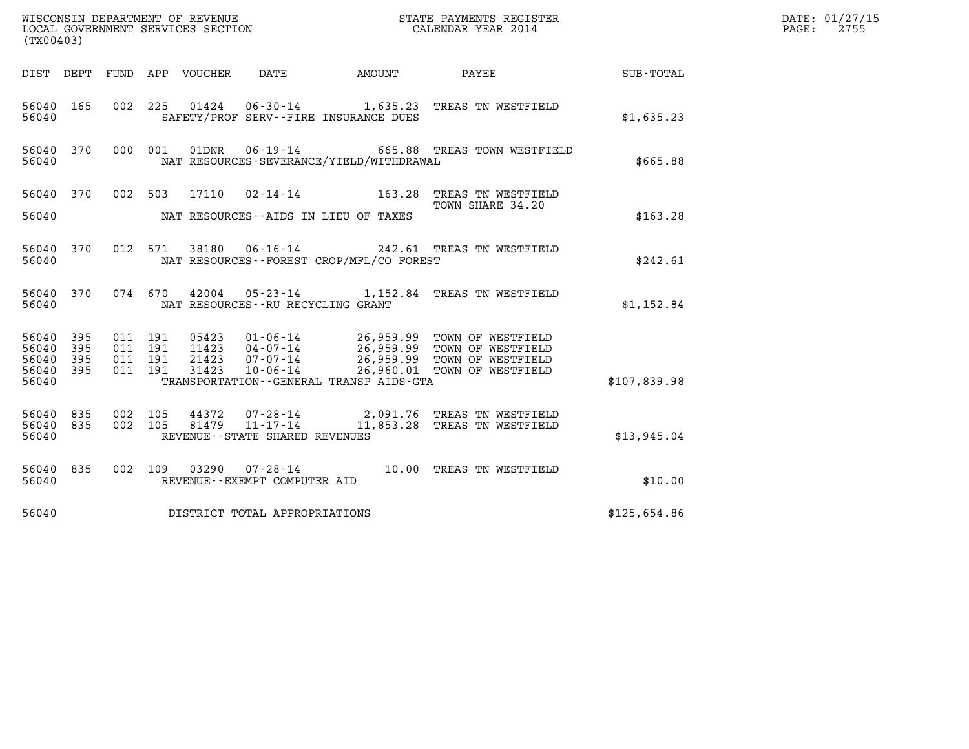| (TX00403)                                 |                            |                                          | WISCONSIN DEPARTMENT OF REVENUE<br>LOCAL GOVERNMENT SERVICES SECTION |                                                     |                                              | DATE: 01/27/15<br>2755<br>PAGE:                                                                                                                                                                                        |              |  |
|-------------------------------------------|----------------------------|------------------------------------------|----------------------------------------------------------------------|-----------------------------------------------------|----------------------------------------------|------------------------------------------------------------------------------------------------------------------------------------------------------------------------------------------------------------------------|--------------|--|
|                                           |                            |                                          | DIST DEPT FUND APP VOUCHER                                           | DATE                                                | AMOUNT                                       | PAYEE                                                                                                                                                                                                                  | SUB-TOTAL    |  |
| 56040 165<br>56040                        |                            |                                          |                                                                      |                                                     | SAFETY/PROF SERV--FIRE INSURANCE DUES        | 002 225 01424 06-30-14 1,635.23 TREAS TN WESTFIELD                                                                                                                                                                     | \$1,635.23   |  |
| 56040 370<br>56040                        |                            |                                          | 000 001<br>01DNR                                                     |                                                     | NAT RESOURCES-SEVERANCE/YIELD/WITHDRAWAL     | 06-19-14 665.88 TREAS TOWN WESTFIELD                                                                                                                                                                                   | \$665.88     |  |
|                                           |                            | 56040 370 002 503                        | 17110                                                                |                                                     |                                              | 02-14-14 163.28 TREAS TN WESTFIELD<br>TOWN SHARE 34.20                                                                                                                                                                 |              |  |
| 56040                                     |                            |                                          |                                                                      |                                                     | NAT RESOURCES--AIDS IN LIEU OF TAXES         |                                                                                                                                                                                                                        | \$163.28     |  |
| 56040 370<br>56040                        |                            |                                          | 012 571                                                              |                                                     | NAT RESOURCES--FOREST CROP/MFL/CO FOREST     | 38180  06-16-14  242.61  TREAS TN WESTFIELD                                                                                                                                                                            | \$242.61     |  |
| 56040 370<br>56040                        |                            |                                          | 074 670                                                              | NAT RESOURCES -- RU RECYCLING GRANT                 |                                              | 42004  05-23-14  1,152.84  TREAS TN WESTFIELD                                                                                                                                                                          | \$1,152.84   |  |
| 56040<br>56040<br>56040<br>56040<br>56040 | 395<br>395<br>- 395<br>395 | 011 191<br>011 191<br>011 191<br>011 191 | 21423<br>31423                                                       | $07 - 07 - 14$<br>$10 - 06 - 14$                    | TRANSPORTATION - - GENERAL TRANSP AIDS - GTA | 05423   01-06-14   26,959.99   TOWN OF WESTFIELD<br>11423   04-07-14   26,959.99   TOWN OF WESTFIELD<br>21423   07-07-14   26.959.99   TOWN OF WESTFIELD<br>26,959.99 TOWN OF WESTFIELD<br>26,960.01 TOWN OF WESTFIELD | \$107,839.98 |  |
| 56040 835<br>56040 835<br>56040           |                            | 002 105<br>002 105                       | 44372<br>81479                                                       | $11 - 17 - 14$<br>REVENUE - - STATE SHARED REVENUES |                                              | 07-28-14 2,091.76 TREAS TN WESTFIELD<br>11,853.28 TREAS TN WESTFIELD                                                                                                                                                   | \$13,945.04  |  |
| 56040 835<br>56040                        |                            |                                          | 002 109 03290 07-28-14                                               | REVENUE--EXEMPT COMPUTER AID                        |                                              | 10.00 TREAS TN WESTFIELD                                                                                                                                                                                               | \$10.00      |  |
| 56040                                     |                            |                                          | DISTRICT TOTAL APPROPRIATIONS                                        |                                                     |                                              |                                                                                                                                                                                                                        | \$125,654.86 |  |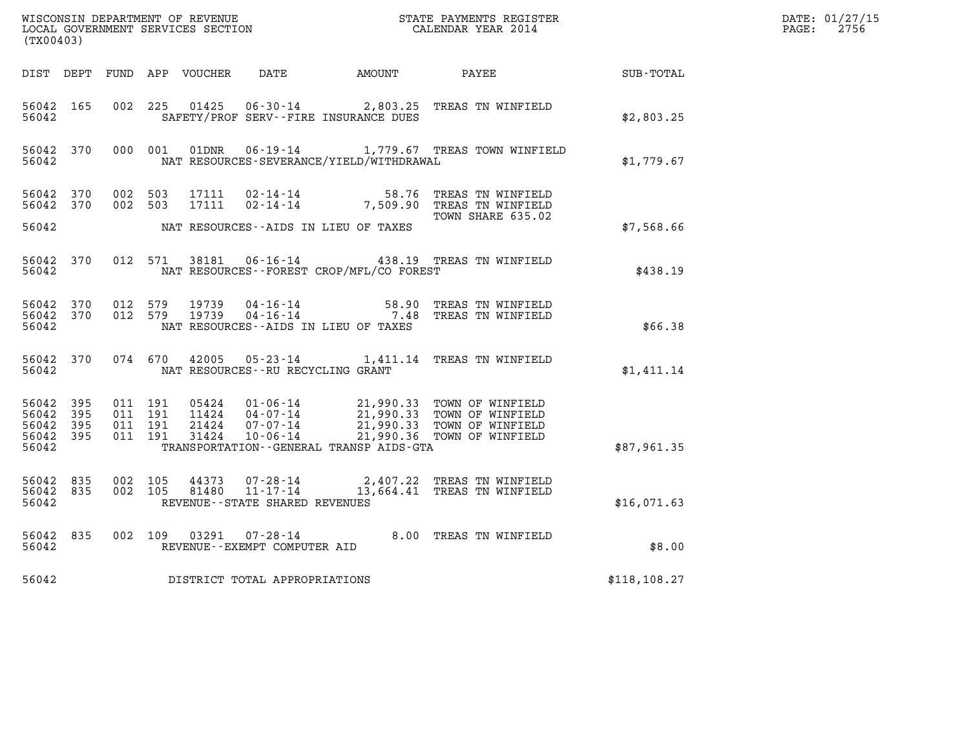| (TX00403)                                                 |           |                                          |  |  |                                         |                                           |                                                                                                                                                                                              |              | DATE: 01/27/15<br>$\mathtt{PAGE:}$<br>2756 |
|-----------------------------------------------------------|-----------|------------------------------------------|--|--|-----------------------------------------|-------------------------------------------|----------------------------------------------------------------------------------------------------------------------------------------------------------------------------------------------|--------------|--------------------------------------------|
|                                                           |           |                                          |  |  |                                         |                                           | DIST DEPT FUND APP VOUCHER DATE AMOUNT PAYEE SUB-TOTAL                                                                                                                                       |              |                                            |
| 56042 165<br>56042                                        |           |                                          |  |  |                                         | SAFETY/PROF SERV--FIRE INSURANCE DUES     | 002 225 01425 06-30-14 2,803.25 TREAS TN WINFIELD                                                                                                                                            | \$2,803.25   |                                            |
| 56042                                                     |           |                                          |  |  |                                         | NAT RESOURCES-SEVERANCE/YIELD/WITHDRAWAL  | 56042 370 000 001 01DNR 06-19-14 1,779.67 TREAS TOWN WINFIELD                                                                                                                                | \$1,779.67   |                                            |
| 56042 370<br>56042 370                                    |           | 002 503<br>002 503                       |  |  |                                         |                                           | 17111 02-14-14 58.76 TREAS TN WINFIELD<br>17111 02-14-14 7,509.90 TREAS TN WINFIELD<br>TOWN SHARE 635.02                                                                                     |              |                                            |
| 56042                                                     |           |                                          |  |  |                                         | NAT RESOURCES--AIDS IN LIEU OF TAXES      |                                                                                                                                                                                              | \$7,568.66   |                                            |
|                                                           | 56042     |                                          |  |  |                                         | NAT RESOURCES - FOREST CROP/MFL/CO FOREST | 56042 370 012 571 38181 06-16-14 438.19 TREAS TN WINFIELD                                                                                                                                    | \$438.19     |                                            |
| 56042                                                     |           |                                          |  |  |                                         | NAT RESOURCES--AIDS IN LIEU OF TAXES      | 56042 370 012 579 19739 04-16-14 58.90 TREAS TN WINFIELD<br>56042 370 012 579 19739 04-16-14 7.48 TREAS TN WINFIELD                                                                          | \$66.38      |                                            |
|                                                           |           |                                          |  |  | 56042 NAT RESOURCES--RU RECYCLING GRANT |                                           | 56042 370 074 670 42005 05-23-14 1,411.14 TREAS TN WINFIELD                                                                                                                                  | \$1,411.14   |                                            |
| 56042 395<br>56042 395<br>56042 395<br>56042 395<br>56042 |           | 011 191<br>011 191<br>011 191<br>011 191 |  |  |                                         | TRANSPORTATION--GENERAL TRANSP AIDS-GTA   | 05424  01-06-14  21,990.33  TOWN OF WINFIELD<br>11424  04-07-14  21,990.33  TOWN OF WINFIELD<br>21424  07-07-14  21,990.33  TOWN OF WINFIELD<br>31424  10-06-14  21,990.36  TOWN OF WINFIELD | \$87,961.35  |                                            |
| 56042                                                     | 56042 835 | 56042 835 002 105<br>002 105             |  |  | REVENUE--STATE SHARED REVENUES          |                                           | 44373  07-28-14  2,407.22  TREAS TN WINFIELD<br>81480  11-17-14  13,664.41  TREAS TN WINFIELD                                                                                                | \$16,071.63  |                                            |
| 56042                                                     | 56042 835 |                                          |  |  | REVENUE--EXEMPT COMPUTER AID            |                                           | 002 109 03291 07-28-14 8.00 TREAS TN WINFIELD                                                                                                                                                | \$8.00       |                                            |
| 56042                                                     |           |                                          |  |  | DISTRICT TOTAL APPROPRIATIONS           |                                           |                                                                                                                                                                                              | \$118,108.27 |                                            |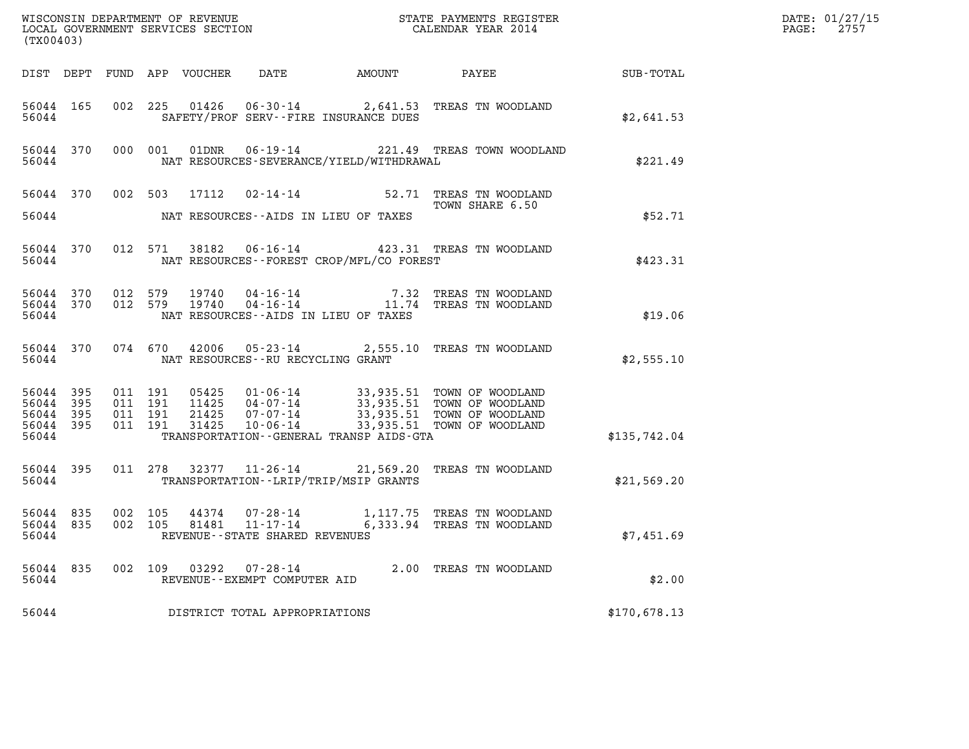| (TX00403)                       |                        |                                          |       |                                                     |                                             | %WISCONSIN DEPARTMENT OF REVENUE $$\tt STATE$ PAYMENTS REGISTER LOCAL GOVERNMENT SERVICES SECTION $$\tt CALENDAR$ YEAR 2014                                                              |              | DATE: 01/27/15<br>$\mathtt{PAGE:}$<br>2757 |
|---------------------------------|------------------------|------------------------------------------|-------|-----------------------------------------------------|---------------------------------------------|------------------------------------------------------------------------------------------------------------------------------------------------------------------------------------------|--------------|--------------------------------------------|
|                                 |                        |                                          |       |                                                     |                                             |                                                                                                                                                                                          |              |                                            |
| 56044                           | 56044 165              |                                          |       |                                                     | SAFETY/PROF SERV--FIRE INSURANCE DUES       | 002 225 01426 06-30-14 2,641.53 TREAS TN WOODLAND                                                                                                                                        | \$2,641.53   |                                            |
| 56044                           |                        |                                          |       |                                                     | NAT RESOURCES-SEVERANCE/YIELD/WITHDRAWAL    | 56044 370 000 001 01DNR 06-19-14 221.49 TREAS TOWN WOODLAND                                                                                                                              | \$221.49     |                                            |
|                                 |                        |                                          |       |                                                     | 56044 MAT RESOURCES--AIDS IN LIEU OF TAXES  | 56044 370 002 503 17112 02-14-14 52.71 TREAS TN WOODLAND<br>TOWN SHARE 6.50                                                                                                              | \$52.71      |                                            |
| 56044 370                       | 56044                  |                                          |       |                                                     | NAT RESOURCES - - FOREST CROP/MFL/CO FOREST | 012 571 38182 06-16-14 423.31 TREAS TN WOODLAND                                                                                                                                          | \$423.31     |                                            |
| 56044                           |                        |                                          |       |                                                     | NAT RESOURCES--AIDS IN LIEU OF TAXES        | 56044 370 012 579 19740 04-16-14 7.32 TREAS TN WOODLAND<br>56044 370 012 579 19740 04-16-14 11.74 TREAS TN WOODLAND                                                                      | \$19.06      |                                            |
|                                 |                        | 56044                                    |       | NAT RESOURCES--RU RECYCLING GRANT                   |                                             | 56044 370 074 670 42006 05-23-14 2,555.10 TREAS TN WOODLAND                                                                                                                              | \$2,555.10   |                                            |
| 56044 395<br>56044 395<br>56044 | 56044 395<br>56044 395 | 011 191<br>011 191<br>011 191<br>011 191 |       |                                                     | TRANSPORTATION--GENERAL TRANSP AIDS-GTA     | 05425  01-06-14  33,935.51 TOWN OF WOODLAND<br>11425  04-07-14  33,935.51 TOWN OF WOODLAND<br>21425  07-07-14  33,935.51 TOWN OF WOODLAND<br>31425  10-06-14  33,935.51 TOWN OF WOODLAND | \$135,742.04 |                                            |
| 56044 395                       |                        | 56044                                    |       |                                                     | TRANSPORTATION - - LRIP/TRIP/MSIP GRANTS    | 011 278 32377 11-26-14 21,569.20 TREAS TN WOODLAND                                                                                                                                       | \$21,569.20  |                                            |
| 56044 835<br>56044 835<br>56044 |                        | 002 105<br>002 105                       |       | 81481 11-17-14<br>REVENUE - - STATE SHARED REVENUES |                                             | 44374  07-28-14   1,117.75   TREAS TN WOODLAND<br>6,333.94 TREAS TN WOODLAND                                                                                                             | \$7,451.69   |                                            |
| 56044 835<br>56044              |                        | 002 109                                  | 03292 | 07-28-14<br>REVENUE - - EXEMPT COMPUTER AID         |                                             | 2.00 TREAS TN WOODLAND                                                                                                                                                                   | \$2.00       |                                            |
| 56044                           |                        |                                          |       | DISTRICT TOTAL APPROPRIATIONS                       |                                             |                                                                                                                                                                                          | \$170,678.13 |                                            |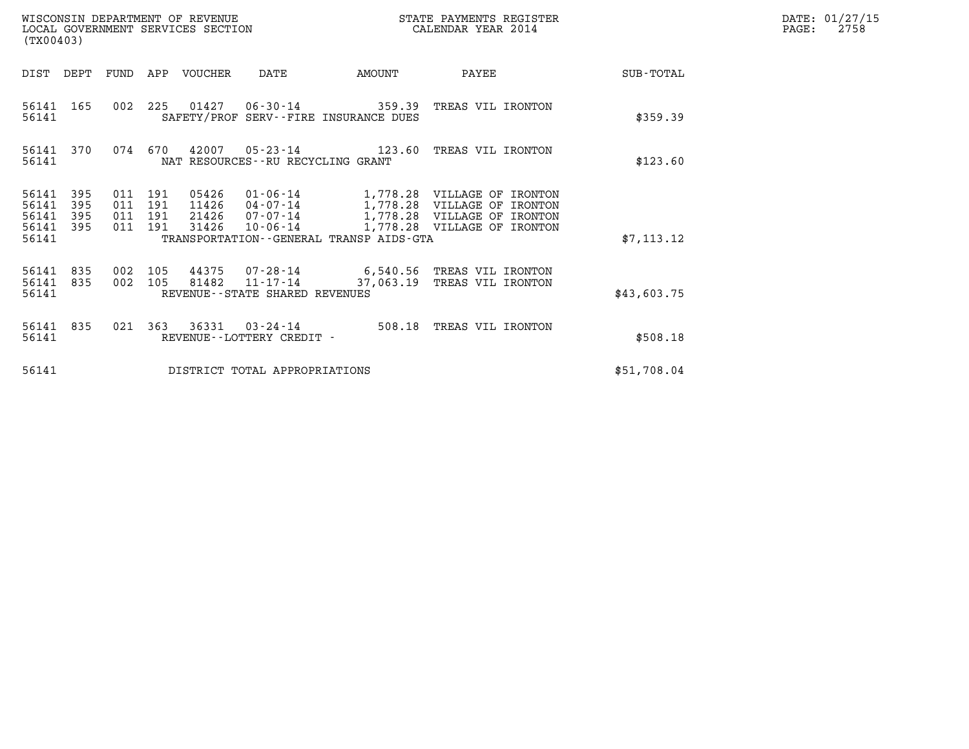| (TX00403)                                                             |                                          | WISCONSIN DEPARTMENT OF REVENUE<br>LOCAL GOVERNMENT SERVICES SECTION |                                                                                                                                                                             | STATE PAYMENTS REGISTER<br>CALENDAR YEAR 2014 |             | DATE: 01/27/15<br>PAGE:<br>2758 |
|-----------------------------------------------------------------------|------------------------------------------|----------------------------------------------------------------------|-----------------------------------------------------------------------------------------------------------------------------------------------------------------------------|-----------------------------------------------|-------------|---------------------------------|
| DIST DEPT                                                             | FUND                                     | APP VOUCHER                                                          | AMOUNT<br>DATE                                                                                                                                                              | PAYEE                                         | SUB-TOTAL   |                                 |
| 56141<br>165<br>56141                                                 |                                          | 002 225                                                              | $01427$ $06-30-14$<br>SAFETY/PROF SERV--FIRE INSURANCE DUES                                                                                                                 | 359.39 TREAS VIL IRONTON                      | \$359.39    |                                 |
| 56141<br>370<br>56141                                                 |                                          | 074 670<br>42007                                                     | NAT RESOURCES--RU RECYCLING GRANT                                                                                                                                           |                                               | \$123.60    |                                 |
| 56141<br>395<br>56141<br>395<br>56141<br>395<br>395<br>56141<br>56141 | 011 191<br>011 191<br>011 191<br>011 191 | 05426<br>11426<br>21426<br>31426                                     | 01-06-14 1,778.28 VILLAGE OF IRONTON<br>04-07-14 1,778.28 VILLAGE OF IRONTON<br>07-07-14 1,778.28 VILLAGE OF IRONTON<br>10-06-14<br>TRANSPORTATION--GENERAL TRANSP AIDS-GTA | 1,778.28 VILLAGE OF IRONTON                   | \$7, 113.12 |                                 |
| 56141<br>835<br>835<br>56141<br>56141                                 | 002 105<br>002 105                       | 44375<br>81482                                                       | 07-28-14 6,540.56 TREAS VIL IRONTON<br>$11 - 17 - 14$<br>REVENUE--STATE SHARED REVENUES                                                                                     | 37,063.19 TREAS VIL IRONTON                   | \$43,603.75 |                                 |
| 56141<br>835<br>56141                                                 | 021                                      | 363<br>36331<br>REVENUE - - LOTTERY CREDIT -                         | 03-24-14                                                                                                                                                                    | 508.18 TREAS VIL IRONTON                      | \$508.18    |                                 |
| 56141                                                                 |                                          |                                                                      | DISTRICT TOTAL APPROPRIATIONS                                                                                                                                               |                                               | \$51,708.04 |                                 |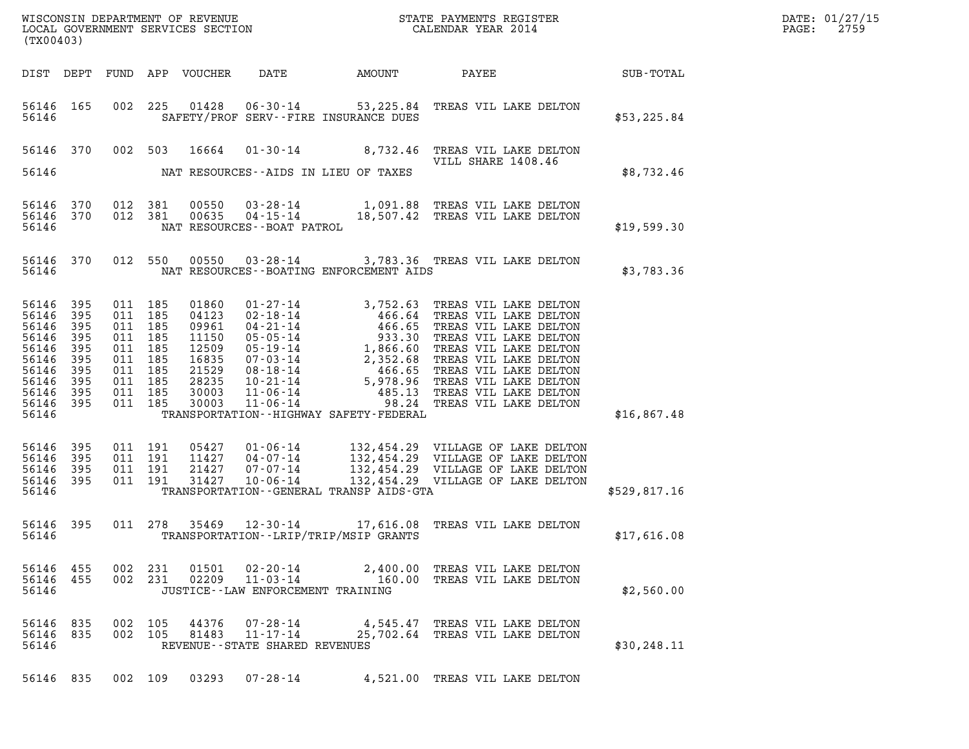| (TX00403)                                                                                               |                                                      |                                                                                                            |                                          |                                                                                        |                                                                 |                                             |                                                                                                                                                                                                                          |              | DATE: 01/27/15<br>$\mathtt{PAGE:}$<br>2759 |
|---------------------------------------------------------------------------------------------------------|------------------------------------------------------|------------------------------------------------------------------------------------------------------------|------------------------------------------|----------------------------------------------------------------------------------------|-----------------------------------------------------------------|---------------------------------------------|--------------------------------------------------------------------------------------------------------------------------------------------------------------------------------------------------------------------------|--------------|--------------------------------------------|
|                                                                                                         |                                                      |                                                                                                            |                                          | DIST DEPT FUND APP VOUCHER                                                             | DATE                                                            |                                             | AMOUNT PAYEE SUB-TOTAL                                                                                                                                                                                                   |              |                                            |
| 56146 165<br>56146                                                                                      |                                                      |                                                                                                            |                                          |                                                                                        |                                                                 | SAFETY/PROF SERV--FIRE INSURANCE DUES       | 002 225 01428 06-30-14 53, 225.84 TREAS VIL LAKE DELTON                                                                                                                                                                  | \$53,225.84  |                                            |
|                                                                                                         |                                                      |                                                                                                            |                                          |                                                                                        |                                                                 |                                             | 56146 370 002 503 16664 01-30-14 8,732.46 TREAS VIL LAKE DELTON<br>VILL SHARE 1408.46                                                                                                                                    |              |                                            |
| 56146                                                                                                   |                                                      |                                                                                                            |                                          |                                                                                        |                                                                 | NAT RESOURCES -- AIDS IN LIEU OF TAXES      |                                                                                                                                                                                                                          | \$8,732.46   |                                            |
| 56146                                                                                                   |                                                      | 56146 370 012 381<br>56146 370 012 381                                                                     |                                          | 00550<br>00635                                                                         | NAT RESOURCES - - BOAT PATROL                                   |                                             | 03-28-14 1,091.88 TREAS VIL LAKE DELTON<br>04-15-14 18,507.42 TREAS VIL LAKE DELTON                                                                                                                                      | \$19,599.30  |                                            |
| 56146                                                                                                   |                                                      |                                                                                                            |                                          |                                                                                        |                                                                 | NAT RESOURCES - - BOATING ENFORCEMENT AIDS  | 56146 370 012 550 00550 03-28-14 3,783.36 TREAS VIL LAKE DELTON                                                                                                                                                          | \$3,783.36   |                                            |
| 56146 395<br>56146<br>56146<br>56146<br>56146<br>56146<br>56146<br>56146<br>56146<br>56146 395<br>56146 | 395<br>395<br>395<br>395<br>395<br>395<br>395<br>395 | 011 185<br>011 185<br>011 185<br>011 185<br>011 185<br>011 185<br>011 185<br>011 185<br>011 185<br>011 185 |                                          | 01860<br>04123<br>09961<br>11150<br>12509<br>16835<br>21529<br>28235<br>30003<br>30003 |                                                                 | TRANSPORTATION - - HIGHWAY SAFETY - FEDERAL |                                                                                                                                                                                                                          | \$16,867.48  |                                            |
| 56146 395<br>56146 395<br>56146<br>56146 395<br>56146                                                   | - 395                                                |                                                                                                            | 011 191<br>011 191<br>011 191<br>011 191 |                                                                                        |                                                                 | TRANSPORTATION--GENERAL TRANSP AIDS-GTA     | 05427  01-06-14  132,454.29  VILLAGE OF LAKE DELTON<br>11427  04-07-14  132,454.29  VILLAGE OF LAKE DELTON<br>21427  07-07-14  132,454.29  VILLAGE OF LAKE DELTON<br>31427  10-06-14  132,454.29  VILLAGE OF LAKE DELTON | \$529,817.16 |                                            |
| 56146                                                                                                   |                                                      |                                                                                                            |                                          |                                                                                        | 56146 395 011 278 35469 12-30-14                                | TRANSPORTATION - - LRIP/TRIP/MSIP GRANTS    | 17,616.08 TREAS VIL LAKE DELTON                                                                                                                                                                                          | \$17,616.08  |                                            |
| 56146 455<br>56146 455<br>56146                                                                         |                                                      | 002 231                                                                                                    | 002 231                                  | 02209                                                                                  | JUSTICE - - LAW ENFORCEMENT TRAINING                            |                                             | 01501  02-20-14  2,400.00 TREAS VIL LAKE DELTON<br>11-03-14 160.00 TREAS VIL LAKE DELTON                                                                                                                                 | \$2,560.00   |                                            |
| 56146 835<br>56146 835<br>56146                                                                         |                                                      | 002 105<br>002 105                                                                                         |                                          | 44376<br>81483                                                                         | 07-28-14<br>$11 - 17 - 14$<br>REVENUE - - STATE SHARED REVENUES |                                             | 4,545.47 TREAS VIL LAKE DELTON<br>25,702.64 TREAS VIL LAKE DELTON                                                                                                                                                        | \$30, 248.11 |                                            |
| 56146 835                                                                                               |                                                      | 002 109                                                                                                    |                                          | 03293                                                                                  | 07-28-14                                                        |                                             | 4,521.00 TREAS VIL LAKE DELTON                                                                                                                                                                                           |              |                                            |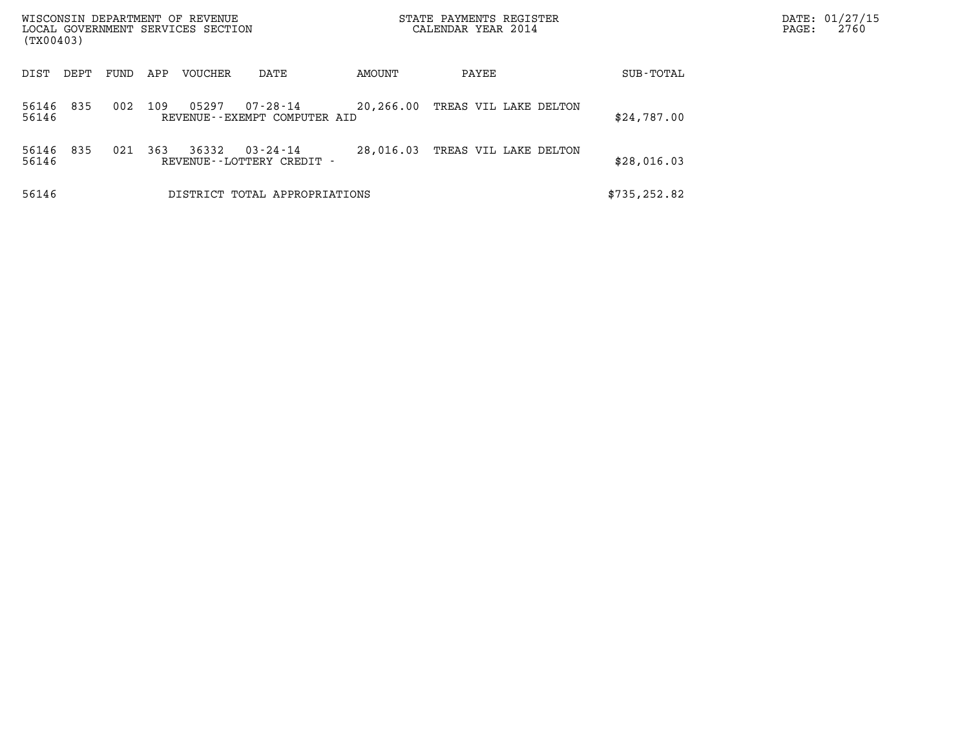| WISCONSIN DEPARTMENT OF REVENUE<br>LOCAL GOVERNMENT SERVICES SECTION<br>(TX00403) |      |     |         |                                                |           | STATE PAYMENTS REGISTER<br>CALENDAR YEAR 2014 |               | DATE: 01/27/15<br>2760<br>PAGE: |
|-----------------------------------------------------------------------------------|------|-----|---------|------------------------------------------------|-----------|-----------------------------------------------|---------------|---------------------------------|
| DIST<br>DEPT                                                                      | FUND | APP | VOUCHER | DATE                                           | AMOUNT    | PAYEE                                         | SUB-TOTAL     |                                 |
| 835<br>56146<br>56146                                                             | 002  | 109 | 05297   | $07 - 28 - 14$<br>REVENUE--EXEMPT COMPUTER AID | 20,266.00 | TREAS VIL LAKE DELTON                         | \$24,787.00   |                                 |
| 835<br>56146<br>56146                                                             | 021  | 363 | 36332   | $03 - 24 - 14$<br>REVENUE - - LOTTERY CREDIT - | 28,016.03 | TREAS VIL LAKE DELTON                         | \$28,016.03   |                                 |
| 56146                                                                             |      |     |         | DISTRICT TOTAL APPROPRIATIONS                  |           |                                               | \$735, 252.82 |                                 |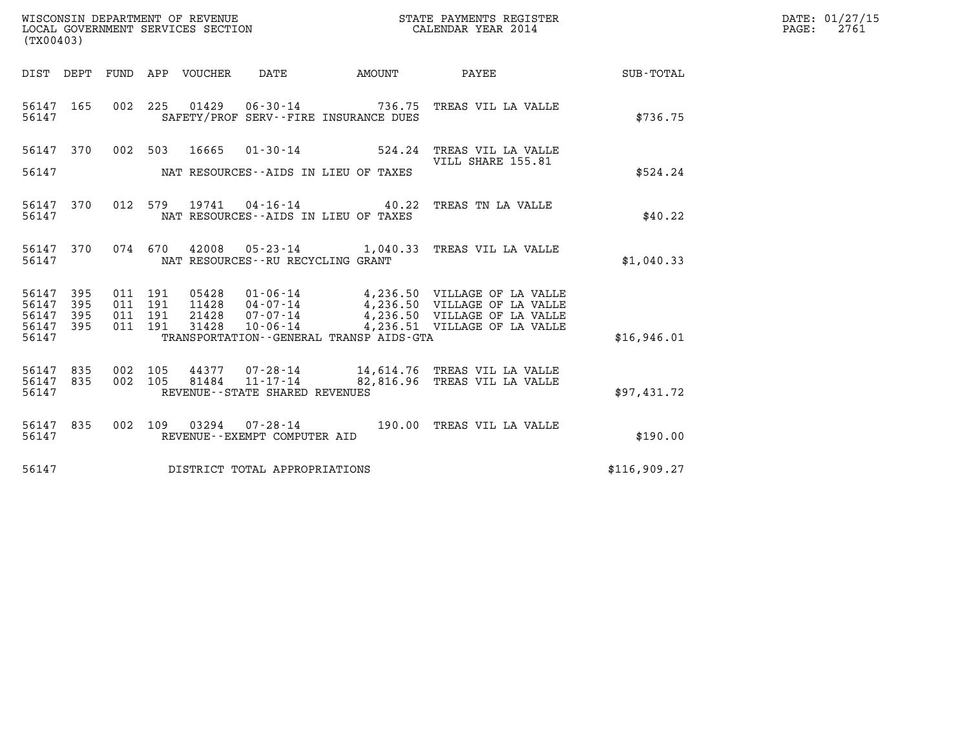| WISCONSIN DEPARTMENT OF REVENUE   | STATE PAYMENTS REGISTER | DATE: 01/27/15 |
|-----------------------------------|-------------------------|----------------|
| LOCAL GOVERNMENT SERVICES SECTION | CALENDAR YEAR 2014      | 2761<br>PAGE:  |

| (TX00403)                    |            |                                                                                                                         |                  |
|------------------------------|------------|-------------------------------------------------------------------------------------------------------------------------|------------------|
| DIST<br>DEPT                 | FUND       | VOUCHER<br><b>DATE</b><br>APP<br>AMOUNT<br>PAYEE                                                                        | <b>SUB-TOTAL</b> |
| 165<br>56147<br>56147        | 002        | 225<br>$01429$ $06-30-14$<br>736.75<br>TREAS VIL LA VALLE<br>SAFETY/PROF SERV--FIRE INSURANCE DUES                      | \$736.75         |
| 56147<br>370                 | 002        | 16665 01-30-14 524.24<br>503<br>TREAS VIL LA VALLE<br>VILL SHARE 155.81                                                 |                  |
| 56147                        |            | NAT RESOURCES -- AIDS IN LIEU OF TAXES                                                                                  | \$524.24         |
| 370<br>56147<br>56147        | 012        | 579<br>19741 04-16-14 40.22<br>TREAS TN LA VALLE<br>NAT RESOURCES -- AIDS IN LIEU OF TAXES                              | \$40.22          |
| 56147<br>370<br>56147        | 074        | 670<br>42008  05-23-14  1,040.33  TREAS VIL LA VALLE<br>NAT RESOURCES - - RU RECYCLING GRANT                            | \$1,040.33       |
| 56147<br>395<br>56147<br>395 | 011<br>011 | 191<br>191                                                                                                              |                  |
| 56147<br>395<br>56147<br>395 | 011<br>011 | 191<br>4,236.51 VILLAGE OF LA VALLE<br>191<br>31428<br>10-06-14                                                         |                  |
| 56147                        |            | TRANSPORTATION--GENERAL TRANSP AIDS-GTA                                                                                 | \$16,946.01      |
| 56147<br>835<br>56147<br>835 | 002<br>002 | 105<br>44377 07-28-14 14,614.76 TREAS VIL LA VALLE<br>81484<br>$11 - 17 - 14$<br>82,816.96<br>105<br>TREAS VIL LA VALLE |                  |
| 56147                        |            | REVENUE - - STATE SHARED REVENUES                                                                                       | \$97,431.72      |
| 835<br>56147<br>56147        | 002        | 109<br>03294<br>$07 - 28 - 14$ 190.00<br>TREAS VIL LA VALLE<br>REVENUE - - EXEMPT COMPUTER AID                          | \$190.00         |
| 56147                        |            | DISTRICT TOTAL APPROPRIATIONS                                                                                           | \$116,909.27     |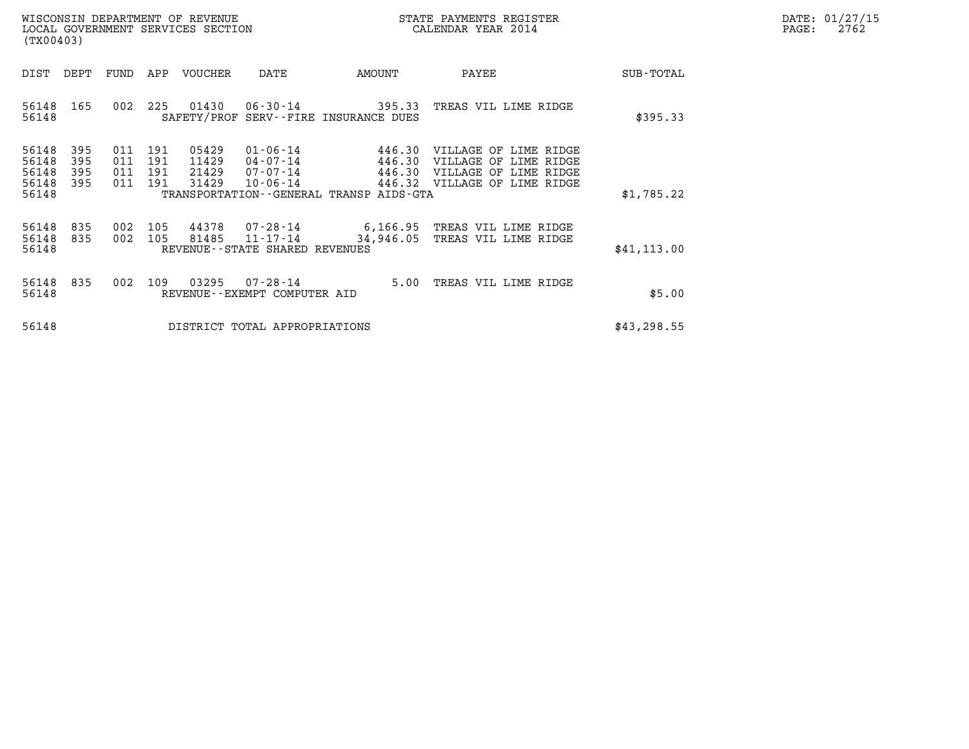| DATE: | 01/27/15 |
|-------|----------|
| PAGE: | 2762     |

|                                           | WISCONSIN DEPARTMENT OF REVENUE<br>LOCAL GOVERNMENT SERVICES SECTION<br>(TX00403) |                          |                          |                                  |                                                                |                                                                | STATE PAYMENTS REGISTER<br>CALENDAR YEAR 2014                                                                         |              | DATE: 01/27/15<br>$\mathtt{PAGE:}$<br>2762 |
|-------------------------------------------|-----------------------------------------------------------------------------------|--------------------------|--------------------------|----------------------------------|----------------------------------------------------------------|----------------------------------------------------------------|-----------------------------------------------------------------------------------------------------------------------|--------------|--------------------------------------------|
| DIST                                      | DEPT                                                                              | FUND                     |                          | APP VOUCHER                      | DATE                                                           | AMOUNT                                                         | PAYEE                                                                                                                 | SUB-TOTAL    |                                            |
| 56148<br>56148                            | 165                                                                               | 002                      | 225                      | 01430                            |                                                                | $06 - 30 - 14$ 395.33<br>SAFETY/PROF SERV--FIRE INSURANCE DUES | TREAS VIL LIME RIDGE                                                                                                  | \$395.33     |                                            |
| 56148<br>56148<br>56148<br>56148<br>56148 | 395<br>395<br>395<br>395                                                          | 011<br>011<br>011<br>011 | 191<br>191<br>191<br>191 | 05429<br>11429<br>21429<br>31429 | $01 - 06 - 14$<br>$04 - 07 - 14$<br>07-07-14<br>$10 - 06 - 14$ | 446.30<br>TRANSPORTATION - - GENERAL TRANSP AIDS - GTA         | 446.30 VILLAGE OF LIME RIDGE<br>VILLAGE OF LIME RIDGE<br>446.30 VILLAGE OF LIME RIDGE<br>446.32 VILLAGE OF LIME RIDGE | \$1,785.22   |                                            |
| 56148<br>56148<br>56148                   | 835<br>835                                                                        | 002<br>002               | 105<br>105               | 44378<br>81485                   | 11-17-14<br>REVENUE - - STATE SHARED REVENUES                  | 34,946.05                                                      | $07 - 28 - 14$ 6,166.95 TREAS VIL LIME RIDGE<br>TREAS VIL LIME RIDGE                                                  | \$41, 113.00 |                                            |
| 56148<br>56148                            | 835                                                                               | 002                      | 109                      | 03295                            | 07-28-14<br>REVENUE - - EXEMPT COMPUTER AID                    | 5.00                                                           | TREAS VIL LIME RIDGE                                                                                                  | \$5.00       |                                            |
| 56148                                     | DISTRICT TOTAL APPROPRIATIONS                                                     |                          |                          |                                  |                                                                |                                                                |                                                                                                                       | \$43, 298.55 |                                            |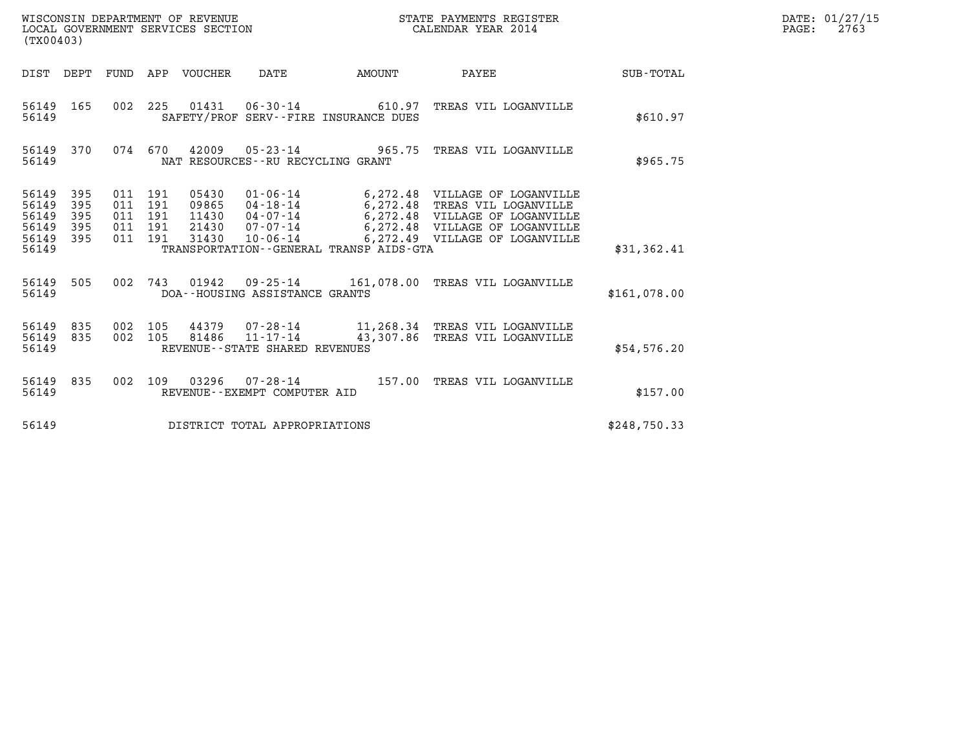| WISCONSIN DEPARTMENT OF REVENUE   | STATE PAYMENTS REGISTER | DATE: 01/27/15 |
|-----------------------------------|-------------------------|----------------|
| LOCAL GOVERNMENT SERVICES SECTION | CALENDAR YEAR 2014      | 2763<br>PAGE:  |

| (TX00403)                                                                             |                                 |                                                                                                                                                                                           |            |                                                                                                                                                              |                  |
|---------------------------------------------------------------------------------------|---------------------------------|-------------------------------------------------------------------------------------------------------------------------------------------------------------------------------------------|------------|--------------------------------------------------------------------------------------------------------------------------------------------------------------|------------------|
| DIST<br>DEPT                                                                          | FUND                            | VOUCHER<br>APP<br>DATE                                                                                                                                                                    | AMOUNT     | PAYEE                                                                                                                                                        | <b>SUB-TOTAL</b> |
| 165<br>56149<br>56149                                                                 | 002                             | 225<br>01431<br>06-30-14<br>SAFETY/PROF SERV--FIRE INSURANCE DUES                                                                                                                         | 610.97     | TREAS VIL LOGANVILLE                                                                                                                                         | \$610.97         |
| 56149<br>370<br>56149                                                                 | 074                             | 670<br>42009 05-23-14 965.75<br>NAT RESOURCES - - RU RECYCLING GRANT                                                                                                                      |            | TREAS VIL LOGANVILLE                                                                                                                                         | \$965.75         |
| 395<br>56149<br>395<br>56149<br>56149<br>395<br>56149<br>395<br>56149<br>395<br>56149 | 011<br>011<br>011<br>011<br>011 | 191<br>05430<br>$01 - 06 - 14$<br>191<br>09865<br>04-18-14<br>191<br>11430<br>04-07-14<br>191<br>21430<br>07-07-14<br>191<br>31430<br>10-06-14<br>TRANSPORTATION--GENERAL TRANSP AIDS-GTA | 6, 272.48  | 6,272.48 VILLAGE OF LOGANVILLE<br>TREAS VIL LOGANVILLE<br>6,272.48 VILLAGE OF LOGANVILLE<br>6,272.48 VILLAGE OF LOGANVILLE<br>6,272.49 VILLAGE OF LOGANVILLE | \$31,362.41      |
| 505<br>56149<br>56149                                                                 | 002                             | 743<br>01942<br>09-25-14<br>DOA--HOUSING ASSISTANCE GRANTS                                                                                                                                | 161,078.00 | TREAS VIL LOGANVILLE                                                                                                                                         | \$161,078.00     |
| 56149<br>835<br>56149<br>835<br>56149                                                 | 002<br>002                      | 105<br>44379 07-28-14<br>$11 - 17 - 14$<br>105<br>81486<br>REVENUE - - STATE SHARED REVENUES                                                                                              | 43,307.86  | 11,268.34 TREAS VIL LOGANVILLE<br>TREAS VIL LOGANVILLE                                                                                                       | \$54,576.20      |
| 56149<br>835<br>56149                                                                 | 002                             | 109<br>03296<br>$07 - 28 - 14$<br>REVENUE - - EXEMPT COMPUTER AID                                                                                                                         | 157.00     | TREAS VIL LOGANVILLE                                                                                                                                         | \$157.00         |
| 56149                                                                                 |                                 | DISTRICT TOTAL APPROPRIATIONS                                                                                                                                                             |            |                                                                                                                                                              | \$248,750.33     |

LOCAL GOVERNMENT SERVICES SECTION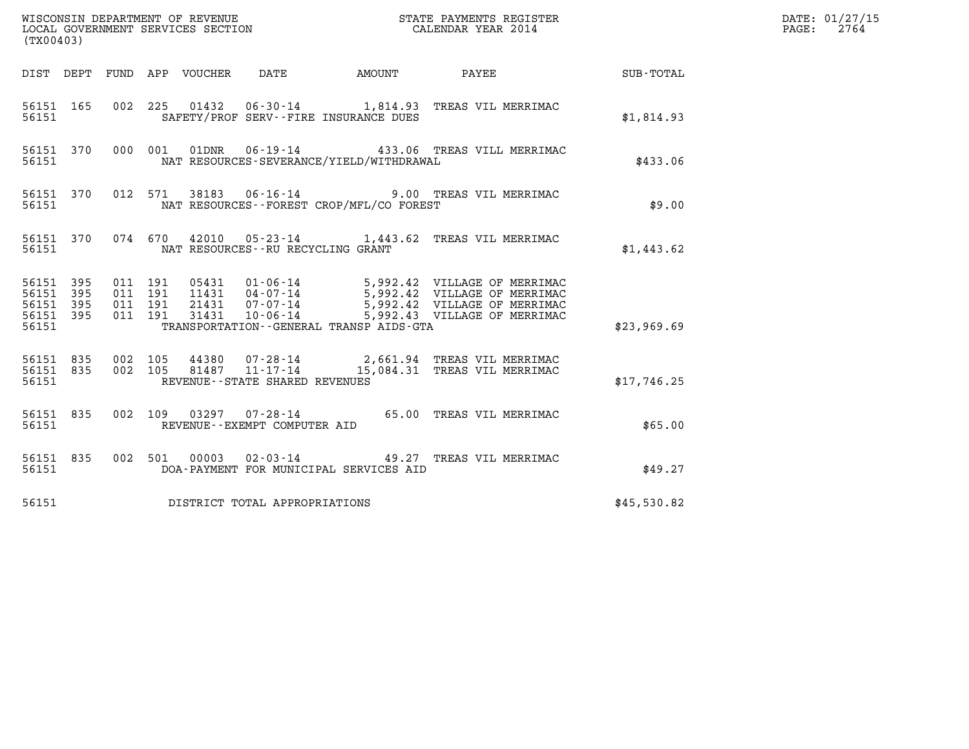| WISCONSIN DEPARTMENT OF REVENUE                               STATE PAYMENTS REGISTER LOCAL GOVERNMENT SERVICES SECTION                               CALENDAR YEAR 2014<br>(TX00403)                                                                                                                                                                    |             | DATE: 01/27/15<br>$\mathtt{PAGE:}$<br>2764 |
|----------------------------------------------------------------------------------------------------------------------------------------------------------------------------------------------------------------------------------------------------------------------------------------------------------------------------------------------------------|-------------|--------------------------------------------|
| DIST DEPT FUND APP VOUCHER DATE AMOUNT PAYEE SUB-TOTAL                                                                                                                                                                                                                                                                                                   |             |                                            |
| 002 225 01432 06-30-14 1,814.93 TREAS VIL MERRIMAC<br>56151 165<br>56151<br>SAFETY/PROF SERV--FIRE INSURANCE DUES                                                                                                                                                                                                                                        | \$1,814.93  |                                            |
| 000 001 01DNR 06-19-14 433.06 TREAS VILL MERRIMAC<br>56151 370<br>NAT RESOURCES-SEVERANCE/YIELD/WITHDRAWAL<br>56151                                                                                                                                                                                                                                      | \$433.06    |                                            |
| 012 571 38183 06-16-14 9.00 TREAS VIL MERRIMAC<br>56151 370<br>56151<br>NAT RESOURCES--FOREST CROP/MFL/CO FOREST                                                                                                                                                                                                                                         | \$9.00      |                                            |
| 56151 370 074 670 42010 05-23-14 1,443.62 TREAS VIL MERRIMAC<br>56151 NAT RESOURCES--RU RECYCLING GRANT                                                                                                                                                                                                                                                  | \$1,443.62  |                                            |
| 05431  01-06-14  5,992.42  VILLAGE OF MERRIMAC<br>11431  04-07-14  5,992.42  VILLAGE OF MERRIMAC<br>21431  07-07-14  5,992.42  VILLAGE OF MERRIMAC<br>31431  10-06-14  5,992.43  VILLAGE OF MERRIMAC<br>56151 395<br>011 191<br>56151 395<br>011 191<br>011 191<br>56151 395<br>56151 395<br>011 191<br>56151<br>TRANSPORTATION--GENERAL TRANSP AIDS-GTA | \$23,969.69 |                                            |
| 56151 835 002 105 44380 07-28-14 2,661.94 TREAS VIL MERRIMAC<br>56151 835 002 105 81487 11-17-14 15,084.31 TREAS VIL MERRIMAC<br>REVENUE--STATE SHARED REVENUES<br>56151                                                                                                                                                                                 | \$17,746.25 |                                            |
| 002 109 03297 07-28-14 65.00 TREAS VIL MERRIMAC<br>56151 835<br>56151<br>REVENUE--EXEMPT COMPUTER AID                                                                                                                                                                                                                                                    | \$65.00     |                                            |
| 002 501 00003 02-03-14 49.27 TREAS VIL MERRIMAC<br>56151 835<br>56151<br>DOA-PAYMENT FOR MUNICIPAL SERVICES AID                                                                                                                                                                                                                                          | \$49.27     |                                            |
| DISTRICT TOTAL APPROPRIATIONS<br>56151                                                                                                                                                                                                                                                                                                                   | \$45,530.82 |                                            |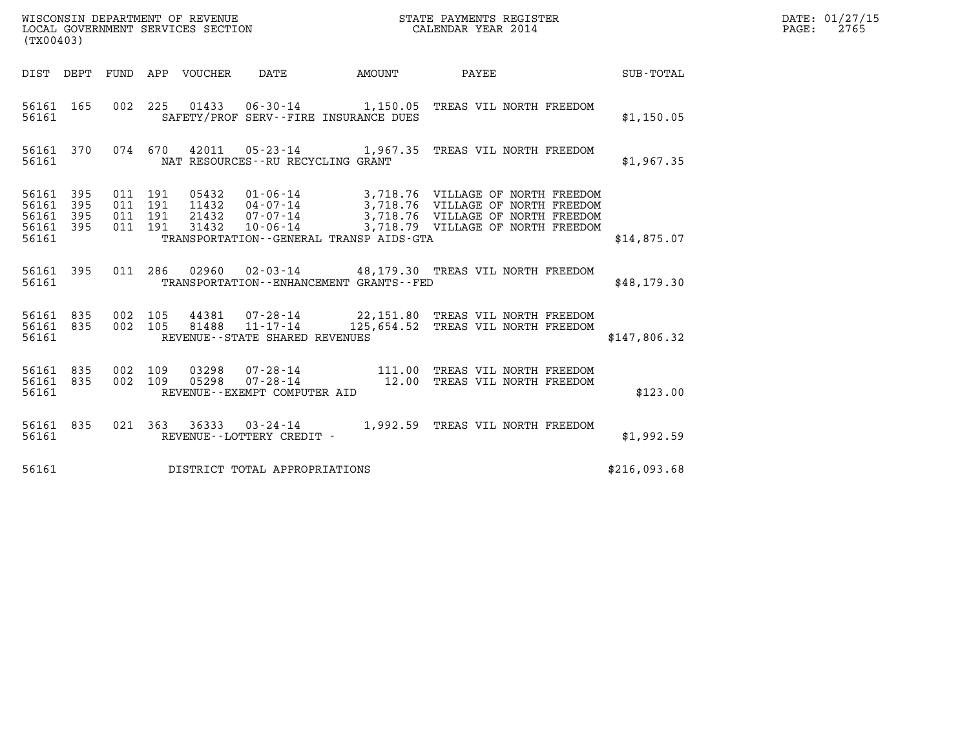| WISCONSIN DEPARTMENT OF REVENUE<br>LOCAL GOVERNMENT SERVICES SECTION<br>$1$ musical $1$ $0$ $0$ $1$ | STATE PAYMENTS REGISTER<br>CALENDAR YEAR 2014 | DATE: 01/27/15<br>2765<br>PAGE: |
|-----------------------------------------------------------------------------------------------------|-----------------------------------------------|---------------------------------|

| (TX00403) |                                           |                          |            |                                      |              |                                                     |               |                                                                                                                                                                                                                                                                                       |              |  |
|-----------|-------------------------------------------|--------------------------|------------|--------------------------------------|--------------|-----------------------------------------------------|---------------|---------------------------------------------------------------------------------------------------------------------------------------------------------------------------------------------------------------------------------------------------------------------------------------|--------------|--|
|           | DIST                                      | DEPT                     | FUND       | APP                                  | VOUCHER DATE |                                                     | <b>AMOUNT</b> | PAYEE                                                                                                                                                                                                                                                                                 | SUB-TOTAL    |  |
|           | 56161<br>56161                            | 165                      | 002        | 225                                  |              | SAFETY/PROF SERV--FIRE INSURANCE DUES               |               | 01433  06-30-14   1,150.05  TREAS VIL NORTH FREEDOM                                                                                                                                                                                                                                   | \$1,150.05   |  |
|           | 56161<br>56161                            | 370                      |            | 074 670                              |              | NAT RESOURCES - - RU RECYCLING GRANT                |               | 42011  05-23-14  1,967.35  TREAS VIL NORTH FREEDOM                                                                                                                                                                                                                                    | \$1,967.35   |  |
|           | 56161<br>56161<br>56161<br>56161<br>56161 | 395<br>395<br>395<br>395 | 011        | 011 191<br>191<br>011 191<br>011 191 |              | TRANSPORTATION--GENERAL TRANSP AIDS-GTA             |               | 05432  01-06-14  3,718.76  VILLAGE OF NORTH FREEDOM<br>11432  04-07-14  3,718.76  VILLAGE OF NORTH FREEDOM<br>21432  07-07-14  3,718.76  VILLAGE OF NORTH FREEDOM<br>31432  10-06-14  3,718.79  VILLAGE OF NORTH FREEDOM                                                              | \$14,875.07  |  |
|           | 56161<br>56161                            | 395                      |            | 011 286                              |              | TRANSPORTATION - - ENHANCEMENT GRANTS - - FED       |               | 02960  02-03-14  48,179.30 TREAS VIL NORTH FREEDOM                                                                                                                                                                                                                                    | \$48,179.30  |  |
|           | 56161 835<br>56161<br>56161               | 835                      | 002<br>002 | 105<br>105                           |              | REVENUE - - STATE SHARED REVENUES                   |               | 44381  07-28-14  22,151.80 TREAS VIL NORTH FREEDOM<br>81488  11-17-14  125,654.52 TREAS VIL NORTH FREEDOM                                                                                                                                                                             | \$147,806.32 |  |
|           | 56161 835<br>56161 835<br>56161           |                          | 002<br>002 | 109<br>109                           |              | REVENUE--EXEMPT COMPUTER AID                        |               | $\begin{array}{cccc} \texttt{03298} & \texttt{07-28-14} & \texttt{111.00} & \texttt{TREAS} & \texttt{VIL} & \texttt{NORTH} & \texttt{FREEDOM} \\ \texttt{05298} & \texttt{07-28-14} & \texttt{12.00} & \texttt{TREAS} & \texttt{VIL} & \texttt{NORTH} & \texttt{FREEDOM} \end{array}$ | \$123.00     |  |
|           | 56161<br>56161                            | 835                      |            |                                      |              | 021 363 36333 03-24-14<br>REVENUE--LOTTERY CREDIT - |               | 1,992.59 TREAS VIL NORTH FREEDOM                                                                                                                                                                                                                                                      | \$1,992.59   |  |
|           | 56161                                     |                          |            |                                      |              | DISTRICT TOTAL APPROPRIATIONS                       |               |                                                                                                                                                                                                                                                                                       | \$216,093.68 |  |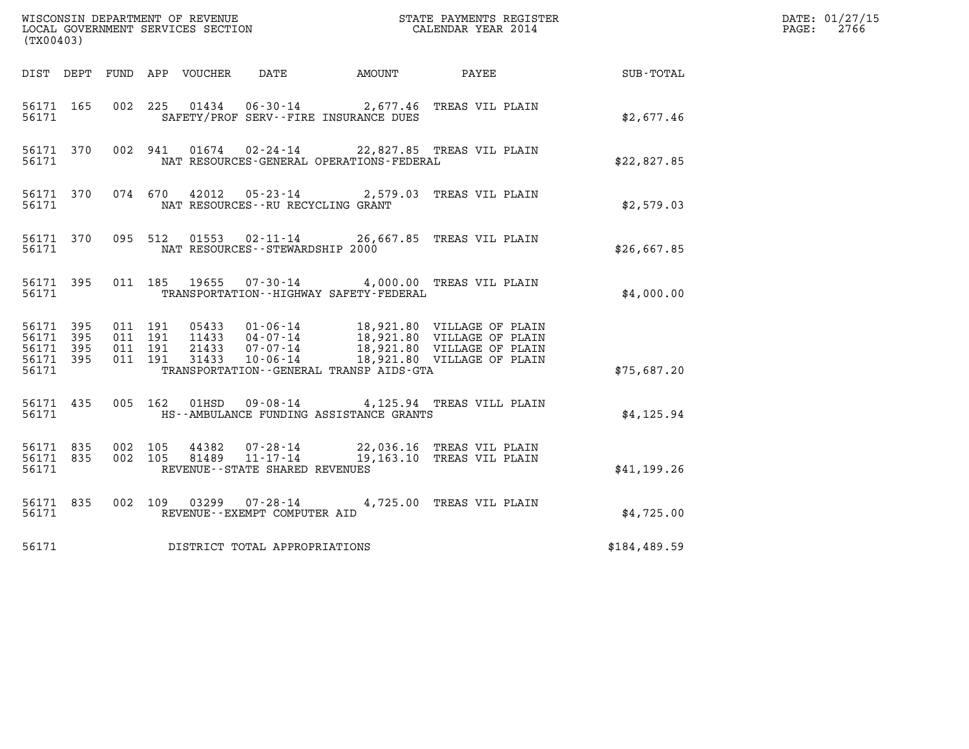| (TX00403)                                    |           |                                          |  |                                      |                                             |                                                                                            |                                                           | DATE: 01/27/15<br>$\mathtt{PAGE:}$<br>2766 |
|----------------------------------------------|-----------|------------------------------------------|--|--------------------------------------|---------------------------------------------|--------------------------------------------------------------------------------------------|-----------------------------------------------------------|--------------------------------------------|
|                                              |           |                                          |  |                                      |                                             |                                                                                            | DIST DEPT FUND APP VOUCHER DATE AMOUNT PAYEE TO SUB-TOTAL |                                            |
| 56171 165<br>56171                           |           |                                          |  |                                      | SAFETY/PROF SERV--FIRE INSURANCE DUES       | 002 225 01434 06-30-14 2,677.46 TREAS VIL PLAIN                                            | \$2,677.46                                                |                                            |
| 56171                                        | 56171 370 |                                          |  |                                      | NAT RESOURCES-GENERAL OPERATIONS-FEDERAL    | 002 941 01674 02-24-14 22,827.85 TREAS VIL PLAIN                                           | \$22,827.85                                               |                                            |
| 56171 370<br>56171                           |           |                                          |  | NAT RESOURCES - - RU RECYCLING GRANT |                                             | 074 670 42012 05-23-14 2,579.03 TREAS VIL PLAIN                                            | \$2,579.03                                                |                                            |
| 56171                                        |           |                                          |  | NAT RESOURCES - - STEWARDSHIP 2000   |                                             | 56171 370 095 512 01553 02-11-14 26,667.85 TREAS VIL PLAIN                                 | \$26,667.85                                               |                                            |
| 56171                                        | 56171 395 |                                          |  |                                      | TRANSPORTATION - - HIGHWAY SAFETY - FEDERAL | 011 185 19655 07-30-14 4,000.00 TREAS VIL PLAIN                                            | \$4,000.00                                                |                                            |
| 56171 395<br>56171 395<br>56171 395<br>56171 | 56171 395 | 011 191<br>011 191<br>011 191<br>011 191 |  |                                      | TRANSPORTATION--GENERAL TRANSP AIDS-GTA     |                                                                                            | \$75,687.20                                               |                                            |
|                                              |           |                                          |  |                                      |                                             |                                                                                            |                                                           |                                            |
| 56171                                        | 56171 435 |                                          |  |                                      | HS--AMBULANCE FUNDING ASSISTANCE GRANTS     | 005 162 01HSD 09-08-14 4,125.94 TREAS VILL PLAIN                                           | \$4,125.94                                                |                                            |
| 56171 835<br>56171                           | 56171 835 | 002 105<br>002 105                       |  | REVENUE - - STATE SHARED REVENUES    |                                             | 44382  07-28-14  22,036.16  TREAS VIL PLAIN<br>81489  11-17-14  19,163.10  TREAS VIL PLAIN | \$41,199.26                                               |                                            |
| 56171                                        | 56171 835 |                                          |  | REVENUE--EXEMPT COMPUTER AID         |                                             | 002 109 03299 07-28-14 4,725.00 TREAS VIL PLAIN                                            | \$4,725.00                                                |                                            |
| 56171                                        |           |                                          |  | DISTRICT TOTAL APPROPRIATIONS        |                                             |                                                                                            | \$184,489.59                                              |                                            |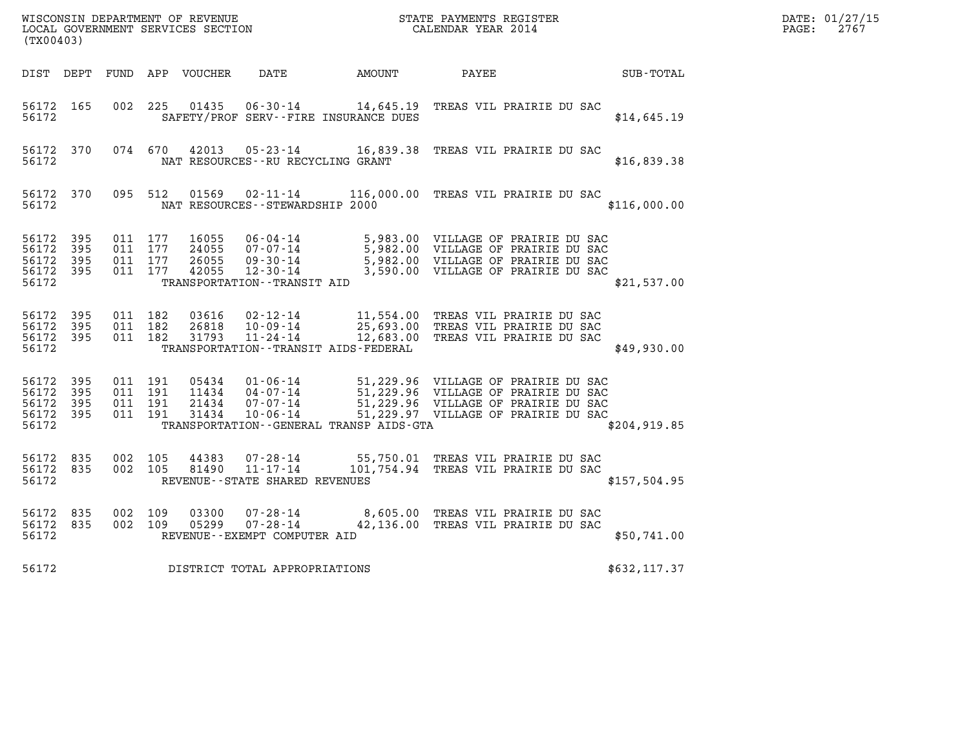| DATE: | 01/27/15 |
|-------|----------|
| PAGE: | 2767     |

| (TX00403)                                                 |           |                                          |                                  |                                                      |                                              |                                                                                                                                                                                          |                  | DATE: 01/27/15<br>$\mathtt{PAGE:}$<br>2767 |
|-----------------------------------------------------------|-----------|------------------------------------------|----------------------------------|------------------------------------------------------|----------------------------------------------|------------------------------------------------------------------------------------------------------------------------------------------------------------------------------------------|------------------|--------------------------------------------|
|                                                           |           |                                          |                                  |                                                      | DIST DEPT FUND APP VOUCHER DATE AMOUNT PAYEE |                                                                                                                                                                                          | <b>SUB-TOTAL</b> |                                            |
| 56172 165<br>56172                                        |           | 002 225                                  | 01435                            |                                                      | SAFETY/PROF SERV--FIRE INSURANCE DUES        | 06-30-14 14,645.19 TREAS VIL PRAIRIE DU SAC                                                                                                                                              | \$14,645.19      |                                            |
| 56172                                                     | 56172 370 |                                          |                                  | NAT RESOURCES--RU RECYCLING GRANT                    |                                              | 074 670 42013 05-23-14 16,839.38 TREAS VIL PRAIRIE DU SAC                                                                                                                                | \$16,839.38      |                                            |
| 56172 370<br>56172                                        |           | 095 512                                  |                                  |                                                      | NAT RESOURCES--STEWARDSHIP 2000              | 01569  02-11-14   116,000.00   TREAS VIL PRAIRIE DU SAC                                                                                                                                  | \$116,000.00     |                                            |
| 56172 395<br>56172<br>56172 395<br>56172 395<br>56172     | 395       | 011 177<br>011 177<br>011 177<br>011 177 | 16055<br>24055<br>26055<br>42055 | TRANSPORTATION - - TRANSIT AID                       |                                              | 06-04-14 5,983.00 VILLAGE OF PRAIRIE DU SAC<br>07-07-14 5,982.00 VILLAGE OF PRAIRIE DU SAC<br>09-30-14 5,982.00 VILLAGE OF PRAIRIE DU SAC<br>12-30-14 3,590.00 VILLAGE OF PRAIRIE DU SAC | \$21,537.00      |                                            |
| 56172 395<br>56172 395<br>56172 395<br>56172              |           | 011 182<br>011 182<br>011 182            | 03616<br>26818<br>31793          |                                                      | TRANSPORTATION - - TRANSIT AIDS - FEDERAL    | 02-12-14 11,554.00 TREAS VIL PRAIRIE DU SAC<br>10-09-14 25,693.00 TREAS VIL PRAIRIE DU SAC<br>11-24-14 12,683.00 TREAS VIL PRAIRIE DU SAC                                                | \$49,930.00      |                                            |
| 56172 395<br>56172 395<br>56172 395<br>56172 395<br>56172 |           | 011 191<br>011 191<br>011 191<br>011 191 | 05434<br>11434<br>21434<br>31434 | $10 - 06 - 14$                                       | TRANSPORTATION - - GENERAL TRANSP AIDS - GTA | 01-06-14 51,229.96 VILLAGE OF PRAIRIE DU SAC<br>04-07-14 51,229.96 VILLAGE OF PRAIRIE DU SAC<br>07-07-14 51,229.96 VILLAGE OF PRAIRIE DU SAC<br>51,229.97 VILLAGE OF PRAIRIE DU SAC      | \$204, 919.85    |                                            |
| 56172 835<br>56172 835<br>56172                           |           | 002 105<br>002 105                       |                                  | REVENUE--STATE SHARED REVENUES                       |                                              | 44383  07-28-14  55,750.01  TREAS VIL PRAIRIE DU SAC<br>81490  11-17-14  101,754.94  TREAS VIL PRAIRIE DU SAC                                                                            | \$157,504.95     |                                            |
| 56172 835<br>56172 835<br>56172                           |           | 002 109<br>002 109                       | 03300<br>05299                   | 07-28-14<br>07-28-14<br>REVENUE--EXEMPT COMPUTER AID |                                              | 8,605.00 TREAS VIL PRAIRIE DU SAC<br>42,136.00 TREAS VIL PRAIRIE DU 316<br>42,136.00 TREAS VIL PRAIRIE DU SAC                                                                            | \$50,741.00      |                                            |
| 56172                                                     |           |                                          |                                  | DISTRICT TOTAL APPROPRIATIONS                        |                                              |                                                                                                                                                                                          | \$632,117.37     |                                            |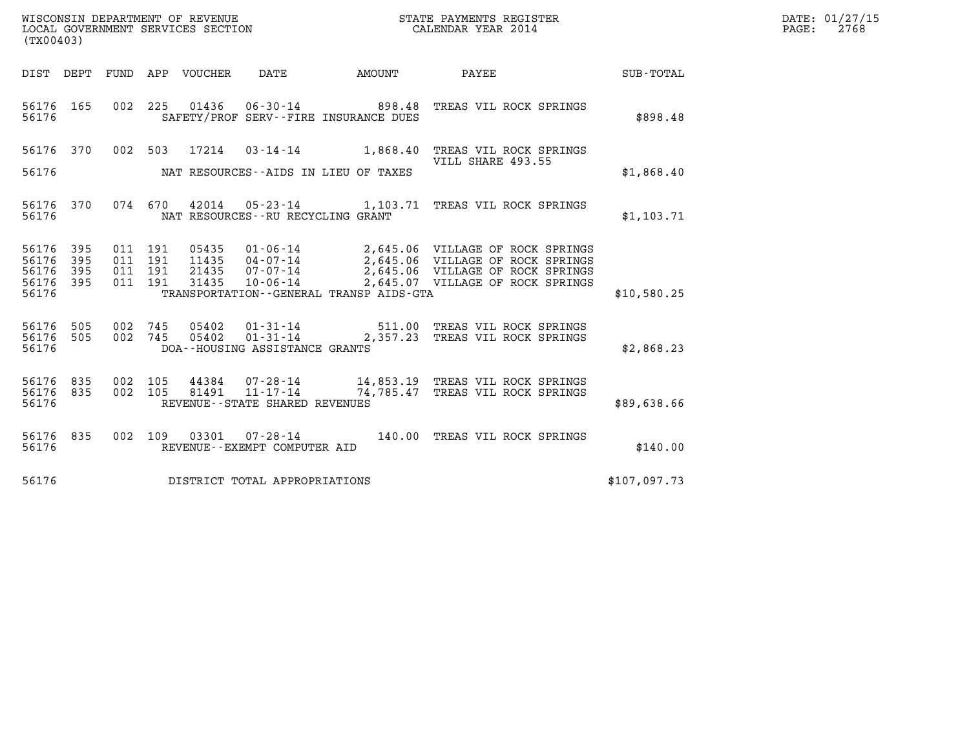| DATE: | 01/27/15 |
|-------|----------|
| PAGE: | 2768     |

| (TX00403)                                                    |                                          |                                                                                             | WISCONSIN DEPARTMENT OF REVENUE<br>LOCAL GOVERNMENT SERVICES SECTION<br>CALENDAR YEAR 2014                                                                                                                           | $\mathcal{R}$ | DATE: 01/27/15<br>PAGE: 2768 |
|--------------------------------------------------------------|------------------------------------------|---------------------------------------------------------------------------------------------|----------------------------------------------------------------------------------------------------------------------------------------------------------------------------------------------------------------------|---------------|------------------------------|
|                                                              |                                          |                                                                                             | DIST DEPT FUND APP VOUCHER DATE AMOUNT PAYEE SUB-TOTAL                                                                                                                                                               |               |                              |
| 56176 165<br>56176                                           |                                          | SAFETY/PROF SERV--FIRE INSURANCE DUES                                                       | 002  225  01436  06-30-14  898.48  TREAS VIL ROCK SPRINGS                                                                                                                                                            | \$898.48      |                              |
| 56176 370                                                    |                                          |                                                                                             | 002 503 17214 03-14-14 1,868.40 TREAS VIL ROCK SPRINGS                                                                                                                                                               |               |                              |
| 56176                                                        |                                          | NAT RESOURCES--AIDS IN LIEU OF TAXES                                                        | VILL SHARE 493.55                                                                                                                                                                                                    | \$1,868.40    |                              |
| 56176 370<br>56176                                           |                                          | 074 670 42014 05-23-14 1,103.71 TREAS VIL ROCK SPRINGS<br>NAT RESOURCES--RU RECYCLING GRANT | \$1,103.71                                                                                                                                                                                                           |               |                              |
| 56176 395<br>56176<br>395<br>56176 395<br>56176 395<br>56176 | 011 191<br>011 191<br>011 191<br>011 191 | TRANSPORTATION--GENERAL TRANSP AIDS-GTA                                                     | 05435  01-06-14  2,645.06  VILLAGE OF ROCK SPRINGS<br>11435  04-07-14  2,645.06  VILLAGE OF ROCK SPRINGS<br>21435  07-07-14  2,645.06  VILLAGE OF ROCK SPRINGS<br>31435  10-06-14  2,645.07  VILLAGE OF ROCK SPRINGS | \$10,580.25   |                              |
|                                                              |                                          |                                                                                             |                                                                                                                                                                                                                      |               |                              |
| 56176 505<br>56176 505<br>56176                              |                                          | DOA--HOUSING ASSISTANCE GRANTS                                                              | 002 745 05402 01-31-14 511.00 TREAS VIL ROCK SPRINGS<br>002 745 05402 01-31-14 2,357.23 TREAS VIL ROCK SPRINGS                                                                                                       | \$2,868.23    |                              |
| 56176 835<br>56176 835<br>56176                              | 002 105<br>002 105                       | REVENUE--STATE SHARED REVENUES                                                              | 44384 07-28-14 14,853.19 TREAS VIL ROCK SPRINGS<br>81491  11-17-14  74,785.47 TREAS VIL ROCK SPRINGS                                                                                                                 | \$89,638.66   |                              |
| 56176 835<br>56176                                           |                                          | REVENUE--EXEMPT COMPUTER AID                                                                | 002 109 03301 07-28-14 140.00 TREAS VIL ROCK SPRINGS                                                                                                                                                                 | \$140.00      |                              |
| 56176                                                        |                                          | DISTRICT TOTAL APPROPRIATIONS                                                               | \$107,097.73                                                                                                                                                                                                         |               |                              |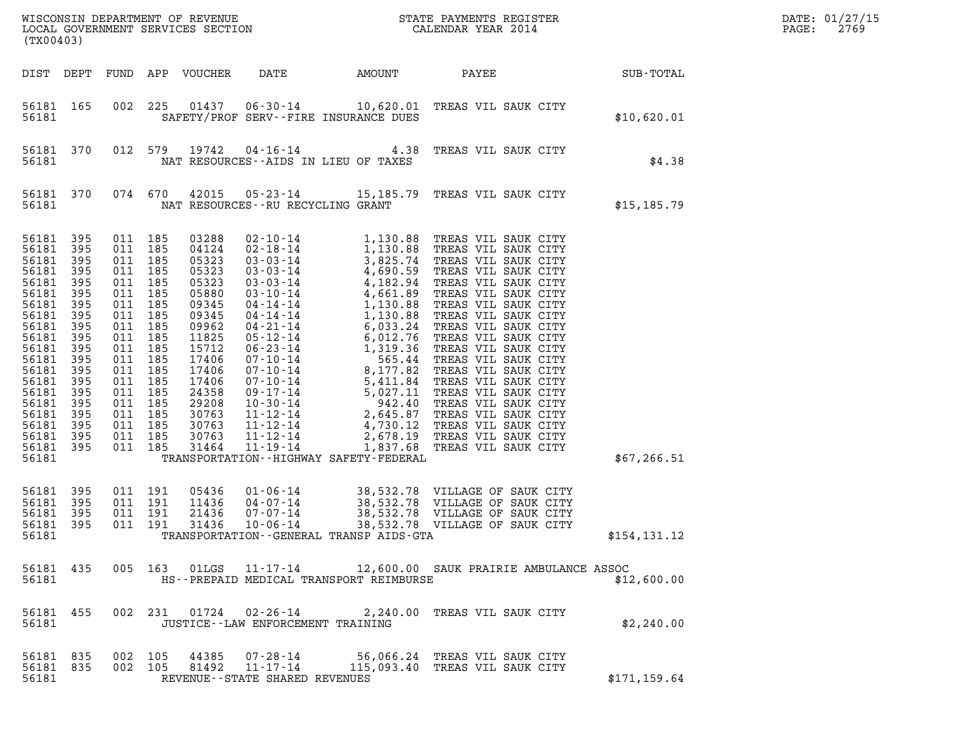| (TX00403)                                                                                                                                                                                                      |                                                                                                                            |                                                                                                                                                                                                                             |            |                                                                                                                                                                                           |                                      |                                                      |                                                                                                                                                       |               | DATE: 01/27/15<br>$\mathtt{PAGE}$ :<br>2769 |
|----------------------------------------------------------------------------------------------------------------------------------------------------------------------------------------------------------------|----------------------------------------------------------------------------------------------------------------------------|-----------------------------------------------------------------------------------------------------------------------------------------------------------------------------------------------------------------------------|------------|-------------------------------------------------------------------------------------------------------------------------------------------------------------------------------------------|--------------------------------------|------------------------------------------------------|-------------------------------------------------------------------------------------------------------------------------------------------------------|---------------|---------------------------------------------|
| DIST DEPT                                                                                                                                                                                                      |                                                                                                                            |                                                                                                                                                                                                                             |            | FUND APP VOUCHER                                                                                                                                                                          | DATE                                 | AMOUNT                                               | PAYEE                                                                                                                                                 | SUB-TOTAL     |                                             |
| 56181 165<br>56181                                                                                                                                                                                             |                                                                                                                            | 002                                                                                                                                                                                                                         | 225        |                                                                                                                                                                                           |                                      | SAFETY/PROF SERV--FIRE INSURANCE DUES                | 01437  06-30-14   10,620.01   TREAS VIL SAUK CITY                                                                                                     | \$10,620.01   |                                             |
| 56181 370<br>56181                                                                                                                                                                                             |                                                                                                                            | 012 579                                                                                                                                                                                                                     |            | 19742                                                                                                                                                                                     |                                      | NAT RESOURCES -- AIDS IN LIEU OF TAXES               | 04-16-14 4.38 TREAS VIL SAUK CITY                                                                                                                     | \$4.38        |                                             |
| 56181                                                                                                                                                                                                          | 56181 370                                                                                                                  | 074 670                                                                                                                                                                                                                     |            | 42015                                                                                                                                                                                     | NAT RESOURCES - - RU RECYCLING GRANT |                                                      | 05-23-14 15,185.79 TREAS VIL SAUK CITY                                                                                                                | \$15, 185.79  |                                             |
| 56181 395<br>56181<br>56181<br>56181<br>56181<br>56181<br>56181<br>56181<br>56181<br>56181<br>56181<br>56181<br>56181<br>56181<br>56181<br>56181<br>56181<br>56181<br>56181<br>56181 395<br>56181<br>56181 395 | 395<br>395<br>395<br>395<br>395<br>395<br>395<br>395<br>395<br>395<br>395<br>395<br>395<br>395<br>395<br>395<br>395<br>395 | 011 185<br>011 185<br>011 185<br>011 185<br>011 185<br>011<br>011 185<br>011 185<br>011 185<br>011 185<br>011 185<br>011 185<br>011 185<br>011<br>011 185<br>011 185<br>011 185<br>011 185<br>011 185<br>011 185<br>011 191 | 185<br>185 | 03288<br>04124<br>05323<br>05323<br>05323<br>05880<br>09345<br>09345<br>09962<br>11825<br>15712<br>17406<br>17406<br>17406<br>24358<br>29208<br>30763<br>30763<br>30763<br>31464<br>05436 |                                      | TRANSPORTATION - - HIGHWAY SAFETY - FEDERAL          |                                                                                                                                                       | \$67, 266.51  |                                             |
| 56181<br>56181<br>56181<br>56181                                                                                                                                                                               | 395<br>395<br>395                                                                                                          | 011 191<br>011 191<br>011 191                                                                                                                                                                                               |            | 11436<br>21436<br>31436                                                                                                                                                                   | $10 - 06 - 14$                       | 38,532.78<br>TRANSPORTATION--GENERAL TRANSP AIDS-GTA | 01-06-14 38,532.78 VILLAGE OF SAUK CITY<br>04-07-14 38,532.78 VILLAGE OF SAUK CITY<br>07-07-14 38,532.78 VILLAGE OF SAUK CITY<br>VILLAGE OF SAUK CITY | \$154,131.12  |                                             |
| 56181                                                                                                                                                                                                          |                                                                                                                            |                                                                                                                                                                                                                             |            |                                                                                                                                                                                           |                                      | HS--PREPAID MEDICAL TRANSPORT REIMBURSE              | 56181 435 005 163 01LGS 11-17-14 12,600.00 SAUK PRAIRIE AMBULANCE ASSOC                                                                               | \$12,600.00   |                                             |
| 56181                                                                                                                                                                                                          |                                                                                                                            |                                                                                                                                                                                                                             |            |                                                                                                                                                                                           | JUSTICE - - LAW ENFORCEMENT TRAINING |                                                      | 56181 455 002 231 01724 02-26-14 2,240.00 TREAS VIL SAUK CITY                                                                                         | \$2,240.00    |                                             |
| 56181                                                                                                                                                                                                          | 56181 835 002 105<br>56181 835                                                                                             | 002 105                                                                                                                                                                                                                     |            |                                                                                                                                                                                           | REVENUE - - STATE SHARED REVENUES    |                                                      |                                                                                                                                                       | \$171, 159.64 |                                             |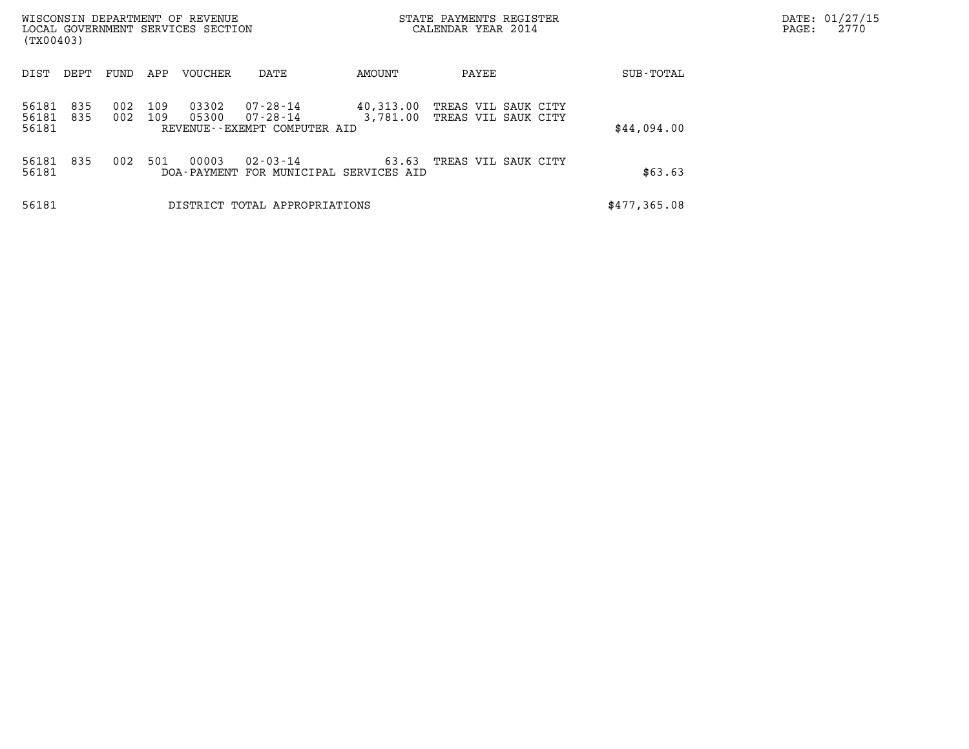| (TX00403)      |            |            |            | WISCONSIN DEPARTMENT OF REVENUE<br>LOCAL GOVERNMENT SERVICES SECTION |                                  |                            | STATE PAYMENTS REGISTER<br>CALENDAR YEAR 2014 | DATE: 01/27/15<br>2770<br>PAGE: |  |
|----------------|------------|------------|------------|----------------------------------------------------------------------|----------------------------------|----------------------------|-----------------------------------------------|---------------------------------|--|
|                |            |            |            |                                                                      |                                  |                            |                                               |                                 |  |
| DIST           | DEPT       | FUND       | APP        | <b>VOUCHER</b>                                                       | DATE                             | AMOUNT                     | PAYEE                                         | SUB-TOTAL                       |  |
| 56181<br>56181 | 835<br>835 | 002<br>002 | 109<br>109 | 03302<br>05300                                                       | $07 - 28 - 14$<br>$07 - 28 - 14$ | 40,313.00<br>3,781.00      | TREAS VIL SAUK CITY<br>TREAS VIL SAUK CITY    |                                 |  |
| 56181          |            |            |            |                                                                      | REVENUE--EXEMPT COMPUTER AID     |                            |                                               | \$44,094.00                     |  |
| 56181          | 835        | 002        | 501        | 00003                                                                | $02 - 03 - 14$                   | 63.63                      | TREAS VIL SAUK CITY                           |                                 |  |
| 56181          |            |            |            | DOA-PAYMENT                                                          |                                  | FOR MUNICIPAL SERVICES AID |                                               | \$63.63                         |  |
| 56181          |            |            |            |                                                                      | DISTRICT TOTAL APPROPRIATIONS    |                            |                                               | \$477,365.08                    |  |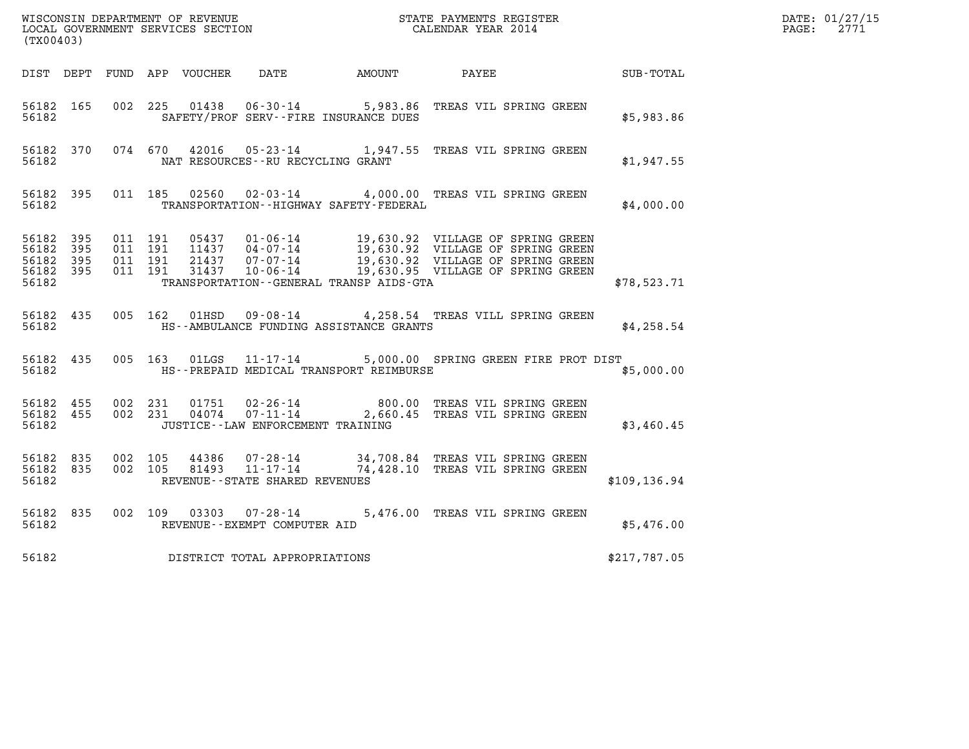| (TX00403)                           |                        |                                          |         |                |                                                     |                                              | WISCONSIN DEPARTMENT OF REVENUE<br>LOCAL GOVERNMENT SERVICES SECTION<br>CALENDAR YEAR 2014                                                                                                                   |               | DATE: 01/27/15<br>$\mathtt{PAGE:}$<br>2771 |
|-------------------------------------|------------------------|------------------------------------------|---------|----------------|-----------------------------------------------------|----------------------------------------------|--------------------------------------------------------------------------------------------------------------------------------------------------------------------------------------------------------------|---------------|--------------------------------------------|
|                                     |                        |                                          |         |                |                                                     |                                              |                                                                                                                                                                                                              |               |                                            |
|                                     |                        |                                          |         |                |                                                     | DIST DEPT FUND APP VOUCHER DATE AMOUNT PAYEE |                                                                                                                                                                                                              | SUB-TOTAL     |                                            |
| 56182 165<br>56182                  |                        |                                          |         |                |                                                     | SAFETY/PROF SERV--FIRE INSURANCE DUES        | 002 225 01438 06-30-14 5,983.86 TREAS VIL SPRING GREEN                                                                                                                                                       | \$5,983.86    |                                            |
| 56182                               | 56182 370              |                                          |         |                | NAT RESOURCES - - RU RECYCLING GRANT                |                                              | 074 670 42016 05-23-14 1,947.55 TREAS VIL SPRING GREEN                                                                                                                                                       | \$1,947.55    |                                            |
|                                     | 56182                  |                                          |         |                |                                                     | TRANSPORTATION - - HIGHWAY SAFETY - FEDERAL  | 56182 395 011 185 02560 02-03-14 4,000.00 TREAS VIL SPRING GREEN                                                                                                                                             | \$4,000.00    |                                            |
| 56182 395<br>56182 395<br>56182 395 | 56182 395              | 011 191<br>011 191<br>011 191<br>011 191 |         |                |                                                     |                                              | 05437 01-06-14 19,630.92 VILLAGE OF SPRING GREEN<br>11437 04-07-14 19,630.92 VILLAGE OF SPRING GREEN<br>21437 07-07-14 19,630.92 VILLAGE OF SPRING GREEN<br>31437 10-06-14 19,630.95 VILLAGE OF SPRING GREEN |               |                                            |
| 56182                               |                        |                                          |         |                |                                                     | TRANSPORTATION - - GENERAL TRANSP AIDS - GTA |                                                                                                                                                                                                              | \$78,523.71   |                                            |
| 56182                               | 56182 435              |                                          |         |                |                                                     | HS--AMBULANCE FUNDING ASSISTANCE GRANTS      | 005 162 01HSD 09-08-14 4,258.54 TREAS VILL SPRING GREEN                                                                                                                                                      | \$4,258.54    |                                            |
| 56182                               | 56182 435              |                                          |         |                |                                                     | HS--PREPAID MEDICAL TRANSPORT REIMBURSE      | 005 163 01LGS 11-17-14 5,000.00 SPRING GREEN FIRE PROT DIST                                                                                                                                                  | \$5,000.00    |                                            |
| 56182                               | 56182 455<br>56182 455 | 002 231                                  |         |                | JUSTICE - - LAW ENFORCEMENT TRAINING                |                                              | 01751  02-26-14  800.00  TREAS VIL SPRING GREEN<br>002 231 04074 07-11-14 2,660.45 TREAS VIL SPRING GREEN                                                                                                    | \$3,460.45    |                                            |
| 56182 835<br>56182 835<br>56182     |                        | 002 105                                  | 002 105 | 44386<br>81493 | $11 - 17 - 14$<br>REVENUE - - STATE SHARED REVENUES |                                              | 07-28-14 34,708.84 TREAS VIL SPRING GREEN<br>74,428.10 TREAS VIL SPRING GREEN                                                                                                                                | \$109, 136.94 |                                            |
| 56182 835<br>56182                  |                        |                                          |         |                | REVENUE--EXEMPT COMPUTER AID                        |                                              | 002 109 03303 07-28-14 5,476.00 TREAS VIL SPRING GREEN                                                                                                                                                       | \$5,476.00    |                                            |
| 56182                               |                        |                                          |         |                | DISTRICT TOTAL APPROPRIATIONS                       |                                              |                                                                                                                                                                                                              | \$217,787.05  |                                            |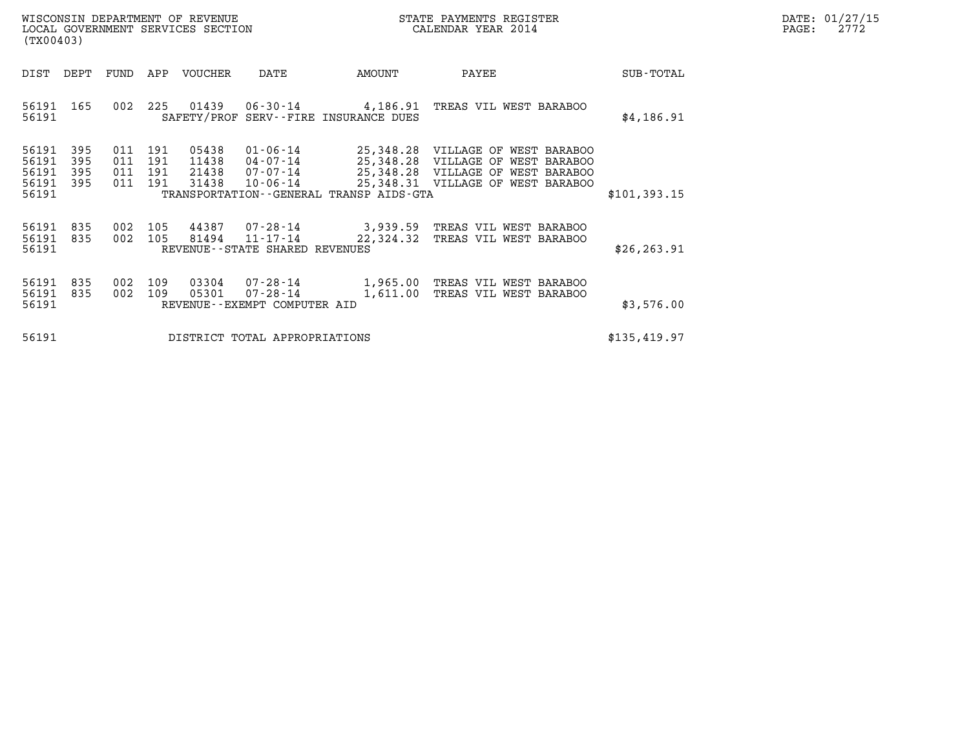| (TX00403)                                     |                   |                                                                                                                                                                                            |            | WISCONSIN DEPARTMENT OF REVENUE<br>LOCAL GOVERNMENT SERVICES SECTION |                                                                     |                                                      | STATE PAYMENTS REGISTER<br>CALENDAR YEAR 2014                                                                                          |              | DATE: 01/27/15<br>$\mathtt{PAGE:}$<br>2772 |
|-----------------------------------------------|-------------------|--------------------------------------------------------------------------------------------------------------------------------------------------------------------------------------------|------------|----------------------------------------------------------------------|---------------------------------------------------------------------|------------------------------------------------------|----------------------------------------------------------------------------------------------------------------------------------------|--------------|--------------------------------------------|
| DIST                                          | DEPT              | VOUCHER<br>FUND<br>APP<br>DATE<br>01439<br>002<br>225<br>SAFETY/PROF SERV--FIRE INSURANCE DUES<br>191<br>05438<br>011<br>191<br>011<br>11438<br>011<br>191<br>21438<br>191<br>31438<br>011 |            |                                                                      |                                                                     | AMOUNT                                               | PAYEE                                                                                                                                  | SUB-TOTAL    |                                            |
| 56191 165<br>56191                            |                   |                                                                                                                                                                                            |            |                                                                      | 06-30-14                                                            | 4,186.91                                             | TREAS VIL WEST BARABOO                                                                                                                 | \$4,186.91   |                                            |
| 56191<br>56191<br>56191<br>56191 395<br>56191 | 395<br>395<br>395 |                                                                                                                                                                                            |            |                                                                      | $01 - 06 - 14$<br>$04 - 07 - 14$<br>07-07-14<br>$10 - 06 - 14$      | 25,348.28<br>TRANSPORTATION--GENERAL TRANSP AIDS-GTA | 25,348.28 VILLAGE OF WEST BARABOO<br>VILLAGE OF WEST BARABOO<br>25,348.28 VILLAGE OF WEST BARABOO<br>25,348.31 VILLAGE OF WEST BARABOO | \$101,393.15 |                                            |
| 56191<br>56191<br>56191                       | 835<br>835        | 002<br>002                                                                                                                                                                                 | 105<br>105 | 44387<br>81494                                                       | 07-28-14<br>$11 - 17 - 14$<br>REVENUE--STATE SHARED REVENUES        | 3,939.59<br>22,324.32                                | TREAS VIL WEST BARABOO<br>TREAS VIL WEST BARABOO                                                                                       | \$26, 263.91 |                                            |
| 56191<br>56191<br>56191                       | 835<br>835        | 002<br>002                                                                                                                                                                                 | 109<br>109 | 03304<br>05301                                                       | $07 - 28 - 14$<br>$07 - 28 - 14$<br>REVENUE - - EXEMPT COMPUTER AID | 1,965.00<br>1,611.00                                 | TREAS VIL WEST BARABOO<br>TREAS VIL WEST BARABOO                                                                                       | \$3,576.00   |                                            |
| 56191                                         |                   |                                                                                                                                                                                            |            |                                                                      | DISTRICT TOTAL APPROPRIATIONS                                       |                                                      |                                                                                                                                        | \$135,419.97 |                                            |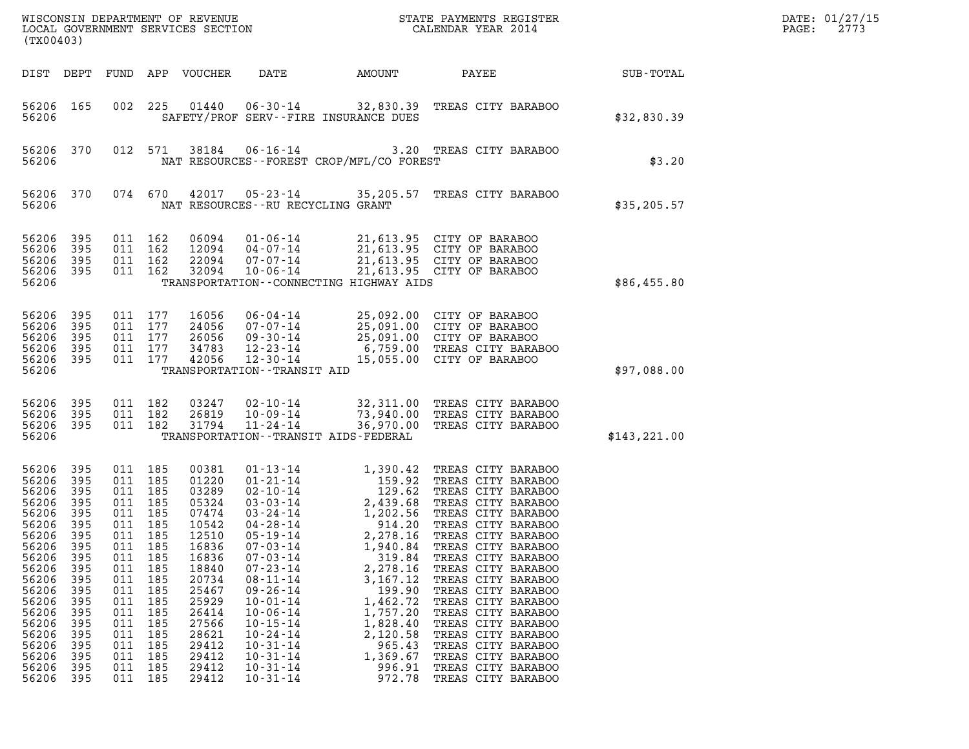| (TX00403)                                                                                                                                                                        |                                                                                                                                          |                                                                                                                                         |                                                                                                                   |                                                                                                                                                                                  |                                                                                                                                                                                                                                                                                                                                                                      |                                                                                                                                                                                                                    | ${\tt WISCOONSIM} \begin{tabular}{lcccc} DEPARTMENT OF REVENUE & & & & & & & \begin{tabular}{l} \bf STATE} & \bf PAYMENTS & \bf REGISTER \\ \hline \bf LOCAL GOVERNMENT SERVICES & \bf SECTION & & & & & & \begin{tabular}{l} \bf CALENDAR & \bf YEAR & 2014 \end{tabular} \end{tabular}$                                                                                                                                                                   |              | DATE: 01/27/15<br>PAGE:<br>2773 |
|----------------------------------------------------------------------------------------------------------------------------------------------------------------------------------|------------------------------------------------------------------------------------------------------------------------------------------|-----------------------------------------------------------------------------------------------------------------------------------------|-------------------------------------------------------------------------------------------------------------------|----------------------------------------------------------------------------------------------------------------------------------------------------------------------------------|----------------------------------------------------------------------------------------------------------------------------------------------------------------------------------------------------------------------------------------------------------------------------------------------------------------------------------------------------------------------|--------------------------------------------------------------------------------------------------------------------------------------------------------------------------------------------------------------------|-------------------------------------------------------------------------------------------------------------------------------------------------------------------------------------------------------------------------------------------------------------------------------------------------------------------------------------------------------------------------------------------------------------------------------------------------------------|--------------|---------------------------------|
| DIST DEPT                                                                                                                                                                        |                                                                                                                                          | FUND                                                                                                                                    |                                                                                                                   | APP VOUCHER                                                                                                                                                                      | DATE                                                                                                                                                                                                                                                                                                                                                                 | AMOUNT                                                                                                                                                                                                             | PAYEE                                                                                                                                                                                                                                                                                                                                                                                                                                                       | SUB-TOTAL    |                                 |
| 56206 165<br>56206                                                                                                                                                               |                                                                                                                                          | 002                                                                                                                                     | 225                                                                                                               | 01440                                                                                                                                                                            | $06 - 30 - 14$<br>SAFETY/PROF SERV--FIRE INSURANCE DUES                                                                                                                                                                                                                                                                                                              |                                                                                                                                                                                                                    | 32,830.39 TREAS CITY BARABOO                                                                                                                                                                                                                                                                                                                                                                                                                                | \$32,830.39  |                                 |
| 56206<br>56206                                                                                                                                                                   | 370                                                                                                                                      |                                                                                                                                         | 012 571                                                                                                           | 38184                                                                                                                                                                            | $06 - 16 - 14$<br>NAT RESOURCES - - FOREST CROP/MFL/CO FOREST                                                                                                                                                                                                                                                                                                        |                                                                                                                                                                                                                    | 3.20 TREAS CITY BARABOO                                                                                                                                                                                                                                                                                                                                                                                                                                     | \$3.20       |                                 |
| 56206<br>56206                                                                                                                                                                   | 370                                                                                                                                      |                                                                                                                                         | 074 670                                                                                                           | 42017                                                                                                                                                                            | NAT RESOURCES -- RU RECYCLING GRANT                                                                                                                                                                                                                                                                                                                                  |                                                                                                                                                                                                                    | 05-23-14 35,205.57 TREAS CITY BARABOO                                                                                                                                                                                                                                                                                                                                                                                                                       | \$35, 205.57 |                                 |
| 56206<br>56206<br>56206<br>56206<br>56206                                                                                                                                        | 395<br>395<br>395<br>395                                                                                                                 | 011 162<br>011 162                                                                                                                      | 011 162<br>011 162                                                                                                | 06094<br>12094<br>22094<br>32094                                                                                                                                                 | $01 - 06 - 14$<br>$04 - 07 - 14$<br>07-07-14<br>$10 - 06 - 14$<br>TRANSPORTATION - - CONNECTING HIGHWAY AIDS                                                                                                                                                                                                                                                         | 21,613.95 CITY OF BARABOO<br>21,613.95 CITY OF BARABOO<br>21,613.95 CITY OF BARABOO<br>21,613.95 CITY OF BARABOO                                                                                                   | \$86,455.80                                                                                                                                                                                                                                                                                                                                                                                                                                                 |              |                                 |
| 56206<br>56206<br>56206<br>56206<br>56206<br>56206                                                                                                                               | 395<br>395<br>395<br>395<br>395                                                                                                          | 011 177                                                                                                                                 | 011 177<br>011 177<br>011 177<br>011 177                                                                          | 16056<br>24056<br>26056<br>34783<br>42056                                                                                                                                        | $06 - 04 - 14$<br>07-07-14<br>$09 - 30 - 14$<br>12-23-14<br>$12 - 30 - 14$<br>TRANSPORTATION - - TRANSIT AID                                                                                                                                                                                                                                                         |                                                                                                                                                                                                                    | 25,092.00 CITY OF BARABOO<br>25,091.00 CITY OF BARABOO<br>25,091.00 CITY OF BARABOO<br>6,759.00 TREAS CITY BARABOO<br>15,055.00 CITY OF BARABOO                                                                                                                                                                                                                                                                                                             | \$97,088.00  |                                 |
| 56206<br>56206<br>56206 395<br>56206                                                                                                                                             | 395<br>395                                                                                                                               | 011 182<br>011 182                                                                                                                      | 011 182                                                                                                           | 03247<br>26819<br>31794                                                                                                                                                          | $02 - 10 - 14$<br>10-09-14<br>$11 - 24 - 14$<br>TRANSPORTATION - - TRANSIT AIDS - FEDERAL                                                                                                                                                                                                                                                                            |                                                                                                                                                                                                                    | 32,311.00 TREAS CITY BARABOO<br>73,940.00 TREAS CITY BARABOO<br>36,970.00 TREAS CITY BARABOO                                                                                                                                                                                                                                                                                                                                                                | \$143,221.00 |                                 |
| 56206<br>56206<br>56206<br>56206<br>56206<br>56206<br>56206<br>56206<br>56206<br>56206<br>56206<br>56206<br>56206<br>56206<br>56206<br>56206<br>56206<br>56206<br>56206<br>56206 | 395<br>395<br>395<br>395<br>395<br>395<br>395<br>395<br>395<br>395<br>395<br>395<br>395<br>395<br>395<br>395<br>395<br>395<br>395<br>395 | 011 185<br>011 185<br>011 185<br>011 185<br>011<br>011<br>011<br>011<br>011<br>011<br>011<br>011<br>011<br>011<br>011<br>011<br>011 185 | 011 185<br>011 185<br>185<br>185<br>185<br>185<br>185<br>185<br>185<br>185<br>185<br>185<br>185<br>185<br>011 185 | 00381<br>01220<br>03289<br>05324<br>07474<br>10542<br>12510<br>16836<br>16836<br>18840<br>20734<br>25467<br>25929<br>26414<br>27566<br>28621<br>29412<br>29412<br>29412<br>29412 | $01 - 13 - 14$<br>$01 - 21 - 14$<br>$02 - 10 - 14$<br>$03 - 03 - 14$<br>$03 - 24 - 14$<br>$04 - 28 - 14$<br>$05 - 19 - 14$<br>$07 - 03 - 14$<br>$07 - 03 - 14$<br>$07 - 23 - 14$<br>$08 - 11 - 14$<br>$09 - 26 - 14$<br>$10 - 01 - 14$<br>$10 - 06 - 14$<br>$10 - 15 - 14$<br>$10 - 24 - 14$<br>$10 - 31 - 14$<br>$10 - 31 - 14$<br>$10 - 31 - 14$<br>$10 - 31 - 14$ | 1,390.42<br>129.62<br>2,439.68<br>1,202.56<br>914.20<br>2,278.16<br>1,940.84<br>319.84<br>2,278.16<br>3,167.12<br>199.90<br>1,462.72<br>1,757.20<br>1,828.40<br>2,120.58<br>965.43<br>1,369.67<br>996.91<br>972.78 | TREAS CITY BARABOO<br>159.92 TREAS CITY BARABOO<br>TREAS CITY BARABOO<br>TREAS CITY BARABOO<br>TREAS CITY BARABOO<br>TREAS CITY BARABOO<br>TREAS CITY BARABOO<br>TREAS CITY BARABOO<br>TREAS CITY BARABOO<br>TREAS CITY BARABOO<br>TREAS CITY BARABOO<br>TREAS CITY BARABOO<br>TREAS CITY BARABOO<br>TREAS CITY BARABOO<br>TREAS CITY BARABOO<br>TREAS CITY BARABOO<br>TREAS CITY BARABOO<br>TREAS CITY BARABOO<br>TREAS CITY BARABOO<br>TREAS CITY BARABOO |              |                                 |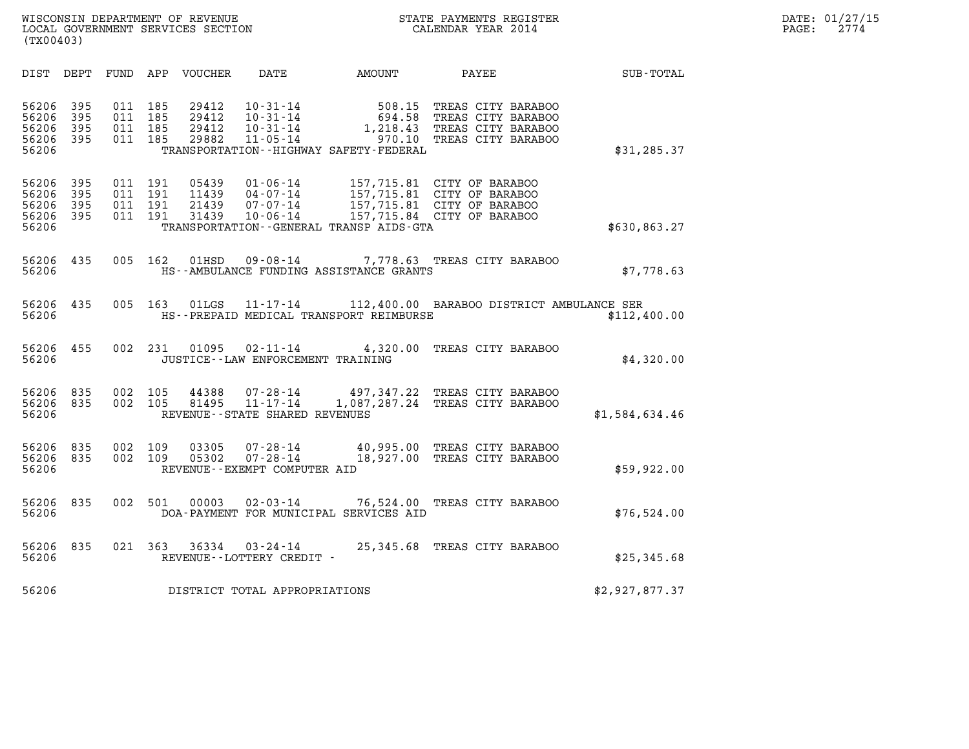| WISCONSIN DEPARTMENT OF REVENUE   | STATE PAYMENTS REGISTER | DATE: 01/27/15 |
|-----------------------------------|-------------------------|----------------|
| LOCAL GOVERNMENT SERVICES SECTION | CALENDAR YEAR 2014      | 2774<br>PAGE:  |

| (TX00403)                                 |                          |                          |                          |                                  |                                                                |                                                                 |                                                                                                                      |                  |  |
|-------------------------------------------|--------------------------|--------------------------|--------------------------|----------------------------------|----------------------------------------------------------------|-----------------------------------------------------------------|----------------------------------------------------------------------------------------------------------------------|------------------|--|
| DIST                                      | DEPT                     | FUND APP                 |                          | VOUCHER                          | DATE                                                           | AMOUNT                                                          | PAYEE                                                                                                                | <b>SUB-TOTAL</b> |  |
| 56206<br>56206<br>56206<br>56206<br>56206 | 395<br>395<br>395<br>395 | 011<br>011<br>011<br>011 | 185<br>185<br>185<br>185 | 29412<br>29412<br>29412<br>29882 | $10 - 31 - 14$<br>$10 - 31 - 14$<br>10-31-14<br>$11 - 05 - 14$ | 508.15<br>694.58<br>TRANSPORTATION - - HIGHWAY SAFETY - FEDERAL | TREAS CITY BARABOO<br>TREAS CITY BARABOO<br>1,218.43 TREAS CITY BARABOO<br>970.10 TREAS CITY BARABOO                 | \$31, 285.37     |  |
| 56206<br>56206<br>56206<br>56206<br>56206 | 395<br>395<br>395<br>395 | 011<br>011<br>011<br>011 | 191<br>191<br>191<br>191 | 05439<br>11439<br>21439<br>31439 | 01-06-14<br>$04 - 07 - 14$<br>$07 - 07 - 14$<br>$10 - 06 - 14$ | TRANSPORTATION--GENERAL TRANSP AIDS-GTA                         | 157,715.81 CITY OF BARABOO<br>157,715.81 CITY OF BARABOO<br>157,715.81 CITY OF BARABOO<br>157,715.84 CITY OF BARABOO | \$630,863.27     |  |
| 56206<br>56206                            | 435                      | 005                      | 162                      | 01HSD                            | 09-08-14                                                       | HS--AMBULANCE FUNDING ASSISTANCE GRANTS                         | 7,778.63 TREAS CITY BARABOO                                                                                          | \$7,778.63       |  |
| 56206<br>56206                            | 435                      | 005                      | 163                      | 01LGS                            | $11 - 17 - 14$                                                 | HS--PREPAID MEDICAL TRANSPORT REIMBURSE                         | 112,400.00 BARABOO DISTRICT AMBULANCE SER                                                                            | \$112,400.00     |  |
| 56206<br>56206                            | 455                      | 002                      | 231                      | 01095                            | 02-11-14<br>JUSTICE - - LAW ENFORCEMENT TRAINING               | 4,320.00                                                        | TREAS CITY BARABOO                                                                                                   | \$4,320.00       |  |
| 56206<br>56206<br>56206                   | 835<br>835               | 002<br>002               | 105<br>105               | 44388<br>81495                   | 07-28-14<br>$11 - 17 - 14$<br>REVENUE--STATE SHARED REVENUES   |                                                                 | 497,347.22 TREAS CITY BARABOO<br>1,087,287.24 TREAS CITY BARABOO                                                     | \$1,584,634.46   |  |
| 56206<br>56206<br>56206                   | 835<br>835               | 002<br>002               | 109<br>109               | 03305<br>05302                   | 07-28-14<br>$07 - 28 - 14$<br>REVENUE - - EXEMPT COMPUTER AID  |                                                                 | 40,995.00 TREAS CITY BARABOO<br>18,927.00 TREAS CITY BARABOO                                                         | \$59,922.00      |  |
| 56206<br>56206                            | 835                      | 002                      | 501                      | 00003                            | $02 - 03 - 14$                                                 | DOA-PAYMENT FOR MUNICIPAL SERVICES AID                          | 76,524.00 TREAS CITY BARABOO                                                                                         | \$76,524.00      |  |
| 56206<br>56206                            | 835                      | 021                      | 363                      | 36334                            | $03 - 24 - 14$<br>REVENUE--LOTTERY CREDIT -                    |                                                                 | 25,345.68 TREAS CITY BARABOO                                                                                         | \$25,345.68      |  |
| 56206                                     |                          |                          |                          |                                  | DISTRICT TOTAL APPROPRIATIONS                                  |                                                                 |                                                                                                                      | \$2,927,877.37   |  |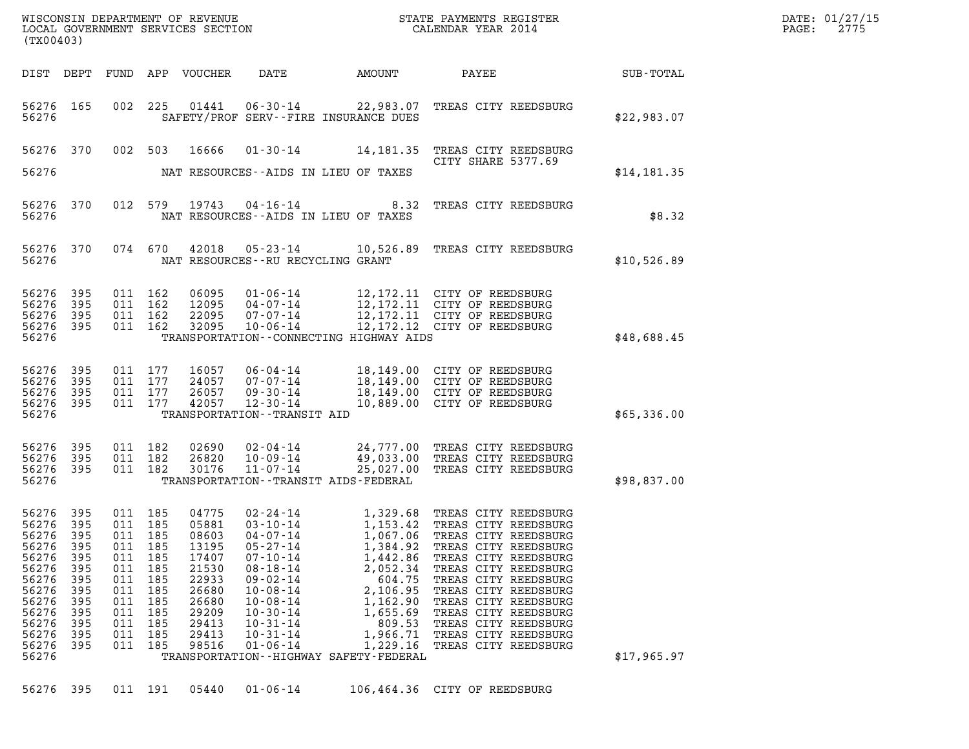| DATE: | 01/27/15 |
|-------|----------|
| PAGE: | 2775     |

| WISCONSIN DEPARTMENT OF REVENUE<br>LOCAL GOVERNMENT SERVICES SECTION<br>(TX00403)                                              |                                                                                    |                                                                           |                                                                                                 |                                                                                                                   |                                                                                                                                                                                                                                  |                                                                                                                                                                             | STATE PAYMENTS REGISTER<br>CALENDAR YEAR 2014                                                                                                                                                                                                                                                                                          |             | DATE: 01/27/15<br>PAGE:<br>2775 |
|--------------------------------------------------------------------------------------------------------------------------------|------------------------------------------------------------------------------------|---------------------------------------------------------------------------|-------------------------------------------------------------------------------------------------|-------------------------------------------------------------------------------------------------------------------|----------------------------------------------------------------------------------------------------------------------------------------------------------------------------------------------------------------------------------|-----------------------------------------------------------------------------------------------------------------------------------------------------------------------------|----------------------------------------------------------------------------------------------------------------------------------------------------------------------------------------------------------------------------------------------------------------------------------------------------------------------------------------|-------------|---------------------------------|
|                                                                                                                                |                                                                                    |                                                                           |                                                                                                 | DIST DEPT FUND APP VOUCHER                                                                                        | DATE                                                                                                                                                                                                                             | AMOUNT                                                                                                                                                                      | <b>PAYEE</b>                                                                                                                                                                                                                                                                                                                           | SUB-TOTAL   |                                 |
| 56276 165<br>56276                                                                                                             |                                                                                    |                                                                           |                                                                                                 |                                                                                                                   |                                                                                                                                                                                                                                  | SAFETY/PROF SERV--FIRE INSURANCE DUES                                                                                                                                       | 002 225 01441 06-30-14 22,983.07 TREAS CITY REEDSBURG                                                                                                                                                                                                                                                                                  | \$22,983.07 |                                 |
| 56276 370<br>56276                                                                                                             |                                                                                    |                                                                           |                                                                                                 | 002 503 16666                                                                                                     | NAT RESOURCES--AIDS IN LIEU OF TAXES                                                                                                                                                                                             |                                                                                                                                                                             | 01-30-14 14,181.35 TREAS CITY REEDSBURG<br>CITY SHARE 5377.69                                                                                                                                                                                                                                                                          | \$14,181.35 |                                 |
| 56276 370<br>56276                                                                                                             |                                                                                    |                                                                           |                                                                                                 |                                                                                                                   | NAT RESOURCES--AIDS IN LIEU OF TAXES                                                                                                                                                                                             | 012 579 19743 04-16-14 8.32                                                                                                                                                 | TREAS CITY REEDSBURG                                                                                                                                                                                                                                                                                                                   | \$8.32      |                                 |
| 56276 370<br>56276                                                                                                             |                                                                                    |                                                                           |                                                                                                 |                                                                                                                   | NAT RESOURCES--RU RECYCLING GRANT                                                                                                                                                                                                |                                                                                                                                                                             | 074 670 42018 05-23-14 10,526.89 TREAS CITY REEDSBURG                                                                                                                                                                                                                                                                                  | \$10,526.89 |                                 |
| 56276<br>56276<br>56276<br>56276<br>56276                                                                                      | 395<br>395<br>395<br>395                                                           |                                                                           | 011 162<br>011 162<br>011 162<br>011 162                                                        | 06095<br>12095<br>22095<br>32095                                                                                  | 10-06-14                                                                                                                                                                                                                         | TRANSPORTATION -- CONNECTING HIGHWAY AIDS                                                                                                                                   | 01-06-14 12,172.11 CITY OF REEDSBURG<br>04-07-14 12,172.11 CITY OF REEDSBURG<br>07-07-14 12,172.11 CITY OF REEDSBURG<br>12, 172.12 CITY OF REEDSBURG                                                                                                                                                                                   | \$48,688.45 |                                 |
| 56276<br>56276<br>56276<br>56276<br>56276                                                                                      | 395<br>395<br>395<br>395                                                           |                                                                           | 011 177<br>011 177<br>011 177<br>011 177                                                        | 16057<br>24057<br>26057<br>42057                                                                                  | 12-30-14<br>TRANSPORTATION - - TRANSIT AID                                                                                                                                                                                       |                                                                                                                                                                             | 06-04-14 18,149.00 CITY OF REEDSBURG<br>07-07-14 18,149.00 CITY OF REEDSBURG<br>09-30-14 18,149.00 CITY OF REEDSBURG<br>10,889.00 CITY OF REEDSBURG                                                                                                                                                                                    | \$65,336.00 |                                 |
| 56276<br>56276<br>56276<br>56276                                                                                               | 395<br>395<br>395                                                                  |                                                                           | 011 182<br>011 182<br>011 182                                                                   | 02690<br>26820<br>30176                                                                                           | TRANSPORTATION - - TRANSIT AIDS - FEDERAL                                                                                                                                                                                        |                                                                                                                                                                             | 02-04-14 24,777.00 TREAS CITY REEDSBURG<br>10-09-14 49,033.00 TREAS CITY REEDSBURG<br>11-07-14 25,027.00 TREAS CITY REEDSBURG                                                                                                                                                                                                          | \$98,837.00 |                                 |
| 56276 395<br>56276<br>56276<br>56276<br>56276<br>56276<br>56276<br>56276<br>56276<br>56276<br>56276<br>56276<br>56276<br>56276 | - 395<br>395<br>395<br>395<br>395<br>395<br>395<br>395<br>395<br>395<br>395<br>395 | 011<br>011<br>011<br>011<br>011<br>011<br>011<br>011<br>011<br>011<br>011 | 011 185<br>011 185<br>185<br>185<br>185<br>185<br>185<br>185<br>185<br>185<br>185<br>185<br>185 | 04775<br>05881<br>08603<br>13195<br>17407<br>21530<br>22933<br>26680<br>26680<br>29209<br>29413<br>29413<br>98516 | 02-24-14<br>$03 - 10 - 14$<br>$04 - 07 - 14$<br>$05 - 27 - 14$<br>$07 - 10 - 14$<br>$08 - 18 - 14$<br>$09 - 02 - 14$<br>$10 - 08 - 14$<br>$10 - 08 - 14$<br>$10 - 30 - 14$<br>$10 - 31 - 14$<br>$10 - 31 - 14$<br>$01 - 06 - 14$ | 1,067.06<br>1,384.92<br>1,442.86<br>2,052.34<br>604.75<br>2,106.95<br>1,162.90<br>1,655.69<br>809.53<br>1,966.71<br>1,229.16<br>TRANSPORTATION - - HIGHWAY SAFETY - FEDERAL | 1,329.68 TREAS CITY REEDSBURG<br>1,153.42 TREAS CITY REEDSBURG<br>TREAS CITY REEDSBURG<br>TREAS CITY REEDSBURG<br>TREAS CITY REEDSBURG<br>TREAS CITY REEDSBURG<br>TREAS CITY REEDSBURG<br>TREAS CITY REEDSBURG<br>TREAS CITY REEDSBURG<br>TREAS CITY REEDSBURG<br>TREAS CITY REEDSBURG<br>TREAS CITY REEDSBURG<br>TREAS CITY REEDSBURG | \$17,965.97 |                                 |

56276 395 011 191 05440 01-06-14 106,464.36 CITY OF REEDSBURG